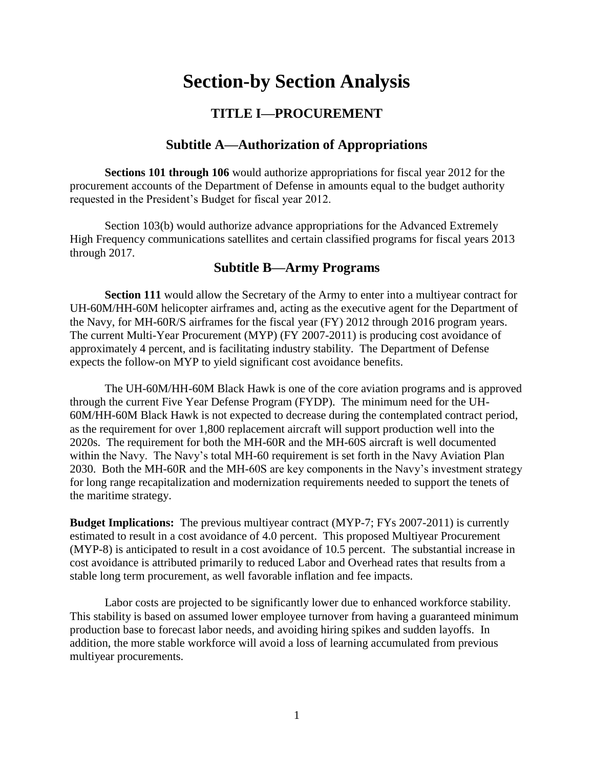# **Section-by Section Analysis**

## **TITLE I—PROCUREMENT**

### **Subtitle A—Authorization of Appropriations**

**Sections 101 through 106** would authorize appropriations for fiscal year 2012 for the procurement accounts of the Department of Defense in amounts equal to the budget authority requested in the President's Budget for fiscal year 2012.

Section 103(b) would authorize advance appropriations for the Advanced Extremely High Frequency communications satellites and certain classified programs for fiscal years 2013 through 2017.

### **Subtitle B—Army Programs**

**Section 111** would allow the Secretary of the Army to enter into a multiyear contract for UH-60M/HH-60M helicopter airframes and, acting as the executive agent for the Department of the Navy, for MH-60R/S airframes for the fiscal year (FY) 2012 through 2016 program years. The current Multi-Year Procurement (MYP) (FY 2007-2011) is producing cost avoidance of approximately 4 percent, and is facilitating industry stability. The Department of Defense expects the follow-on MYP to yield significant cost avoidance benefits.

The UH-60M/HH-60M Black Hawk is one of the core aviation programs and is approved through the current Five Year Defense Program (FYDP). The minimum need for the UH-60M/HH-60M Black Hawk is not expected to decrease during the contemplated contract period, as the requirement for over 1,800 replacement aircraft will support production well into the 2020s. The requirement for both the MH-60R and the MH-60S aircraft is well documented within the Navy. The Navy's total MH-60 requirement is set forth in the Navy Aviation Plan 2030. Both the MH-60R and the MH-60S are key components in the Navy's investment strategy for long range recapitalization and modernization requirements needed to support the tenets of the maritime strategy.

**Budget Implications:** The previous multiyear contract (MYP-7; FYs 2007-2011) is currently estimated to result in a cost avoidance of 4.0 percent. This proposed Multiyear Procurement (MYP-8) is anticipated to result in a cost avoidance of 10.5 percent. The substantial increase in cost avoidance is attributed primarily to reduced Labor and Overhead rates that results from a stable long term procurement, as well favorable inflation and fee impacts.

Labor costs are projected to be significantly lower due to enhanced workforce stability. This stability is based on assumed lower employee turnover from having a guaranteed minimum production base to forecast labor needs, and avoiding hiring spikes and sudden layoffs. In addition, the more stable workforce will avoid a loss of learning accumulated from previous multiyear procurements.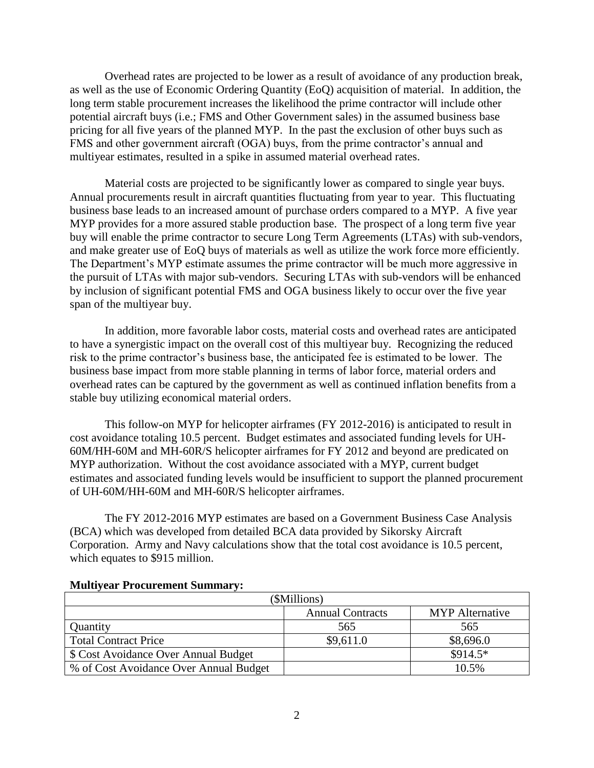Overhead rates are projected to be lower as a result of avoidance of any production break, as well as the use of Economic Ordering Quantity (EoQ) acquisition of material. In addition, the long term stable procurement increases the likelihood the prime contractor will include other potential aircraft buys (i.e.; FMS and Other Government sales) in the assumed business base pricing for all five years of the planned MYP. In the past the exclusion of other buys such as FMS and other government aircraft (OGA) buys, from the prime contractor's annual and multiyear estimates, resulted in a spike in assumed material overhead rates.

Material costs are projected to be significantly lower as compared to single year buys. Annual procurements result in aircraft quantities fluctuating from year to year. This fluctuating business base leads to an increased amount of purchase orders compared to a MYP. A five year MYP provides for a more assured stable production base. The prospect of a long term five year buy will enable the prime contractor to secure Long Term Agreements (LTAs) with sub-vendors, and make greater use of EoQ buys of materials as well as utilize the work force more efficiently. The Department's MYP estimate assumes the prime contractor will be much more aggressive in the pursuit of LTAs with major sub-vendors. Securing LTAs with sub-vendors will be enhanced by inclusion of significant potential FMS and OGA business likely to occur over the five year span of the multiyear buy.

In addition, more favorable labor costs, material costs and overhead rates are anticipated to have a synergistic impact on the overall cost of this multiyear buy. Recognizing the reduced risk to the prime contractor's business base, the anticipated fee is estimated to be lower. The business base impact from more stable planning in terms of labor force, material orders and overhead rates can be captured by the government as well as continued inflation benefits from a stable buy utilizing economical material orders.

This follow-on MYP for helicopter airframes (FY 2012-2016) is anticipated to result in cost avoidance totaling 10.5 percent. Budget estimates and associated funding levels for UH-60M/HH-60M and MH-60R/S helicopter airframes for FY 2012 and beyond are predicated on MYP authorization. Without the cost avoidance associated with a MYP, current budget estimates and associated funding levels would be insufficient to support the planned procurement of UH-60M/HH-60M and MH-60R/S helicopter airframes.

The FY 2012-2016 MYP estimates are based on a Government Business Case Analysis (BCA) which was developed from detailed BCA data provided by Sikorsky Aircraft Corporation. Army and Navy calculations show that the total cost avoidance is 10.5 percent, which equates to \$915 million.

|                                        | (\$Millions)            |                        |  |  |  |  |  |  |  |  |  |
|----------------------------------------|-------------------------|------------------------|--|--|--|--|--|--|--|--|--|
|                                        | <b>Annual Contracts</b> | <b>MYP</b> Alternative |  |  |  |  |  |  |  |  |  |
| Quantity                               | 565                     | 565                    |  |  |  |  |  |  |  |  |  |
| <b>Total Contract Price</b>            | \$9,611.0               | \$8,696.0              |  |  |  |  |  |  |  |  |  |
| \$ Cost Avoidance Over Annual Budget   |                         | $$914.5*$              |  |  |  |  |  |  |  |  |  |
| % of Cost Avoidance Over Annual Budget |                         | 10.5%                  |  |  |  |  |  |  |  |  |  |

### **Multiyear Procurement Summary:**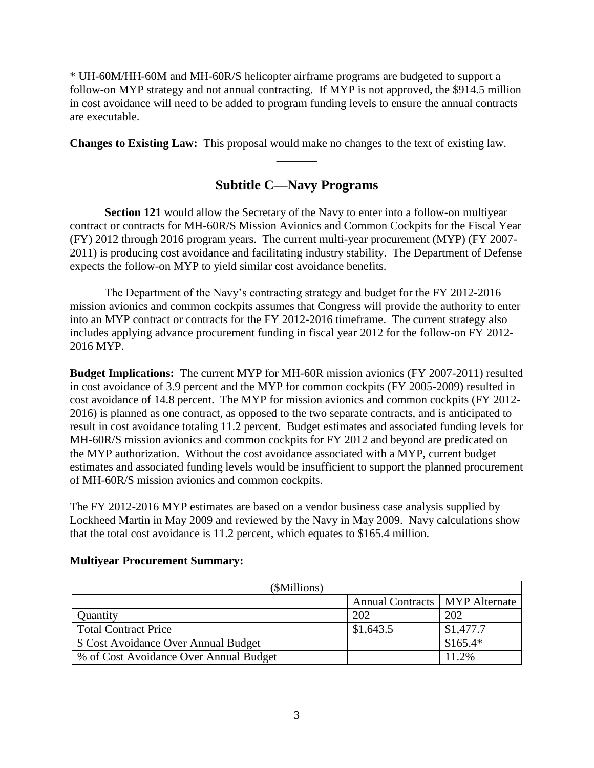\* UH-60M/HH-60M and MH-60R/S helicopter airframe programs are budgeted to support a follow-on MYP strategy and not annual contracting. If MYP is not approved, the \$914.5 million in cost avoidance will need to be added to program funding levels to ensure the annual contracts are executable.

**Changes to Existing Law:** This proposal would make no changes to the text of existing law.

## **Subtitle C—Navy Programs**

 $\overline{\phantom{a}}$ 

**Section 121** would allow the Secretary of the Navy to enter into a follow-on multiyear contract or contracts for MH-60R/S Mission Avionics and Common Cockpits for the Fiscal Year (FY) 2012 through 2016 program years. The current multi-year procurement (MYP) (FY 2007- 2011) is producing cost avoidance and facilitating industry stability. The Department of Defense expects the follow-on MYP to yield similar cost avoidance benefits.

The Department of the Navy's contracting strategy and budget for the FY 2012-2016 mission avionics and common cockpits assumes that Congress will provide the authority to enter into an MYP contract or contracts for the FY 2012-2016 timeframe. The current strategy also includes applying advance procurement funding in fiscal year 2012 for the follow-on FY 2012- 2016 MYP.

**Budget Implications:** The current MYP for MH-60R mission avionics (FY 2007-2011) resulted in cost avoidance of 3.9 percent and the MYP for common cockpits (FY 2005-2009) resulted in cost avoidance of 14.8 percent. The MYP for mission avionics and common cockpits (FY 2012- 2016) is planned as one contract, as opposed to the two separate contracts, and is anticipated to result in cost avoidance totaling 11.2 percent. Budget estimates and associated funding levels for MH-60R/S mission avionics and common cockpits for FY 2012 and beyond are predicated on the MYP authorization. Without the cost avoidance associated with a MYP, current budget estimates and associated funding levels would be insufficient to support the planned procurement of MH-60R/S mission avionics and common cockpits.

The FY 2012-2016 MYP estimates are based on a vendor business case analysis supplied by Lockheed Martin in May 2009 and reviewed by the Navy in May 2009. Navy calculations show that the total cost avoidance is 11.2 percent, which equates to \$165.4 million.

| (\$Millions)                           |                                  |           |
|----------------------------------------|----------------------------------|-----------|
|                                        | Annual Contracts   MYP Alternate |           |
| Quantity                               | 202                              | 202       |
| <b>Total Contract Price</b>            | \$1,643.5                        | \$1,477.7 |
| \$ Cost Avoidance Over Annual Budget   |                                  | $$165.4*$ |
| % of Cost Avoidance Over Annual Budget |                                  | 11.2%     |

### **Multiyear Procurement Summary:**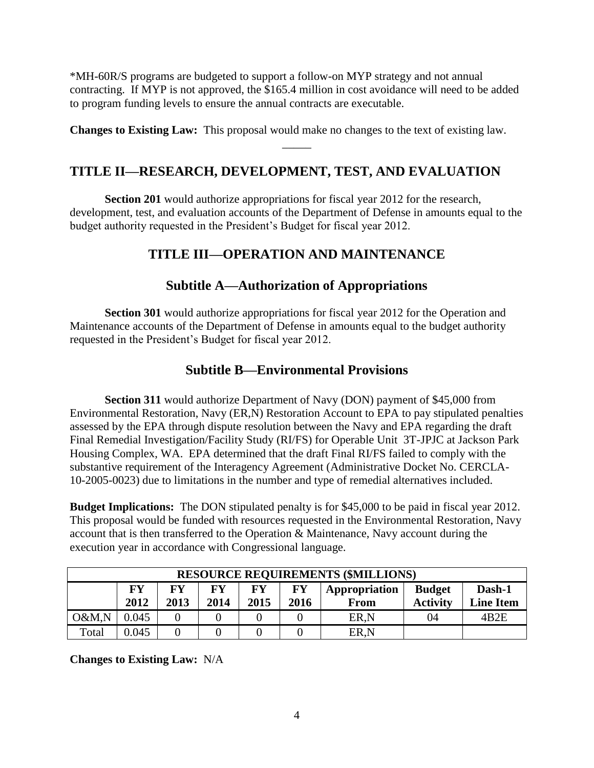\*MH-60R/S programs are budgeted to support a follow-on MYP strategy and not annual contracting. If MYP is not approved, the \$165.4 million in cost avoidance will need to be added to program funding levels to ensure the annual contracts are executable.

**Changes to Existing Law:** This proposal would make no changes to the text of existing law.

\_\_\_\_\_

## **TITLE II—RESEARCH, DEVELOPMENT, TEST, AND EVALUATION**

**Section 201** would authorize appropriations for fiscal year 2012 for the research, development, test, and evaluation accounts of the Department of Defense in amounts equal to the budget authority requested in the President's Budget for fiscal year 2012.

## **TITLE III—OPERATION AND MAINTENANCE**

## **Subtitle A—Authorization of Appropriations**

**Section 301** would authorize appropriations for fiscal year 2012 for the Operation and Maintenance accounts of the Department of Defense in amounts equal to the budget authority requested in the President's Budget for fiscal year 2012.

## **Subtitle B—Environmental Provisions**

**Section 311** would authorize Department of Navy (DON) payment of \$45,000 from Environmental Restoration, Navy (ER,N) Restoration Account to EPA to pay stipulated penalties assessed by the EPA through dispute resolution between the Navy and EPA regarding the draft Final Remedial Investigation/Facility Study (RI/FS) for Operable Unit 3T-JPJC at Jackson Park Housing Complex, WA. EPA determined that the draft Final RI/FS failed to comply with the substantive requirement of the Interagency Agreement (Administrative Docket No. CERCLA-10-2005-0023) due to limitations in the number and type of remedial alternatives included.

**Budget Implications:** The DON stipulated penalty is for \$45,000 to be paid in fiscal year 2012. This proposal would be funded with resources requested in the Environmental Restoration, Navy account that is then transferred to the Operation & Maintenance, Navy account during the execution year in accordance with Congressional language.

| <b>RESOURCE REQUIREMENTS (\$MILLIONS)</b> |                                                                                                                                                                      |  |  |  |  |      |    |                   |  |  |  |  |
|-------------------------------------------|----------------------------------------------------------------------------------------------------------------------------------------------------------------------|--|--|--|--|------|----|-------------------|--|--|--|--|
|                                           | FY<br><b>FY</b><br>FY<br>Dash-1<br>FY<br>FY<br>Appropriation<br><b>Budget</b><br>2012<br>2013<br><b>Activity</b><br>2015<br>2014<br>2016<br><b>Line Item</b><br>From |  |  |  |  |      |    |                   |  |  |  |  |
| O&M,N                                     | 0.045                                                                                                                                                                |  |  |  |  | ER,N | 04 | 4B <sub>2</sub> E |  |  |  |  |
| Total                                     | 0.045                                                                                                                                                                |  |  |  |  | ER,N |    |                   |  |  |  |  |

**Changes to Existing Law:** N/A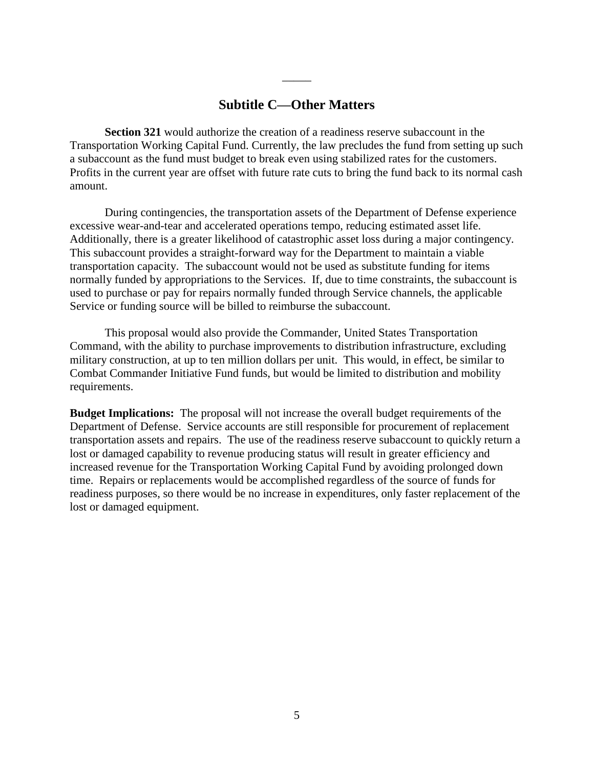## **Subtitle C—Other Matters**

\_\_\_\_\_

**Section 321** would authorize the creation of a readiness reserve subaccount in the Transportation Working Capital Fund. Currently, the law precludes the fund from setting up such a subaccount as the fund must budget to break even using stabilized rates for the customers. Profits in the current year are offset with future rate cuts to bring the fund back to its normal cash amount.

During contingencies, the transportation assets of the Department of Defense experience excessive wear-and-tear and accelerated operations tempo, reducing estimated asset life. Additionally, there is a greater likelihood of catastrophic asset loss during a major contingency. This subaccount provides a straight-forward way for the Department to maintain a viable transportation capacity. The subaccount would not be used as substitute funding for items normally funded by appropriations to the Services. If, due to time constraints, the subaccount is used to purchase or pay for repairs normally funded through Service channels, the applicable Service or funding source will be billed to reimburse the subaccount.

This proposal would also provide the Commander, United States Transportation Command, with the ability to purchase improvements to distribution infrastructure, excluding military construction, at up to ten million dollars per unit. This would, in effect, be similar to Combat Commander Initiative Fund funds, but would be limited to distribution and mobility requirements.

**Budget Implications:** The proposal will not increase the overall budget requirements of the Department of Defense. Service accounts are still responsible for procurement of replacement transportation assets and repairs. The use of the readiness reserve subaccount to quickly return a lost or damaged capability to revenue producing status will result in greater efficiency and increased revenue for the Transportation Working Capital Fund by avoiding prolonged down time. Repairs or replacements would be accomplished regardless of the source of funds for readiness purposes, so there would be no increase in expenditures, only faster replacement of the lost or damaged equipment.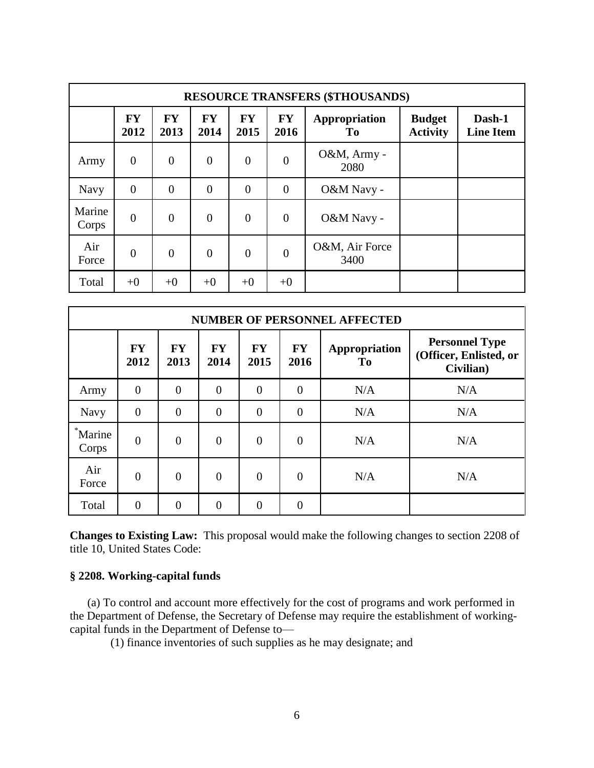|                 | <b>RESOURCE TRANSFERS (\$THOUSANDS)</b> |                   |                   |                   |                   |                        |                                  |                            |  |  |  |  |  |  |
|-----------------|-----------------------------------------|-------------------|-------------------|-------------------|-------------------|------------------------|----------------------------------|----------------------------|--|--|--|--|--|--|
|                 | <b>FY</b><br>2012                       | <b>FY</b><br>2013 | <b>FY</b><br>2014 | <b>FY</b><br>2015 | <b>FY</b><br>2016 | Appropriation<br>To.   | <b>Budget</b><br><b>Activity</b> | Dash-1<br><b>Line Item</b> |  |  |  |  |  |  |
| Army            | $\overline{0}$                          | $\theta$          | $\overline{0}$    | $\overline{0}$    | $\overline{0}$    | O&M, Army -<br>2080    |                                  |                            |  |  |  |  |  |  |
| <b>Navy</b>     | $\overline{0}$                          | $\Omega$          | $\overline{0}$    | $\overline{0}$    | $\overline{0}$    | O&M Navy -             |                                  |                            |  |  |  |  |  |  |
| Marine<br>Corps | $\overline{0}$                          | $\theta$          | $\overline{0}$    | $\overline{0}$    | $\theta$          | O&M Navy -             |                                  |                            |  |  |  |  |  |  |
| Air<br>Force    | $\overline{0}$                          | $\theta$          | $\overline{0}$    | $\overline{0}$    | $\theta$          | O&M, Air Force<br>3400 |                                  |                            |  |  |  |  |  |  |
| Total           | $+0$                                    | $+0$              | $+0$              | $+0$              | $+0$              |                        |                                  |                            |  |  |  |  |  |  |

|                  | <b>NUMBER OF PERSONNEL AFFECTED</b> |                   |                   |                   |                   |                     |                                                              |  |  |  |  |  |  |
|------------------|-------------------------------------|-------------------|-------------------|-------------------|-------------------|---------------------|--------------------------------------------------------------|--|--|--|--|--|--|
|                  | <b>FY</b><br>2012                   | <b>FY</b><br>2013 | <b>FY</b><br>2014 | <b>FY</b><br>2015 | <b>FY</b><br>2016 | Appropriation<br>To | <b>Personnel Type</b><br>(Officer, Enlisted, or<br>Civilian) |  |  |  |  |  |  |
| Army             | $\overline{0}$                      | $\overline{0}$    | $\overline{0}$    | $\theta$          | $\overline{0}$    | N/A                 | N/A                                                          |  |  |  |  |  |  |
| <b>Navy</b>      | $\overline{0}$                      | $\overline{0}$    | $\overline{0}$    | $\theta$          | $\boldsymbol{0}$  | N/A                 | N/A                                                          |  |  |  |  |  |  |
| *Marine<br>Corps | $\overline{0}$                      | $\overline{0}$    | $\theta$          | $\overline{0}$    | $\overline{0}$    | N/A                 | N/A                                                          |  |  |  |  |  |  |
| Air<br>Force     | $\theta$                            | $\overline{0}$    | $\theta$          | $\theta$          | $\overline{0}$    | N/A                 | N/A                                                          |  |  |  |  |  |  |
| Total            | 0                                   | $\overline{0}$    | $\theta$          | $\theta$          | $\overline{0}$    |                     |                                                              |  |  |  |  |  |  |

**Changes to Existing Law:** This proposal would make the following changes to section 2208 of title 10, United States Code:

### **§ 2208. Working-capital funds**

 (a) To control and account more effectively for the cost of programs and work performed in the Department of Defense, the Secretary of Defense may require the establishment of workingcapital funds in the Department of Defense to—

(1) finance inventories of such supplies as he may designate; and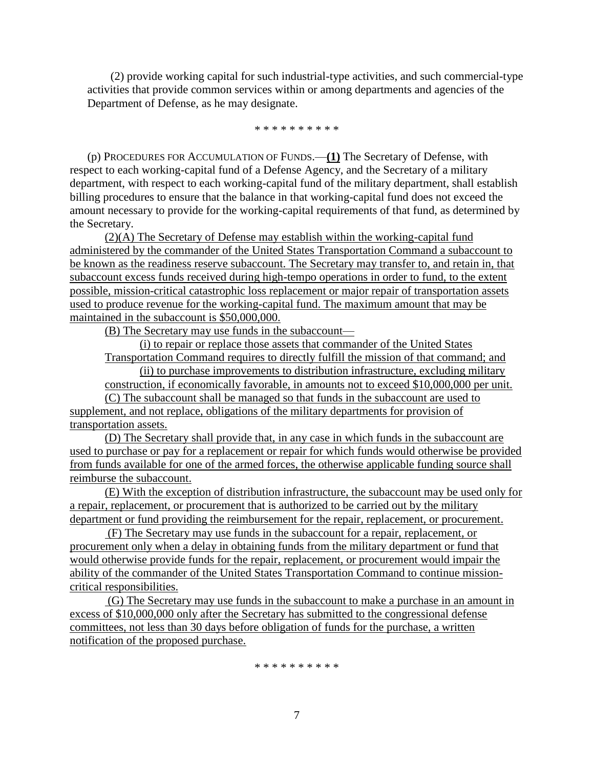(2) provide working capital for such industrial-type activities, and such commercial-type activities that provide common services within or among departments and agencies of the Department of Defense, as he may designate.

\* \* \* \* \* \* \* \* \* \*

 (p) PROCEDURES FOR ACCUMULATION OF FUNDS.—**(1)** The Secretary of Defense, with respect to each working-capital fund of a Defense Agency, and the Secretary of a military department, with respect to each working-capital fund of the military department, shall establish billing procedures to ensure that the balance in that working-capital fund does not exceed the amount necessary to provide for the working-capital requirements of that fund, as determined by the Secretary.

(2)(A) The Secretary of Defense may establish within the working-capital fund administered by the commander of the United States Transportation Command a subaccount to be known as the readiness reserve subaccount. The Secretary may transfer to, and retain in, that subaccount excess funds received during high-tempo operations in order to fund, to the extent possible, mission-critical catastrophic loss replacement or major repair of transportation assets used to produce revenue for the working-capital fund. The maximum amount that may be maintained in the subaccount is \$50,000,000.

(B) The Secretary may use funds in the subaccount—

(i) to repair or replace those assets that commander of the United States

Transportation Command requires to directly fulfill the mission of that command; and

(ii) to purchase improvements to distribution infrastructure, excluding military

construction, if economically favorable, in amounts not to exceed \$10,000,000 per unit.

(C) The subaccount shall be managed so that funds in the subaccount are used to supplement, and not replace, obligations of the military departments for provision of transportation assets.

(D) The Secretary shall provide that, in any case in which funds in the subaccount are used to purchase or pay for a replacement or repair for which funds would otherwise be provided from funds available for one of the armed forces, the otherwise applicable funding source shall reimburse the subaccount.

(E) With the exception of distribution infrastructure, the subaccount may be used only for a repair, replacement, or procurement that is authorized to be carried out by the military department or fund providing the reimbursement for the repair, replacement, or procurement.

(F) The Secretary may use funds in the subaccount for a repair, replacement, or procurement only when a delay in obtaining funds from the military department or fund that would otherwise provide funds for the repair, replacement, or procurement would impair the ability of the commander of the United States Transportation Command to continue missioncritical responsibilities.

(G) The Secretary may use funds in the subaccount to make a purchase in an amount in excess of \$10,000,000 only after the Secretary has submitted to the congressional defense committees, not less than 30 days before obligation of funds for the purchase, a written notification of the proposed purchase.

\* \* \* \* \* \* \* \* \* \*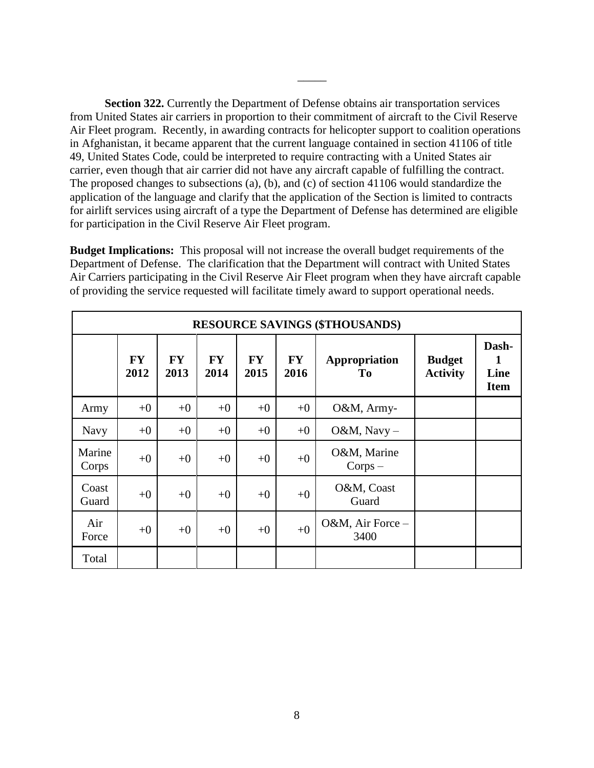**Section 322.** Currently the Department of Defense obtains air transportation services from United States air carriers in proportion to their commitment of aircraft to the Civil Reserve Air Fleet program. Recently, in awarding contracts for helicopter support to coalition operations in Afghanistan, it became apparent that the current language contained in section 41106 of title 49, United States Code, could be interpreted to require contracting with a United States air carrier, even though that air carrier did not have any aircraft capable of fulfilling the contract. The proposed changes to subsections (a), (b), and (c) of section 41106 would standardize the application of the language and clarify that the application of the Section is limited to contracts for airlift services using aircraft of a type the Department of Defense has determined are eligible for participation in the Civil Reserve Air Fleet program.

\_\_\_\_\_

**Budget Implications:** This proposal will not increase the overall budget requirements of the Department of Defense. The clarification that the Department will contract with United States Air Carriers participating in the Civil Reserve Air Fleet program when they have aircraft capable of providing the service requested will facilitate timely award to support operational needs.

|                 | <b>RESOURCE SAVINGS (\$THOUSANDS)</b> |                   |                   |                   |                   |                                 |                                  |                                   |  |  |  |  |  |
|-----------------|---------------------------------------|-------------------|-------------------|-------------------|-------------------|---------------------------------|----------------------------------|-----------------------------------|--|--|--|--|--|
|                 | <b>FY</b><br>2012                     | <b>FY</b><br>2013 | <b>FY</b><br>2014 | <b>FY</b><br>2015 | <b>FY</b><br>2016 | Appropriation<br>T <sub>0</sub> | <b>Budget</b><br><b>Activity</b> | Dash-<br>1<br>Line<br><b>Item</b> |  |  |  |  |  |
| Army            | $+0$                                  | $+0$              | $+0$              | $+0$              | $+0$              | O&M, Army-                      |                                  |                                   |  |  |  |  |  |
| Navy            | $+0$                                  | $+0$              | $+0$              | $+0$              | $+0$              | O&M, Navy $-$                   |                                  |                                   |  |  |  |  |  |
| Marine<br>Corps | $+0$                                  | $+0$              | $+0$              | $+0$              | $+0$              | O&M, Marine<br>$Corps -$        |                                  |                                   |  |  |  |  |  |
| Coast<br>Guard  | $+0$                                  | $+0$              | $+0$              | $+0$              | $+0$              | O&M, Coast<br>Guard             |                                  |                                   |  |  |  |  |  |
| Air<br>Force    | $+0$                                  | $+0$              | $+0$              | $+0$              | $+0$              | O&M, Air Force -<br>3400        |                                  |                                   |  |  |  |  |  |
| Total           |                                       |                   |                   |                   |                   |                                 |                                  |                                   |  |  |  |  |  |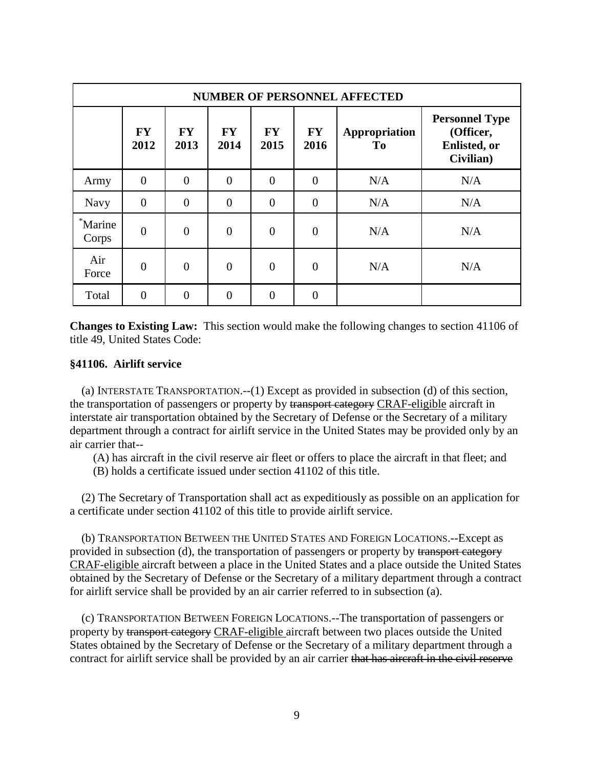|                  | <b>NUMBER OF PERSONNEL AFFECTED</b> |                   |                   |                   |                   |                                 |                                                                         |  |  |  |  |  |  |
|------------------|-------------------------------------|-------------------|-------------------|-------------------|-------------------|---------------------------------|-------------------------------------------------------------------------|--|--|--|--|--|--|
|                  | <b>FY</b><br>2012                   | <b>FY</b><br>2013 | <b>FY</b><br>2014 | <b>FY</b><br>2015 | <b>FY</b><br>2016 | Appropriation<br>T <sub>0</sub> | <b>Personnel Type</b><br>(Officer,<br><b>Enlisted</b> , or<br>Civilian) |  |  |  |  |  |  |
| Army             | $\theta$                            | $\overline{0}$    | $\overline{0}$    | $\theta$          | $\overline{0}$    | N/A                             | N/A                                                                     |  |  |  |  |  |  |
| <b>Navy</b>      | $\overline{0}$                      | $\Omega$          | $\overline{0}$    | $\theta$          | $\overline{0}$    | N/A                             | N/A                                                                     |  |  |  |  |  |  |
| *Marine<br>Corps | $\overline{0}$                      | $\theta$          | $\overline{0}$    | $\theta$          | $\overline{0}$    | N/A                             | N/A                                                                     |  |  |  |  |  |  |
| Air<br>Force     | $\theta$                            | $\theta$          | $\overline{0}$    | $\theta$          | $\overline{0}$    | N/A                             | N/A                                                                     |  |  |  |  |  |  |
| Total            | $\theta$                            | 0                 | $\overline{0}$    | $\Omega$          | $\overline{0}$    |                                 |                                                                         |  |  |  |  |  |  |

**Changes to Existing Law:** This section would make the following changes to section 41106 of title 49, United States Code:

#### **§41106. Airlift service**

 (a) INTERSTATE TRANSPORTATION.--(1) Except as provided in subsection (d) of this section, the transportation of passengers or property by transport category CRAF-eligible aircraft in interstate air transportation obtained by the Secretary of Defense or the Secretary of a military department through a contract for airlift service in the United States may be provided only by an air carrier that--

(A) has aircraft in the civil reserve air fleet or offers to place the aircraft in that fleet; and

(B) holds a certificate issued under section 41102 of this title.

 (2) The Secretary of Transportation shall act as expeditiously as possible on an application for a certificate under section 41102 of this title to provide airlift service.

 (b) TRANSPORTATION BETWEEN THE UNITED STATES AND FOREIGN LOCATIONS.--Except as provided in subsection (d), the transportation of passengers or property by transport category CRAF-eligible aircraft between a place in the United States and a place outside the United States obtained by the Secretary of Defense or the Secretary of a military department through a contract for airlift service shall be provided by an air carrier referred to in subsection (a).

 (c) TRANSPORTATION BETWEEN FOREIGN LOCATIONS.--The transportation of passengers or property by transport category CRAF-eligible aircraft between two places outside the United States obtained by the Secretary of Defense or the Secretary of a military department through a contract for airlift service shall be provided by an air carrier that has aircraft in the civil reserve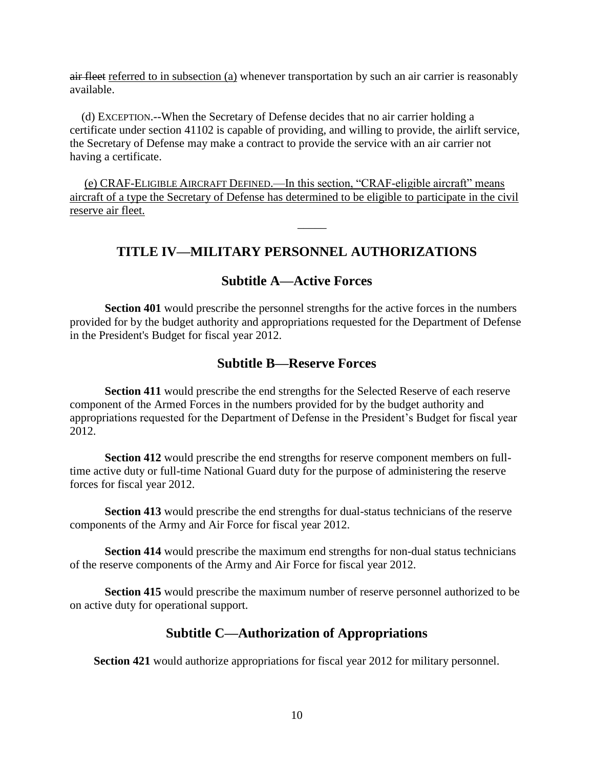air fleet referred to in subsection (a) whenever transportation by such an air carrier is reasonably available.

 (d) EXCEPTION.--When the Secretary of Defense decides that no air carrier holding a certificate under section 41102 is capable of providing, and willing to provide, the airlift service, the Secretary of Defense may make a contract to provide the service with an air carrier not having a certificate.

(e) CRAF-ELIGIBLE AIRCRAFT DEFINED.—In this section, "CRAF-eligible aircraft" means aircraft of a type the Secretary of Defense has determined to be eligible to participate in the civil reserve air fleet.

## **TITLE IV—MILITARY PERSONNEL AUTHORIZATIONS**

 $\overline{\phantom{a}}$ 

## **Subtitle A—Active Forces**

**Section 401** would prescribe the personnel strengths for the active forces in the numbers provided for by the budget authority and appropriations requested for the Department of Defense in the President's Budget for fiscal year 2012.

## **Subtitle B—Reserve Forces**

**Section 411** would prescribe the end strengths for the Selected Reserve of each reserve component of the Armed Forces in the numbers provided for by the budget authority and appropriations requested for the Department of Defense in the President's Budget for fiscal year 2012.

**Section 412** would prescribe the end strengths for reserve component members on fulltime active duty or full-time National Guard duty for the purpose of administering the reserve forces for fiscal year 2012.

**Section 413** would prescribe the end strengths for dual-status technicians of the reserve components of the Army and Air Force for fiscal year 2012.

**Section 414** would prescribe the maximum end strengths for non-dual status technicians of the reserve components of the Army and Air Force for fiscal year 2012.

**Section 415** would prescribe the maximum number of reserve personnel authorized to be on active duty for operational support.

## **Subtitle C—Authorization of Appropriations**

**Section 421** would authorize appropriations for fiscal year 2012 for military personnel.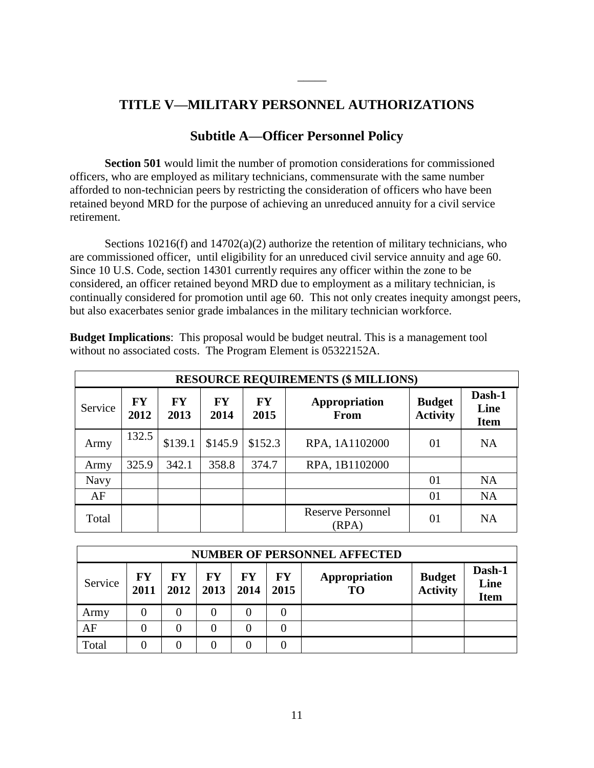## **TITLE V—MILITARY PERSONNEL AUTHORIZATIONS**

\_\_\_\_\_

## **Subtitle A—Officer Personnel Policy**

**Section 501** would limit the number of promotion considerations for commissioned officers, who are employed as military technicians, commensurate with the same number afforded to non-technician peers by restricting the consideration of officers who have been retained beyond MRD for the purpose of achieving an unreduced annuity for a civil service retirement.

Sections  $10216(f)$  and  $14702(a)(2)$  authorize the retention of military technicians, who are commissioned officer, until eligibility for an unreduced civil service annuity and age 60. Since 10 U.S. Code, section 14301 currently requires any officer within the zone to be considered, an officer retained beyond MRD due to employment as a military technician, is continually considered for promotion until age 60. This not only creates inequity amongst peers, but also exacerbates senior grade imbalances in the military technician workforce.

**Budget Implications**: This proposal would be budget neutral. This is a management tool without no associated costs. The Program Element is 05322152A.

|             | <b>RESOURCE REQUIREMENTS (\$ MILLIONS)</b> |            |                   |                   |                                   |                                  |                               |  |  |  |  |  |  |  |
|-------------|--------------------------------------------|------------|-------------------|-------------------|-----------------------------------|----------------------------------|-------------------------------|--|--|--|--|--|--|--|
| Service     | <b>FY</b><br>2012                          | FY<br>2013 | <b>FY</b><br>2014 | <b>FY</b><br>2015 | Appropriation<br>From             | <b>Budget</b><br><b>Activity</b> | Dash-1<br>Line<br><b>Item</b> |  |  |  |  |  |  |  |
| Army        | 132.5                                      | \$139.1    | \$145.9           | \$152.3           | RPA, 1A1102000                    | 01                               | <b>NA</b>                     |  |  |  |  |  |  |  |
| Army        | 325.9                                      | 342.1      | 358.8             | 374.7             | RPA, 1B1102000                    |                                  |                               |  |  |  |  |  |  |  |
| <b>Navy</b> |                                            |            |                   |                   |                                   | 01                               | <b>NA</b>                     |  |  |  |  |  |  |  |
| AF          |                                            |            |                   |                   |                                   | 01                               | <b>NA</b>                     |  |  |  |  |  |  |  |
| Total       |                                            |            |                   |                   | <b>Reserve Personnel</b><br>(RPA) | 01                               | NA                            |  |  |  |  |  |  |  |

|         | <b>NUMBER OF PERSONNEL AFFECTED</b> |            |            |                   |                   |                     |                                  |                               |  |  |  |  |  |  |
|---------|-------------------------------------|------------|------------|-------------------|-------------------|---------------------|----------------------------------|-------------------------------|--|--|--|--|--|--|
| Service | FY<br>2011                          | FY<br>2012 | FY<br>2013 | <b>FY</b><br>2014 | <b>FY</b><br>2015 | Appropriation<br>TO | <b>Budget</b><br><b>Activity</b> | Dash-1<br>Line<br><b>Item</b> |  |  |  |  |  |  |
| Army    |                                     |            |            |                   |                   |                     |                                  |                               |  |  |  |  |  |  |
| AF      |                                     |            | 0          |                   |                   |                     |                                  |                               |  |  |  |  |  |  |
| Total   |                                     |            |            |                   |                   |                     |                                  |                               |  |  |  |  |  |  |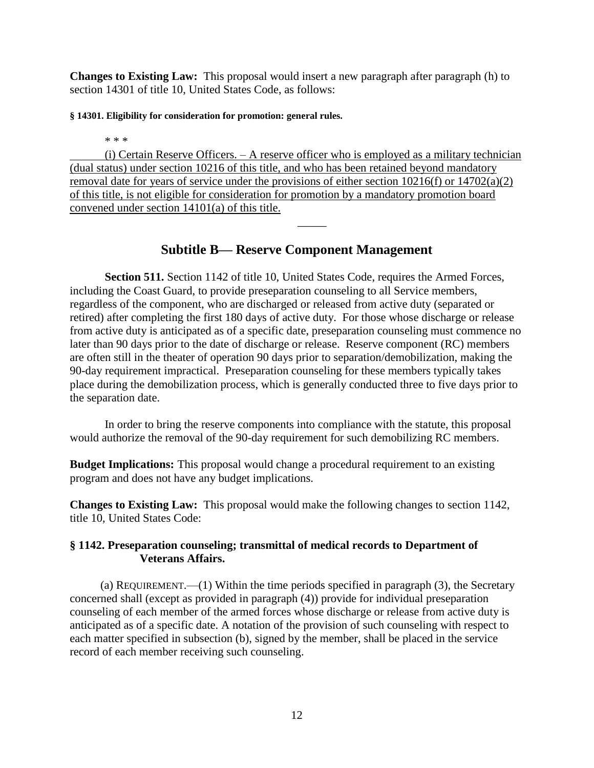**Changes to Existing Law:** This proposal would insert a new paragraph after paragraph (h) to section 14301 of title 10, United States Code, as follows:

#### **§ 14301. Eligibility for consideration for promotion: general rules.**

\* \* \*

(i) Certain Reserve Officers. – A reserve officer who is employed as a military technician (dual status) under section 10216 of this title, and who has been retained beyond mandatory removal date for years of service under the provisions of either section 10216(f) or 14702(a)(2) of this title, is not eligible for consideration for promotion by a mandatory promotion board convened under section 14101(a) of this title.

## **Subtitle B— Reserve Component Management**

 $\overline{\phantom{a}}$ 

**Section 511.** Section 1142 of title 10, United States Code, requires the Armed Forces, including the Coast Guard, to provide preseparation counseling to all Service members, regardless of the component, who are discharged or released from active duty (separated or retired) after completing the first 180 days of active duty. For those whose discharge or release from active duty is anticipated as of a specific date, preseparation counseling must commence no later than 90 days prior to the date of discharge or release. Reserve component (RC) members are often still in the theater of operation 90 days prior to separation/demobilization, making the 90-day requirement impractical. Preseparation counseling for these members typically takes place during the demobilization process, which is generally conducted three to five days prior to the separation date.

In order to bring the reserve components into compliance with the statute, this proposal would authorize the removal of the 90-day requirement for such demobilizing RC members.

**Budget Implications:** This proposal would change a procedural requirement to an existing program and does not have any budget implications.

**Changes to Existing Law:** This proposal would make the following changes to section 1142, title 10, United States Code:

### **§ 1142. Preseparation counseling; transmittal of medical records to Department of Veterans Affairs.**

(a) REQUIREMENT.—(1) Within the time periods specified in paragraph (3), the Secretary concerned shall (except as provided in paragraph (4)) provide for individual preseparation counseling of each member of the armed forces whose discharge or release from active duty is anticipated as of a specific date. A notation of the provision of such counseling with respect to each matter specified in subsection (b), signed by the member, shall be placed in the service record of each member receiving such counseling.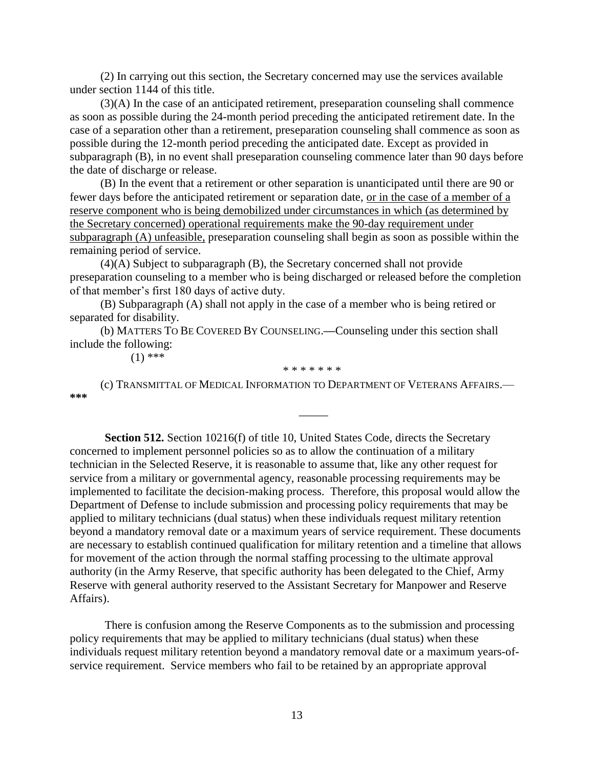(2) In carrying out this section, the Secretary concerned may use the services available under section 1144 of this title.

(3)(A) In the case of an anticipated retirement, preseparation counseling shall commence as soon as possible during the 24-month period preceding the anticipated retirement date. In the case of a separation other than a retirement, preseparation counseling shall commence as soon as possible during the 12-month period preceding the anticipated date. Except as provided in subparagraph (B), in no event shall preseparation counseling commence later than 90 days before the date of discharge or release.

(B) In the event that a retirement or other separation is unanticipated until there are 90 or fewer days before the anticipated retirement or separation date, or in the case of a member of a reserve component who is being demobilized under circumstances in which (as determined by the Secretary concerned) operational requirements make the 90-day requirement under subparagraph (A) unfeasible, preseparation counseling shall begin as soon as possible within the remaining period of service.

(4)(A) Subject to subparagraph (B), the Secretary concerned shall not provide preseparation counseling to a member who is being discharged or released before the completion of that member's first 180 days of active duty.

(B) Subparagraph (A) shall not apply in the case of a member who is being retired or separated for disability.

(b) MATTERS TO BE COVERED BY COUNSELING.**—**Counseling under this section shall include the following:

 $(1)$  \*\*\*

(c) TRANSMITTAL OF MEDICAL INFORMATION TO DEPARTMENT OF VETERANS AFFAIRS.— **\*\*\***

\* \* \* \* \* \* \*

\_\_\_\_\_

**Section 512.** Section 10216(f) of title 10, United States Code, directs the Secretary concerned to implement personnel policies so as to allow the continuation of a military technician in the Selected Reserve, it is reasonable to assume that, like any other request for service from a military or governmental agency, reasonable processing requirements may be implemented to facilitate the decision-making process. Therefore, this proposal would allow the Department of Defense to include submission and processing policy requirements that may be applied to military technicians (dual status) when these individuals request military retention beyond a mandatory removal date or a maximum years of service requirement. These documents are necessary to establish continued qualification for military retention and a timeline that allows for movement of the action through the normal staffing processing to the ultimate approval authority (in the Army Reserve, that specific authority has been delegated to the Chief, Army Reserve with general authority reserved to the Assistant Secretary for Manpower and Reserve Affairs).

There is confusion among the Reserve Components as to the submission and processing policy requirements that may be applied to military technicians (dual status) when these individuals request military retention beyond a mandatory removal date or a maximum years-ofservice requirement. Service members who fail to be retained by an appropriate approval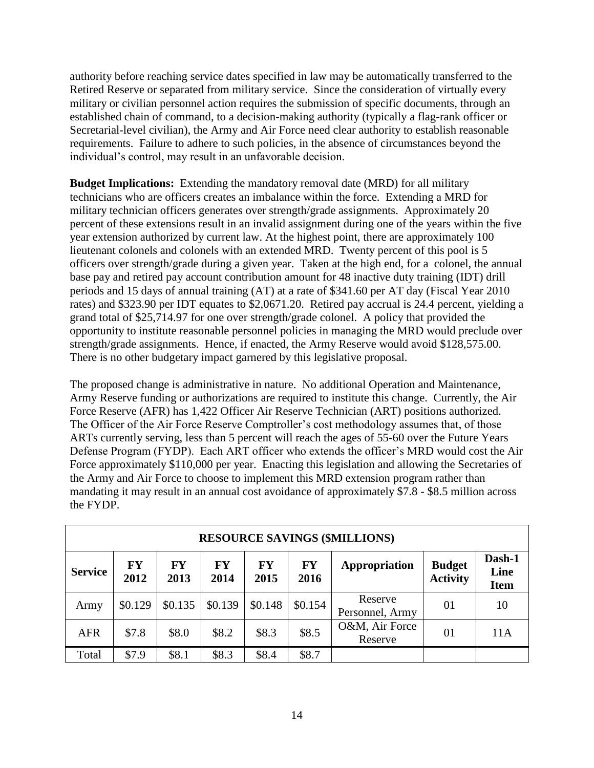authority before reaching service dates specified in law may be automatically transferred to the Retired Reserve or separated from military service. Since the consideration of virtually every military or civilian personnel action requires the submission of specific documents, through an established chain of command, to a decision-making authority (typically a flag-rank officer or Secretarial-level civilian), the Army and Air Force need clear authority to establish reasonable requirements. Failure to adhere to such policies, in the absence of circumstances beyond the individual's control, may result in an unfavorable decision.

**Budget Implications:** Extending the mandatory removal date (MRD) for all military technicians who are officers creates an imbalance within the force. Extending a MRD for military technician officers generates over strength/grade assignments. Approximately 20 percent of these extensions result in an invalid assignment during one of the years within the five year extension authorized by current law. At the highest point, there are approximately 100 lieutenant colonels and colonels with an extended MRD. Twenty percent of this pool is 5 officers over strength/grade during a given year. Taken at the high end, for a colonel, the annual base pay and retired pay account contribution amount for 48 inactive duty training (IDT) drill periods and 15 days of annual training (AT) at a rate of \$341.60 per AT day (Fiscal Year 2010 rates) and \$323.90 per IDT equates to \$2,0671.20. Retired pay accrual is 24.4 percent, yielding a grand total of \$25,714.97 for one over strength/grade colonel. A policy that provided the opportunity to institute reasonable personnel policies in managing the MRD would preclude over strength/grade assignments. Hence, if enacted, the Army Reserve would avoid \$128,575.00. There is no other budgetary impact garnered by this legislative proposal.

The proposed change is administrative in nature. No additional Operation and Maintenance, Army Reserve funding or authorizations are required to institute this change. Currently, the Air Force Reserve (AFR) has 1,422 Officer Air Reserve Technician (ART) positions authorized. The Officer of the Air Force Reserve Comptroller's cost methodology assumes that, of those ARTs currently serving, less than 5 percent will reach the ages of 55-60 over the Future Years Defense Program (FYDP). Each ART officer who extends the officer's MRD would cost the Air Force approximately \$110,000 per year. Enacting this legislation and allowing the Secretaries of the Army and Air Force to choose to implement this MRD extension program rather than mandating it may result in an annual cost avoidance of approximately \$7.8 - \$8.5 million across the FYDP.

|                | <b>RESOURCE SAVINGS (\$MILLIONS)</b> |                   |                   |                   |                   |                            |                                  |                               |  |  |  |  |  |  |
|----------------|--------------------------------------|-------------------|-------------------|-------------------|-------------------|----------------------------|----------------------------------|-------------------------------|--|--|--|--|--|--|
| <b>Service</b> | <b>FY</b><br>2012                    | <b>FY</b><br>2013 | <b>FY</b><br>2014 | <b>FY</b><br>2015 | <b>FY</b><br>2016 | Appropriation              | <b>Budget</b><br><b>Activity</b> | Dash-1<br>Line<br><b>Item</b> |  |  |  |  |  |  |
| Army           | \$0.129                              | \$0.135           | \$0.139           | \$0.148           | \$0.154           | Reserve<br>Personnel, Army | 01                               | 10                            |  |  |  |  |  |  |
| <b>AFR</b>     | \$7.8                                | \$8.0             | \$8.2             | \$8.3             | \$8.5             | O&M, Air Force<br>Reserve  | 01                               | 11A                           |  |  |  |  |  |  |
| Total          | \$7.9                                | \$8.1             | \$8.3             | \$8.4             | \$8.7             |                            |                                  |                               |  |  |  |  |  |  |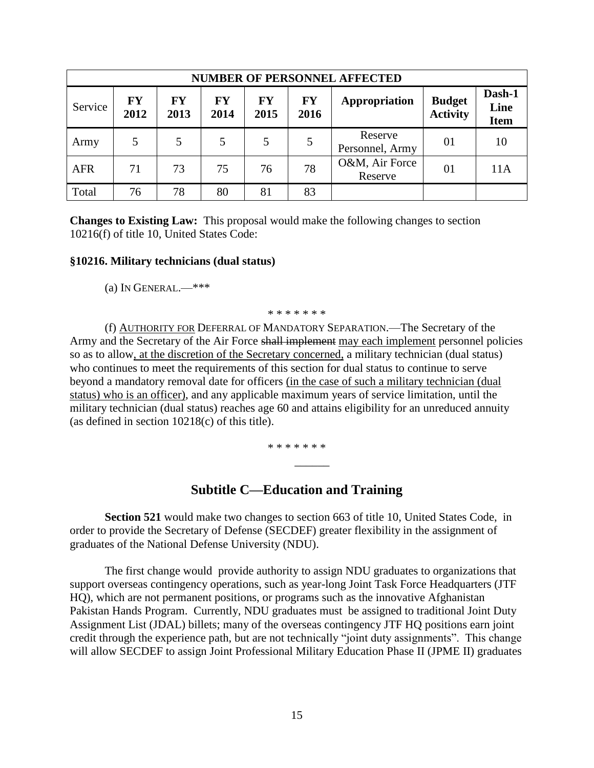|            | <b>NUMBER OF PERSONNEL AFFECTED</b> |            |            |                   |                   |                            |                                  |                               |  |  |  |  |  |  |
|------------|-------------------------------------|------------|------------|-------------------|-------------------|----------------------------|----------------------------------|-------------------------------|--|--|--|--|--|--|
| Service    | <b>FY</b><br>2012                   | FY<br>2013 | FY<br>2014 | <b>FY</b><br>2015 | <b>FY</b><br>2016 | Appropriation              | <b>Budget</b><br><b>Activity</b> | Dash-1<br>Line<br><b>Item</b> |  |  |  |  |  |  |
| Army       |                                     |            | 5          | 5                 | 5                 | Reserve<br>Personnel, Army | 01                               | 10                            |  |  |  |  |  |  |
| <b>AFR</b> | 71                                  | 73         | 75         | 76                | 78                | O&M, Air Force<br>Reserve  | 01                               | 11A                           |  |  |  |  |  |  |
| Total      | 76                                  | 78         | 80         | 81                | 83                |                            |                                  |                               |  |  |  |  |  |  |

**Changes to Existing Law:** This proposal would make the following changes to section 10216(f) of title 10, United States Code:

#### **§10216. Military technicians (dual status)**

(a) IN GENERAL.— $***$ 

\* \* \* \* \* \* \*

(f) AUTHORITY FOR DEFERRAL OF MANDATORY SEPARATION.—The Secretary of the Army and the Secretary of the Air Force shall implement may each implement personnel policies so as to allow, at the discretion of the Secretary concerned, a military technician (dual status) who continues to meet the requirements of this section for dual status to continue to serve beyond a mandatory removal date for officers (in the case of such a military technician (dual status) who is an officer), and any applicable maximum years of service limitation, until the military technician (dual status) reaches age 60 and attains eligibility for an unreduced annuity (as defined in section 10218(c) of this title).

\* \* \* \* \* \* \*

\_\_\_\_\_\_

## **Subtitle C—Education and Training**

**Section 521** would make two changes to section 663 of title 10, United States Code, in order to provide the Secretary of Defense (SECDEF) greater flexibility in the assignment of graduates of the National Defense University (NDU).

The first change would provide authority to assign NDU graduates to organizations that support overseas contingency operations, such as year-long Joint Task Force Headquarters (JTF HQ), which are not permanent positions, or programs such as the innovative Afghanistan Pakistan Hands Program. Currently, NDU graduates must be assigned to traditional Joint Duty Assignment List (JDAL) billets; many of the overseas contingency JTF HQ positions earn joint credit through the experience path, but are not technically "joint duty assignments". This change will allow SECDEF to assign Joint Professional Military Education Phase II (JPME II) graduates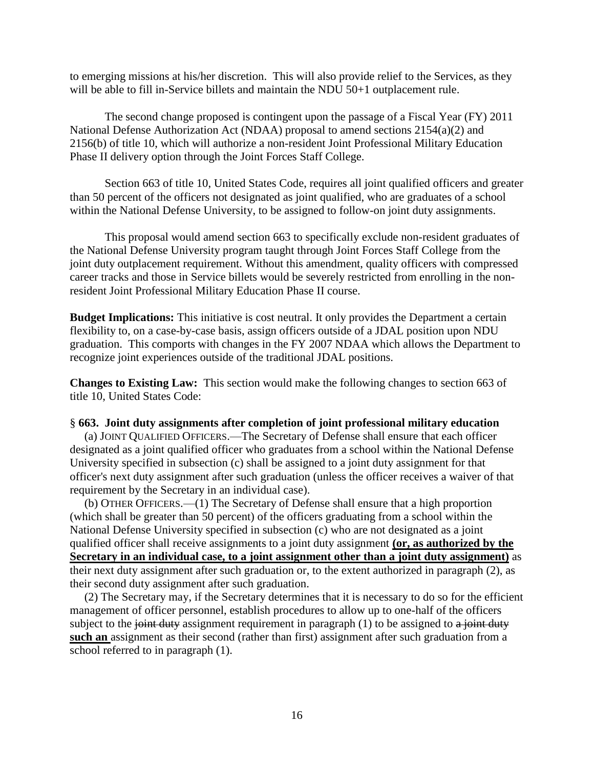to emerging missions at his/her discretion. This will also provide relief to the Services, as they will be able to fill in-Service billets and maintain the NDU 50+1 outplacement rule.

The second change proposed is contingent upon the passage of a Fiscal Year (FY) 2011 National Defense Authorization Act (NDAA) proposal to amend sections 2154(a)(2) and 2156(b) of title 10, which will authorize a non-resident Joint Professional Military Education Phase II delivery option through the Joint Forces Staff College.

Section 663 of title 10, United States Code, requires all joint qualified officers and greater than 50 percent of the officers not designated as joint qualified, who are graduates of a school within the National Defense University, to be assigned to follow-on joint duty assignments.

This proposal would amend section 663 to specifically exclude non-resident graduates of the National Defense University program taught through Joint Forces Staff College from the joint duty outplacement requirement. Without this amendment, quality officers with compressed career tracks and those in Service billets would be severely restricted from enrolling in the nonresident Joint Professional Military Education Phase II course.

**Budget Implications:** This initiative is cost neutral. It only provides the Department a certain flexibility to, on a case-by-case basis, assign officers outside of a JDAL position upon NDU graduation. This comports with changes in the FY 2007 NDAA which allows the Department to recognize joint experiences outside of the traditional JDAL positions.

**Changes to Existing Law:** This section would make the following changes to section 663 of title 10, United States Code:

#### § **663. Joint duty assignments after completion of joint professional military education**

 (a) JOINT QUALIFIED OFFICERS.—The Secretary of Defense shall ensure that each officer designated as a joint qualified officer who graduates from a school within the National Defense University specified in subsection (c) shall be assigned to a joint duty assignment for that officer's next duty assignment after such graduation (unless the officer receives a waiver of that requirement by the Secretary in an individual case).

 (b) OTHER OFFICERS.—(1) The Secretary of Defense shall ensure that a high proportion (which shall be greater than 50 percent) of the officers graduating from a school within the National Defense University specified in subsection (c) who are not designated as a joint qualified officer shall receive assignments to a joint duty assignment **(or, as authorized by the Secretary in an individual case, to a joint assignment other than a joint duty assignment)** as their next duty assignment after such graduation or, to the extent authorized in paragraph (2), as their second duty assignment after such graduation.

 (2) The Secretary may, if the Secretary determines that it is necessary to do so for the efficient management of officer personnel, establish procedures to allow up to one-half of the officers subject to the joint duty assignment requirement in paragraph  $(1)$  to be assigned to a joint duty **such an** assignment as their second (rather than first) assignment after such graduation from a school referred to in paragraph (1).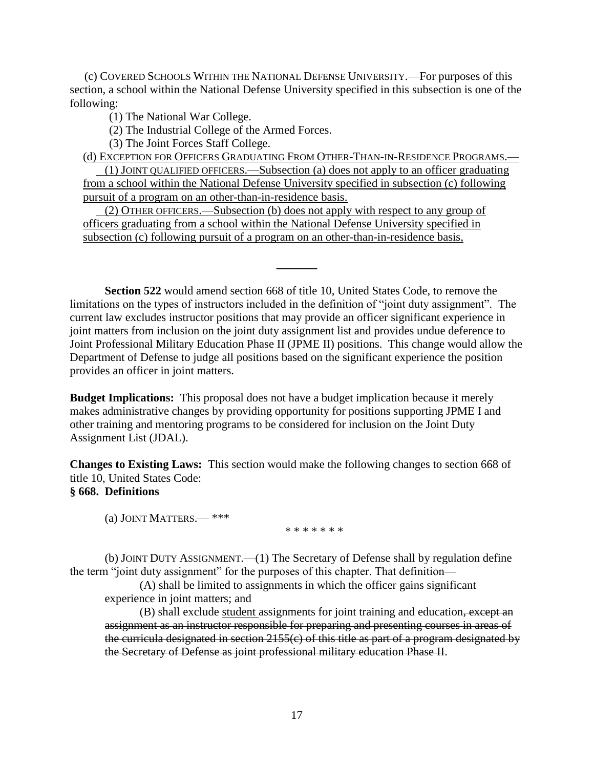(c) COVERED SCHOOLS WITHIN THE NATIONAL DEFENSE UNIVERSITY.—For purposes of this section, a school within the National Defense University specified in this subsection is one of the following:

(1) The National War College.

(2) The Industrial College of the Armed Forces.

(3) The Joint Forces Staff College.

(d) EXCEPTION FOR OFFICERS GRADUATING FROM OTHER-THAN-IN-RESIDENCE PROGRAMS.-

(1) JOINT QUALIFIED OFFICERS.—Subsection (a) does not apply to an officer graduating from a school within the National Defense University specified in subsection (c) following pursuit of a program on an other-than-in-residence basis.

(2) OTHER OFFICERS.—Subsection (b) does not apply with respect to any group of officers graduating from a school within the National Defense University specified in subsection (c) following pursuit of a program on an other-than-in-residence basis,

**Section 522** would amend section 668 of title 10, United States Code, to remove the limitations on the types of instructors included in the definition of "joint duty assignment". The current law excludes instructor positions that may provide an officer significant experience in joint matters from inclusion on the joint duty assignment list and provides undue deference to Joint Professional Military Education Phase II (JPME II) positions. This change would allow the Department of Defense to judge all positions based on the significant experience the position provides an officer in joint matters.

 $\frac{1}{2}$ 

**Budget Implications:** This proposal does not have a budget implication because it merely makes administrative changes by providing opportunity for positions supporting JPME I and other training and mentoring programs to be considered for inclusion on the Joint Duty Assignment List (JDAL).

**Changes to Existing Laws:** This section would make the following changes to section 668 of title 10, United States Code:

## **§ 668. Definitions**

(a) JOINT MATTERS.— \*\*\*

\* \* \* \* \* \* \*

(b) JOINT DUTY ASSIGNMENT.—(1) The Secretary of Defense shall by regulation define the term "joint duty assignment" for the purposes of this chapter. That definition—

(A) shall be limited to assignments in which the officer gains significant experience in joint matters; and

(B) shall exclude student assignments for joint training and education, except an assignment as an instructor responsible for preparing and presenting courses in areas of the curricula designated in section  $2155(c)$  of this title as part of a program designated by the Secretary of Defense as joint professional military education Phase II.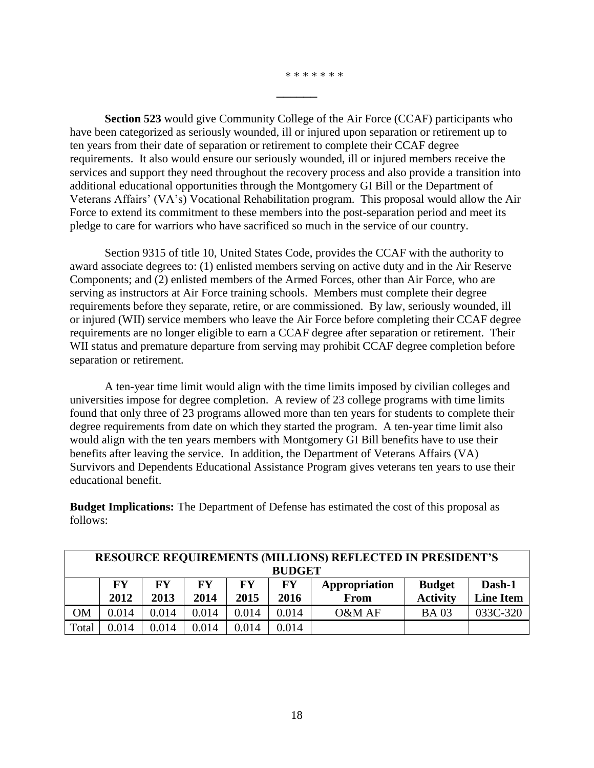\* \* \* \* \* \* \*

**Section 523** would give Community College of the Air Force (CCAF) participants who have been categorized as seriously wounded, ill or injured upon separation or retirement up to ten years from their date of separation or retirement to complete their CCAF degree requirements. It also would ensure our seriously wounded, ill or injured members receive the services and support they need throughout the recovery process and also provide a transition into additional educational opportunities through the Montgomery GI Bill or the Department of Veterans Affairs' (VA's) Vocational Rehabilitation program. This proposal would allow the Air Force to extend its commitment to these members into the post-separation period and meet its pledge to care for warriors who have sacrificed so much in the service of our country.

**\_\_\_\_\_\_**

Section 9315 of title 10, United States Code, provides the CCAF with the authority to award associate degrees to: (1) enlisted members serving on active duty and in the Air Reserve Components; and (2) enlisted members of the Armed Forces, other than Air Force, who are serving as instructors at Air Force training schools. Members must complete their degree requirements before they separate, retire, or are commissioned. By law, seriously wounded, ill or injured (WII) service members who leave the Air Force before completing their CCAF degree requirements are no longer eligible to earn a CCAF degree after separation or retirement. Their WII status and premature departure from serving may prohibit CCAF degree completion before separation or retirement.

A ten-year time limit would align with the time limits imposed by civilian colleges and universities impose for degree completion. A review of 23 college programs with time limits found that only three of 23 programs allowed more than ten years for students to complete their degree requirements from date on which they started the program. A ten-year time limit also would align with the ten years members with Montgomery GI Bill benefits have to use their benefits after leaving the service. In addition, the Department of Veterans Affairs (VA) Survivors and Dependents Educational Assistance Program gives veterans ten years to use their educational benefit.

**Budget Implications:** The Department of Defense has estimated the cost of this proposal as follows:

|           | <b>RESOURCE REQUIREMENTS (MILLIONS) REFLECTED IN PRESIDENT'S</b>               |       |       |       |       |        |                 |                  |  |  |  |  |  |
|-----------|--------------------------------------------------------------------------------|-------|-------|-------|-------|--------|-----------------|------------------|--|--|--|--|--|
|           | <b>BUDGET</b>                                                                  |       |       |       |       |        |                 |                  |  |  |  |  |  |
|           | FY<br>Dash-1<br><b>FY</b><br>FY.<br>FY<br>FY<br><b>Budget</b><br>Appropriation |       |       |       |       |        |                 |                  |  |  |  |  |  |
|           | 2012                                                                           | 2013  | 2014  | 2015  | 2016  | From   | <b>Activity</b> | <b>Line Item</b> |  |  |  |  |  |
| <b>OM</b> | 0.014                                                                          | 0.014 | 0.014 | 0.014 | 0.014 | O&M AF | <b>BA03</b>     | 033C-320         |  |  |  |  |  |
| Total     | 0.014                                                                          | 0.014 | 0.014 | 0.014 | 0.014 |        |                 |                  |  |  |  |  |  |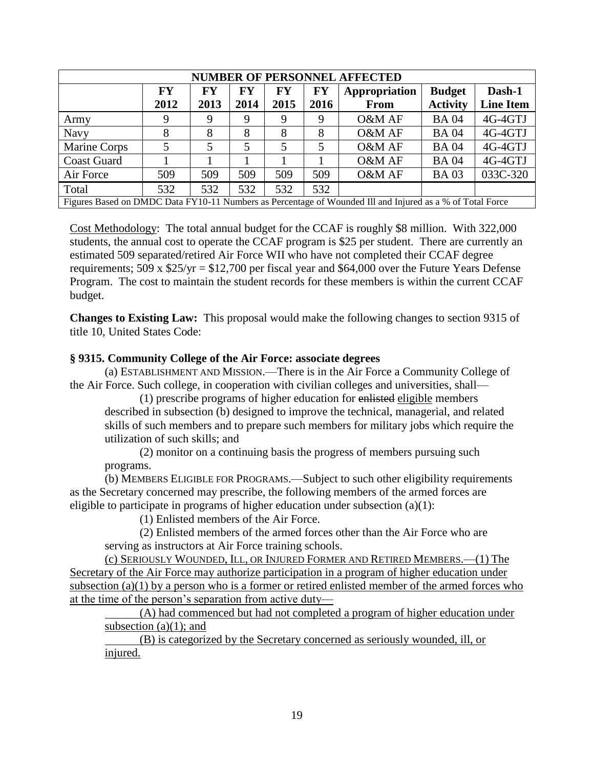| <b>NUMBER OF PERSONNEL AFFECTED</b>                                                                       |           |           |           |      |           |               |                 |                  |
|-----------------------------------------------------------------------------------------------------------|-----------|-----------|-----------|------|-----------|---------------|-----------------|------------------|
|                                                                                                           | <b>FY</b> | <b>FY</b> | <b>FY</b> | FY   | <b>FY</b> | Appropriation | <b>Budget</b>   | Dash-1           |
|                                                                                                           | 2012      | 2013      | 2014      | 2015 | 2016      | <b>From</b>   | <b>Activity</b> | <b>Line Item</b> |
| Army                                                                                                      | 9         | 9         | 9         | 9    | 9         | O&M AF        | <b>BA04</b>     | 4G-4GTJ          |
| <b>Navy</b>                                                                                               | 8         | 8         | 8         | 8    | 8         | O&M AF        | <b>BA04</b>     | 4G-4GTJ          |
| Marine Corps                                                                                              | 5         | 5         | 5         | 5    | 5         | O&M AF        | <b>BA04</b>     | 4G-4GTJ          |
| <b>Coast Guard</b>                                                                                        |           |           |           |      |           | O&M AF        | <b>BA04</b>     | 4G-4GTJ          |
| Air Force                                                                                                 | 509       | 509       | 509       | 509  | 509       | O&M AF        | <b>BA03</b>     | 033C-320         |
| Total                                                                                                     | 532       | 532       | 532       | 532  | 532       |               |                 |                  |
| Figures Based on DMDC Data FY10-11 Numbers as Percentage of Wounded III and Injured as a % of Total Force |           |           |           |      |           |               |                 |                  |

Cost Methodology: The total annual budget for the CCAF is roughly \$8 million. With 322,000 students, the annual cost to operate the CCAF program is \$25 per student. There are currently an estimated 509 separated/retired Air Force WII who have not completed their CCAF degree requirements;  $509 \times $25/\text{yr} = $12,700$  per fiscal year and \$64,000 over the Future Years Defense Program. The cost to maintain the student records for these members is within the current CCAF budget.

**Changes to Existing Law:** This proposal would make the following changes to section 9315 of title 10, United States Code:

### **§ 9315. Community College of the Air Force: associate degrees**

(a) ESTABLISHMENT AND MISSION.—There is in the Air Force a Community College of the Air Force. Such college, in cooperation with civilian colleges and universities, shall—

(1) prescribe programs of higher education for enlisted eligible members described in subsection (b) designed to improve the technical, managerial, and related skills of such members and to prepare such members for military jobs which require the utilization of such skills; and

(2) monitor on a continuing basis the progress of members pursuing such programs.

(b) MEMBERS ELIGIBLE FOR PROGRAMS.—Subject to such other eligibility requirements as the Secretary concerned may prescribe, the following members of the armed forces are eligible to participate in programs of higher education under subsection  $(a)(1)$ :

(1) Enlisted members of the Air Force.

(2) Enlisted members of the armed forces other than the Air Force who are serving as instructors at Air Force training schools.

(c) SERIOUSLY WOUNDED, ILL, OR INJURED FORMER AND RETIRED MEMBERS.—(1) The Secretary of the Air Force may authorize participation in a program of higher education under subsection (a)(1) by a person who is a former or retired enlisted member of the armed forces who at the time of the person's separation from active duty—

(A) had commenced but had not completed a program of higher education under subsection  $(a)(1)$ ; and

(B) is categorized by the Secretary concerned as seriously wounded, ill, or injured.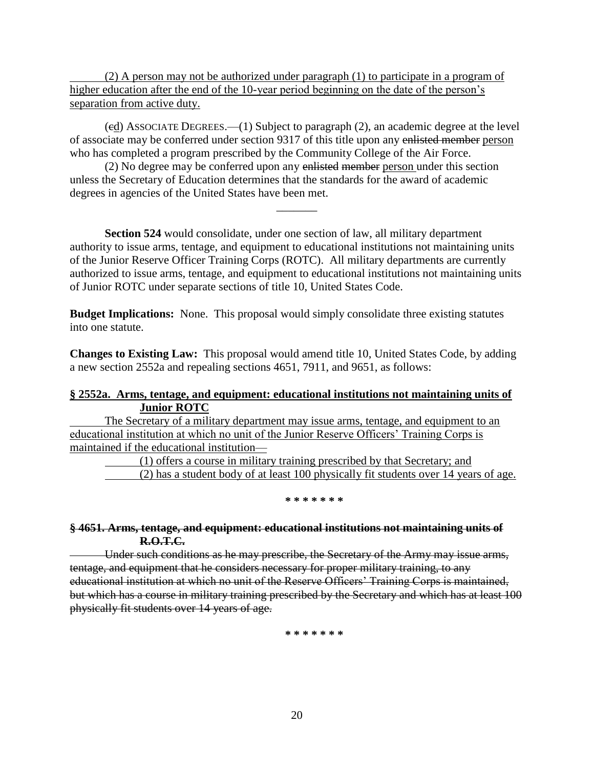(2) A person may not be authorized under paragraph (1) to participate in a program of higher education after the end of the 10-year period beginning on the date of the person's separation from active duty.

(cd) ASSOCIATE DEGREES.—(1) Subject to paragraph (2), an academic degree at the level of associate may be conferred under section 9317 of this title upon any enlisted member person who has completed a program prescribed by the Community College of the Air Force.

(2) No degree may be conferred upon any enlisted member person under this section unless the Secretary of Education determines that the standards for the award of academic degrees in agencies of the United States have been met.

**Section 524** would consolidate, under one section of law, all military department authority to issue arms, tentage, and equipment to educational institutions not maintaining units of the Junior Reserve Officer Training Corps (ROTC). All military departments are currently authorized to issue arms, tentage, and equipment to educational institutions not maintaining units of Junior ROTC under separate sections of title 10, United States Code.

 $\overline{\phantom{a}}$ 

**Budget Implications:** None. This proposal would simply consolidate three existing statutes into one statute.

**Changes to Existing Law:** This proposal would amend title 10, United States Code, by adding a new section 2552a and repealing sections 4651, 7911, and 9651, as follows:

### **§ 2552a. Arms, tentage, and equipment: educational institutions not maintaining units of Junior ROTC**

The Secretary of a military department may issue arms, tentage, and equipment to an educational institution at which no unit of the Junior Reserve Officers' Training Corps is maintained if the educational institution—

(1) offers a course in military training prescribed by that Secretary; and

(2) has a student body of at least 100 physically fit students over 14 years of age.

#### **\* \* \* \* \* \* \***

### **§ 4651. Arms, tentage, and equipment: educational institutions not maintaining units of R.O.T.C.**

Under such conditions as he may prescribe, the Secretary of the Army may issue arms, tentage, and equipment that he considers necessary for proper military training, to any educational institution at which no unit of the Reserve Officers' Training Corps is maintained, but which has a course in military training prescribed by the Secretary and which has at least 100 physically fit students over 14 years of age.

**\* \* \* \* \* \* \***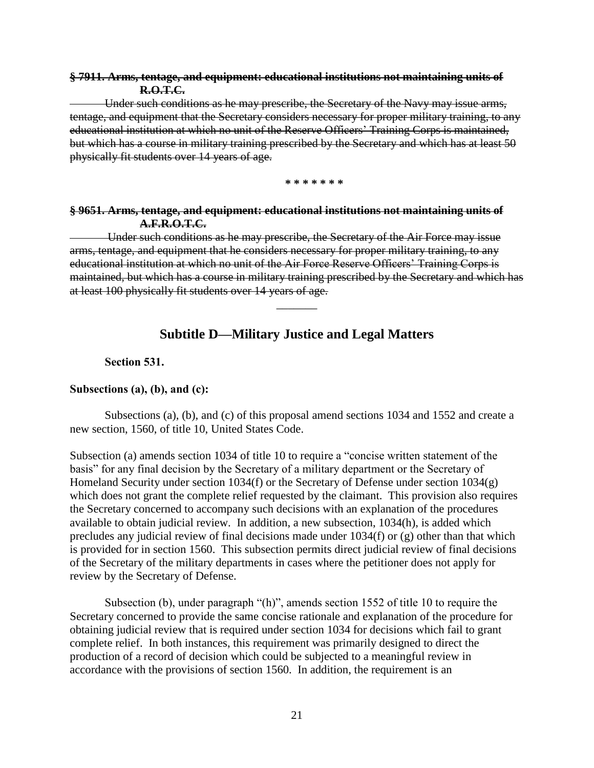### **§ 7911. Arms, tentage, and equipment: educational institutions not maintaining units of R.O.T.C.**

Under such conditions as he may prescribe, the Secretary of the Navy may issue arms, tentage, and equipment that the Secretary considers necessary for proper military training, to any educational institution at which no unit of the Reserve Officers' Training Corps is maintained, but which has a course in military training prescribed by the Secretary and which has at least 50 physically fit students over 14 years of age.

**\* \* \* \* \* \* \***

### **§ 9651. Arms, tentage, and equipment: educational institutions not maintaining units of A.F.R.O.T.C.**

Under such conditions as he may prescribe, the Secretary of the Air Force may issue arms, tentage, and equipment that he considers necessary for proper military training, to any educational institution at which no unit of the Air Force Reserve Officers' Training Corps is maintained, but which has a course in military training prescribed by the Secretary and which has at least 100 physically fit students over 14 years of age.

## **Subtitle D—Military Justice and Legal Matters**

 $\overline{\phantom{a}}$ 

#### **Section 531.**

#### **Subsections (a), (b), and (c):**

Subsections (a), (b), and (c) of this proposal amend sections 1034 and 1552 and create a new section, 1560, of title 10, United States Code.

Subsection (a) amends section 1034 of title 10 to require a "concise written statement of the basis" for any final decision by the Secretary of a military department or the Secretary of Homeland Security under section 1034(f) or the Secretary of Defense under section 1034(g) which does not grant the complete relief requested by the claimant. This provision also requires the Secretary concerned to accompany such decisions with an explanation of the procedures available to obtain judicial review. In addition, a new subsection, 1034(h), is added which precludes any judicial review of final decisions made under 1034(f) or (g) other than that which is provided for in section 1560. This subsection permits direct judicial review of final decisions of the Secretary of the military departments in cases where the petitioner does not apply for review by the Secretary of Defense.

Subsection (b), under paragraph  $\lq$ (h)", amends section 1552 of title 10 to require the Secretary concerned to provide the same concise rationale and explanation of the procedure for obtaining judicial review that is required under section 1034 for decisions which fail to grant complete relief. In both instances, this requirement was primarily designed to direct the production of a record of decision which could be subjected to a meaningful review in accordance with the provisions of section 1560. In addition, the requirement is an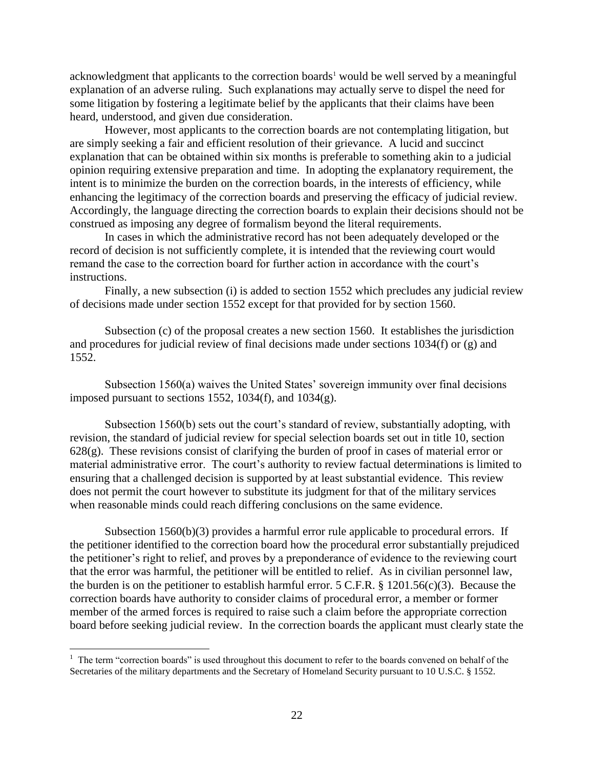acknowledgment that applicants to the correction boards<sup>1</sup> would be well served by a meaningful explanation of an adverse ruling. Such explanations may actually serve to dispel the need for some litigation by fostering a legitimate belief by the applicants that their claims have been heard, understood, and given due consideration.

However, most applicants to the correction boards are not contemplating litigation, but are simply seeking a fair and efficient resolution of their grievance. A lucid and succinct explanation that can be obtained within six months is preferable to something akin to a judicial opinion requiring extensive preparation and time. In adopting the explanatory requirement, the intent is to minimize the burden on the correction boards, in the interests of efficiency, while enhancing the legitimacy of the correction boards and preserving the efficacy of judicial review. Accordingly, the language directing the correction boards to explain their decisions should not be construed as imposing any degree of formalism beyond the literal requirements.

In cases in which the administrative record has not been adequately developed or the record of decision is not sufficiently complete, it is intended that the reviewing court would remand the case to the correction board for further action in accordance with the court's instructions.

Finally, a new subsection (i) is added to section 1552 which precludes any judicial review of decisions made under section 1552 except for that provided for by section 1560.

Subsection (c) of the proposal creates a new section 1560. It establishes the jurisdiction and procedures for judicial review of final decisions made under sections 1034(f) or (g) and 1552.

Subsection 1560(a) waives the United States' sovereign immunity over final decisions imposed pursuant to sections 1552, 1034 $(f)$ , and 1034 $(g)$ .

Subsection 1560(b) sets out the court's standard of review, substantially adopting, with revision, the standard of judicial review for special selection boards set out in title 10, section  $628(g)$ . These revisions consist of clarifying the burden of proof in cases of material error or material administrative error. The court's authority to review factual determinations is limited to ensuring that a challenged decision is supported by at least substantial evidence. This review does not permit the court however to substitute its judgment for that of the military services when reasonable minds could reach differing conclusions on the same evidence.

Subsection  $1560(b)(3)$  provides a harmful error rule applicable to procedural errors. If the petitioner identified to the correction board how the procedural error substantially prejudiced the petitioner's right to relief, and proves by a preponderance of evidence to the reviewing court that the error was harmful, the petitioner will be entitled to relief. As in civilian personnel law, the burden is on the petitioner to establish harmful error. 5 C.F.R. § 1201.56(c)(3). Because the correction boards have authority to consider claims of procedural error, a member or former member of the armed forces is required to raise such a claim before the appropriate correction board before seeking judicial review. In the correction boards the applicant must clearly state the

 $\overline{a}$ 

 $1$  The term "correction boards" is used throughout this document to refer to the boards convened on behalf of the Secretaries of the military departments and the Secretary of Homeland Security pursuant to 10 U.S.C. § 1552.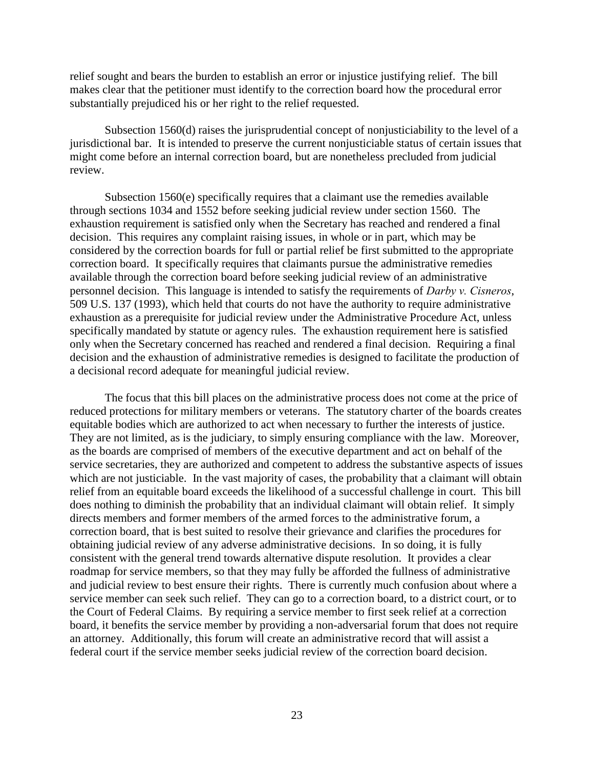relief sought and bears the burden to establish an error or injustice justifying relief. The bill makes clear that the petitioner must identify to the correction board how the procedural error substantially prejudiced his or her right to the relief requested.

Subsection 1560(d) raises the jurisprudential concept of nonjusticiability to the level of a jurisdictional bar. It is intended to preserve the current nonjusticiable status of certain issues that might come before an internal correction board, but are nonetheless precluded from judicial review.

Subsection 1560(e) specifically requires that a claimant use the remedies available through sections 1034 and 1552 before seeking judicial review under section 1560. The exhaustion requirement is satisfied only when the Secretary has reached and rendered a final decision. This requires any complaint raising issues, in whole or in part, which may be considered by the correction boards for full or partial relief be first submitted to the appropriate correction board. It specifically requires that claimants pursue the administrative remedies available through the correction board before seeking judicial review of an administrative personnel decision. This language is intended to satisfy the requirements of *Darby v. Cisneros*, 509 U.S. 137 (1993), which held that courts do not have the authority to require administrative exhaustion as a prerequisite for judicial review under the Administrative Procedure Act, unless specifically mandated by statute or agency rules. The exhaustion requirement here is satisfied only when the Secretary concerned has reached and rendered a final decision. Requiring a final decision and the exhaustion of administrative remedies is designed to facilitate the production of a decisional record adequate for meaningful judicial review.

The focus that this bill places on the administrative process does not come at the price of reduced protections for military members or veterans. The statutory charter of the boards creates equitable bodies which are authorized to act when necessary to further the interests of justice. They are not limited, as is the judiciary, to simply ensuring compliance with the law. Moreover, as the boards are comprised of members of the executive department and act on behalf of the service secretaries, they are authorized and competent to address the substantive aspects of issues which are not justiciable. In the vast majority of cases, the probability that a claimant will obtain relief from an equitable board exceeds the likelihood of a successful challenge in court. This bill does nothing to diminish the probability that an individual claimant will obtain relief. It simply directs members and former members of the armed forces to the administrative forum, a correction board, that is best suited to resolve their grievance and clarifies the procedures for obtaining judicial review of any adverse administrative decisions. In so doing, it is fully consistent with the general trend towards alternative dispute resolution. It provides a clear roadmap for service members, so that they may fully be afforded the fullness of administrative and judicial review to best ensure their rights. There is currently much confusion about where a service member can seek such relief. They can go to a correction board, to a district court, or to the Court of Federal Claims. By requiring a service member to first seek relief at a correction board, it benefits the service member by providing a non-adversarial forum that does not require an attorney. Additionally, this forum will create an administrative record that will assist a federal court if the service member seeks judicial review of the correction board decision.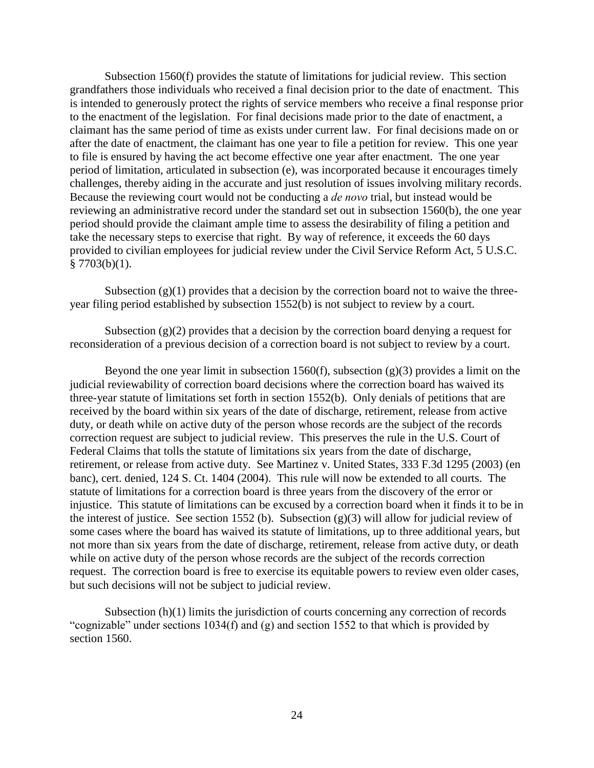Subsection 1560(f) provides the statute of limitations for judicial review. This section grandfathers those individuals who received a final decision prior to the date of enactment. This is intended to generously protect the rights of service members who receive a final response prior to the enactment of the legislation. For final decisions made prior to the date of enactment, a claimant has the same period of time as exists under current law. For final decisions made on or after the date of enactment, the claimant has one year to file a petition for review. This one year to file is ensured by having the act become effective one year after enactment. The one year period of limitation, articulated in subsection (e), was incorporated because it encourages timely challenges, thereby aiding in the accurate and just resolution of issues involving military records. Because the reviewing court would not be conducting a *de novo* trial, but instead would be reviewing an administrative record under the standard set out in subsection 1560(b), the one year period should provide the claimant ample time to assess the desirability of filing a petition and take the necessary steps to exercise that right. By way of reference, it exceeds the 60 days provided to civilian employees for judicial review under the Civil Service Reform Act, 5 U.S.C.  $§ 7703(b)(1).$ 

Subsection  $(g)(1)$  provides that a decision by the correction board not to waive the threeyear filing period established by subsection 1552(b) is not subject to review by a court.

Subsection  $(g)(2)$  provides that a decision by the correction board denying a request for reconsideration of a previous decision of a correction board is not subject to review by a court.

Beyond the one year limit in subsection 1560(f), subsection  $(g)(3)$  provides a limit on the judicial reviewability of correction board decisions where the correction board has waived its three-year statute of limitations set forth in section 1552(b). Only denials of petitions that are received by the board within six years of the date of discharge, retirement, release from active duty, or death while on active duty of the person whose records are the subject of the records correction request are subject to judicial review. This preserves the rule in the U.S. Court of Federal Claims that tolls the statute of limitations six years from the date of discharge, retirement, or release from active duty. See Martinez v. United States, 333 F.3d 1295 (2003) (en banc), cert. denied, 124 S. Ct. 1404 (2004). This rule will now be extended to all courts. The statute of limitations for a correction board is three years from the discovery of the error or injustice. This statute of limitations can be excused by a correction board when it finds it to be in the interest of justice. See section 1552 (b). Subsection  $(g)(3)$  will allow for judicial review of some cases where the board has waived its statute of limitations, up to three additional years, but not more than six years from the date of discharge, retirement, release from active duty, or death while on active duty of the person whose records are the subject of the records correction request. The correction board is free to exercise its equitable powers to review even older cases, but such decisions will not be subject to judicial review.

Subsection (h)(1) limits the jurisdiction of courts concerning any correction of records "cognizable" under sections  $1034(f)$  and (g) and section 1552 to that which is provided by section 1560.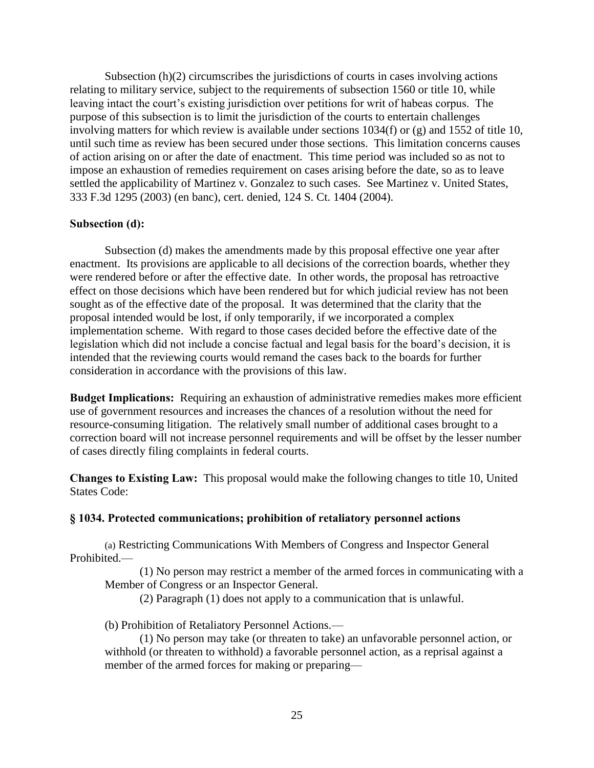Subsection (h)(2) circumscribes the jurisdictions of courts in cases involving actions relating to military service, subject to the requirements of subsection 1560 or title 10, while leaving intact the court's existing jurisdiction over petitions for writ of habeas corpus. The purpose of this subsection is to limit the jurisdiction of the courts to entertain challenges involving matters for which review is available under sections 1034(f) or (g) and 1552 of title 10, until such time as review has been secured under those sections. This limitation concerns causes of action arising on or after the date of enactment. This time period was included so as not to impose an exhaustion of remedies requirement on cases arising before the date, so as to leave settled the applicability of Martinez v. Gonzalez to such cases. See Martinez v. United States, 333 F.3d 1295 (2003) (en banc), cert. denied, 124 S. Ct. 1404 (2004).

#### **Subsection (d):**

Subsection (d) makes the amendments made by this proposal effective one year after enactment. Its provisions are applicable to all decisions of the correction boards, whether they were rendered before or after the effective date. In other words, the proposal has retroactive effect on those decisions which have been rendered but for which judicial review has not been sought as of the effective date of the proposal. It was determined that the clarity that the proposal intended would be lost, if only temporarily, if we incorporated a complex implementation scheme. With regard to those cases decided before the effective date of the legislation which did not include a concise factual and legal basis for the board's decision, it is intended that the reviewing courts would remand the cases back to the boards for further consideration in accordance with the provisions of this law.

**Budget Implications:** Requiring an exhaustion of administrative remedies makes more efficient use of government resources and increases the chances of a resolution without the need for resource-consuming litigation. The relatively small number of additional cases brought to a correction board will not increase personnel requirements and will be offset by the lesser number of cases directly filing complaints in federal courts.

**Changes to Existing Law:** This proposal would make the following changes to title 10, United States Code:

#### **§ 1034. Protected communications; prohibition of retaliatory personnel actions**

(a) Restricting Communications With Members of Congress and Inspector General Prohibited.—

(1) No person may restrict a member of the armed forces in communicating with a Member of Congress or an Inspector General.

(2) Paragraph (1) does not apply to a communication that is unlawful.

(b) Prohibition of Retaliatory Personnel Actions.—

(1) No person may take (or threaten to take) an unfavorable personnel action, or withhold (or threaten to withhold) a favorable personnel action, as a reprisal against a member of the armed forces for making or preparing—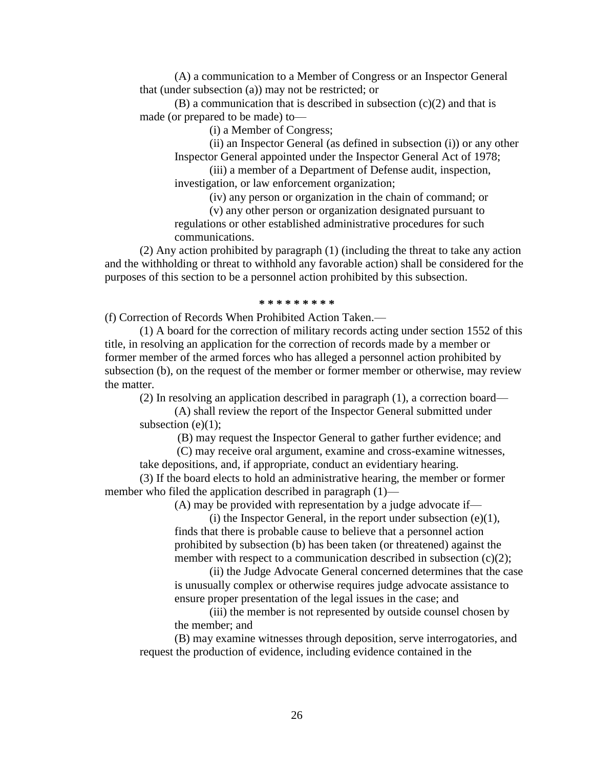(A) a communication to a Member of Congress or an Inspector General that (under subsection (a)) may not be restricted; or

 $(B)$  a communication that is described in subsection  $(c)(2)$  and that is made (or prepared to be made) to—

(i) a Member of Congress;

(ii) an Inspector General (as defined in subsection (i)) or any other Inspector General appointed under the Inspector General Act of 1978;

(iii) a member of a Department of Defense audit, inspection, investigation, or law enforcement organization;

(iv) any person or organization in the chain of command; or

(v) any other person or organization designated pursuant to regulations or other established administrative procedures for such communications.

(2) Any action prohibited by paragraph (1) (including the threat to take any action and the withholding or threat to withhold any favorable action) shall be considered for the purposes of this section to be a personnel action prohibited by this subsection.

#### **\* \* \* \* \* \* \* \* \***

(f) Correction of Records When Prohibited Action Taken.—

(1) A board for the correction of military records acting under section 1552 of this title, in resolving an application for the correction of records made by a member or former member of the armed forces who has alleged a personnel action prohibited by subsection (b), on the request of the member or former member or otherwise, may review the matter.

(2) In resolving an application described in paragraph (1), a correction board—

(A) shall review the report of the Inspector General submitted under subsection  $(e)(1)$ ;

(B) may request the Inspector General to gather further evidence; and

(C) may receive oral argument, examine and cross-examine witnesses,

take depositions, and, if appropriate, conduct an evidentiary hearing.

(3) If the board elects to hold an administrative hearing, the member or former member who filed the application described in paragraph  $(1)$ —

(A) may be provided with representation by a judge advocate if—

(i) the Inspector General, in the report under subsection  $(e)(1)$ , finds that there is probable cause to believe that a personnel action prohibited by subsection (b) has been taken (or threatened) against the member with respect to a communication described in subsection (c)(2);

(ii) the Judge Advocate General concerned determines that the case is unusually complex or otherwise requires judge advocate assistance to ensure proper presentation of the legal issues in the case; and

(iii) the member is not represented by outside counsel chosen by the member; and

(B) may examine witnesses through deposition, serve interrogatories, and request the production of evidence, including evidence contained in the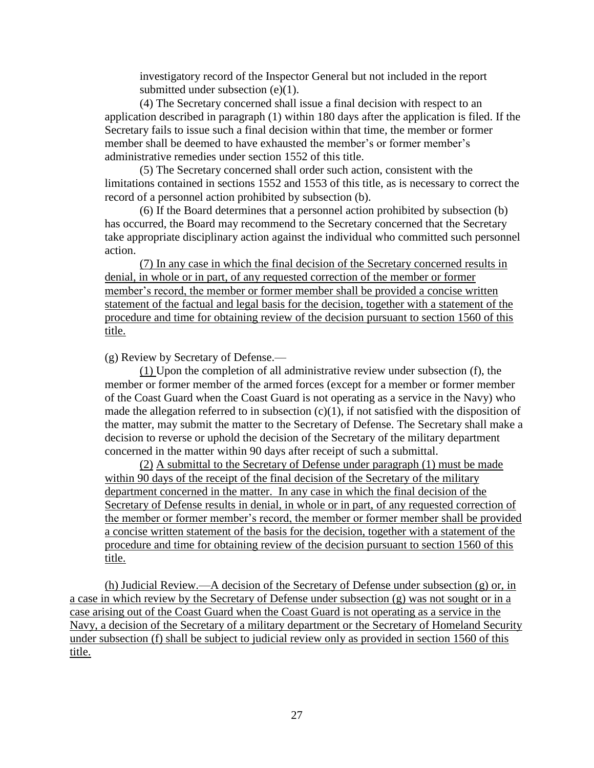investigatory record of the Inspector General but not included in the report submitted under subsection (e)(1).

(4) The Secretary concerned shall issue a final decision with respect to an application described in paragraph (1) within 180 days after the application is filed. If the Secretary fails to issue such a final decision within that time, the member or former member shall be deemed to have exhausted the member's or former member's administrative remedies under section 1552 of this title.

(5) The Secretary concerned shall order such action, consistent with the limitations contained in sections 1552 and 1553 of this title, as is necessary to correct the record of a personnel action prohibited by subsection (b).

(6) If the Board determines that a personnel action prohibited by subsection (b) has occurred, the Board may recommend to the Secretary concerned that the Secretary take appropriate disciplinary action against the individual who committed such personnel action.

(7) In any case in which the final decision of the Secretary concerned results in denial, in whole or in part, of any requested correction of the member or former member's record, the member or former member shall be provided a concise written statement of the factual and legal basis for the decision, together with a statement of the procedure and time for obtaining review of the decision pursuant to section 1560 of this title.

(g) Review by Secretary of Defense.—

(1) Upon the completion of all administrative review under subsection (f), the member or former member of the armed forces (except for a member or former member of the Coast Guard when the Coast Guard is not operating as a service in the Navy) who made the allegation referred to in subsection  $(c)(1)$ , if not satisfied with the disposition of the matter, may submit the matter to the Secretary of Defense. The Secretary shall make a decision to reverse or uphold the decision of the Secretary of the military department concerned in the matter within 90 days after receipt of such a submittal.

(2) A submittal to the Secretary of Defense under paragraph (1) must be made within 90 days of the receipt of the final decision of the Secretary of the military department concerned in the matter. In any case in which the final decision of the Secretary of Defense results in denial, in whole or in part, of any requested correction of the member or former member's record, the member or former member shall be provided a concise written statement of the basis for the decision, together with a statement of the procedure and time for obtaining review of the decision pursuant to section 1560 of this title.

(h) Judicial Review.—A decision of the Secretary of Defense under subsection (g) or, in a case in which review by the Secretary of Defense under subsection (g) was not sought or in a case arising out of the Coast Guard when the Coast Guard is not operating as a service in the Navy, a decision of the Secretary of a military department or the Secretary of Homeland Security under subsection (f) shall be subject to judicial review only as provided in section 1560 of this title.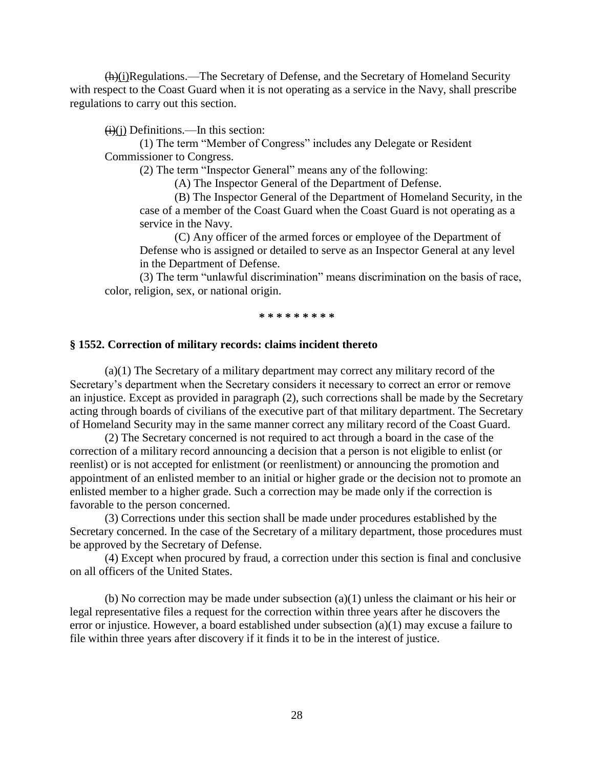(h)(i)Regulations.—The Secretary of Defense, and the Secretary of Homeland Security with respect to the Coast Guard when it is not operating as a service in the Navy, shall prescribe regulations to carry out this section.

 $(i)(i)$  Definitions.—In this section:

(1) The term "Member of Congress" includes any Delegate or Resident Commissioner to Congress.

(2) The term "Inspector General" means any of the following:

(A) The Inspector General of the Department of Defense.

(B) The Inspector General of the Department of Homeland Security, in the case of a member of the Coast Guard when the Coast Guard is not operating as a service in the Navy.

(C) Any officer of the armed forces or employee of the Department of Defense who is assigned or detailed to serve as an Inspector General at any level in the Department of Defense.

(3) The term "unlawful discrimination" means discrimination on the basis of race, color, religion, sex, or national origin.

**\* \* \* \* \* \* \* \* \***

#### **§ 1552. Correction of military records: claims incident thereto**

(a)(1) The Secretary of a military department may correct any military record of the Secretary's department when the Secretary considers it necessary to correct an error or remove an injustice. Except as provided in paragraph (2), such corrections shall be made by the Secretary acting through boards of civilians of the executive part of that military department. The Secretary of Homeland Security may in the same manner correct any military record of the Coast Guard.

 (2) The Secretary concerned is not required to act through a board in the case of the correction of a military record announcing a decision that a person is not eligible to enlist (or reenlist) or is not accepted for enlistment (or reenlistment) or announcing the promotion and appointment of an enlisted member to an initial or higher grade or the decision not to promote an enlisted member to a higher grade. Such a correction may be made only if the correction is favorable to the person concerned.

 (3) Corrections under this section shall be made under procedures established by the Secretary concerned. In the case of the Secretary of a military department, those procedures must be approved by the Secretary of Defense.

 (4) Except when procured by fraud, a correction under this section is final and conclusive on all officers of the United States.

(b) No correction may be made under subsection (a)(1) unless the claimant or his heir or legal representative files a request for the correction within three years after he discovers the error or injustice. However, a board established under subsection (a)(1) may excuse a failure to file within three years after discovery if it finds it to be in the interest of justice.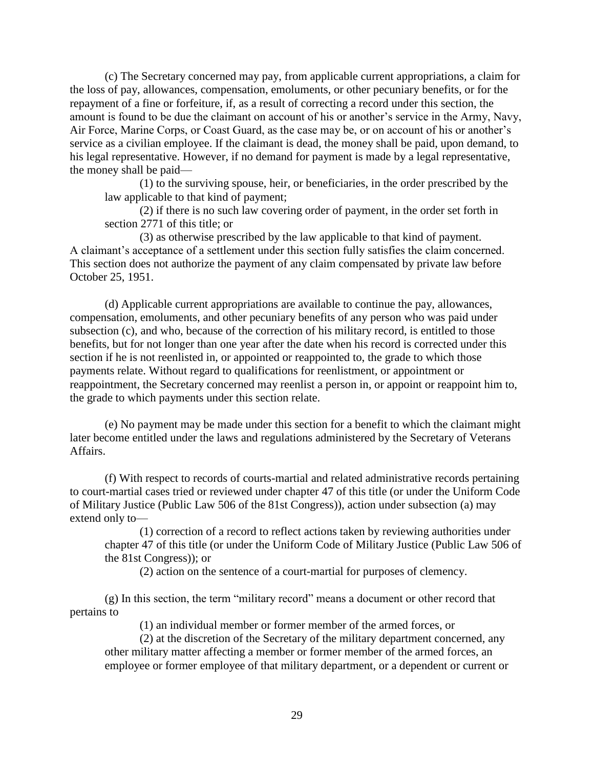(c) The Secretary concerned may pay, from applicable current appropriations, a claim for the loss of pay, allowances, compensation, emoluments, or other pecuniary benefits, or for the repayment of a fine or forfeiture, if, as a result of correcting a record under this section, the amount is found to be due the claimant on account of his or another's service in the Army, Navy, Air Force, Marine Corps, or Coast Guard, as the case may be, or on account of his or another's service as a civilian employee. If the claimant is dead, the money shall be paid, upon demand, to his legal representative. However, if no demand for payment is made by a legal representative, the money shall be paid—

(1) to the surviving spouse, heir, or beneficiaries, in the order prescribed by the law applicable to that kind of payment;

(2) if there is no such law covering order of payment, in the order set forth in section 2771 of this title; or

 (3) as otherwise prescribed by the law applicable to that kind of payment. A claimant's acceptance of a settlement under this section fully satisfies the claim concerned. This section does not authorize the payment of any claim compensated by private law before October 25, 1951.

(d) Applicable current appropriations are available to continue the pay, allowances, compensation, emoluments, and other pecuniary benefits of any person who was paid under subsection (c), and who, because of the correction of his military record, is entitled to those benefits, but for not longer than one year after the date when his record is corrected under this section if he is not reenlisted in, or appointed or reappointed to, the grade to which those payments relate. Without regard to qualifications for reenlistment, or appointment or reappointment, the Secretary concerned may reenlist a person in, or appoint or reappoint him to, the grade to which payments under this section relate.

(e) No payment may be made under this section for a benefit to which the claimant might later become entitled under the laws and regulations administered by the Secretary of Veterans Affairs.

(f) With respect to records of courts-martial and related administrative records pertaining to court-martial cases tried or reviewed under chapter [47](http://www.law.cornell.edu/uscode/uscode10/usc_sup_01_10_10_A_20_II_30_47.html) of this title (or under the Uniform Code of Military Justice (Public Law 506 of the 81st Congress)), action under subsection (a) may extend only to—

(1) correction of a record to reflect actions taken by reviewing authorities under chapter [47](http://www.law.cornell.edu/uscode/uscode10/usc_sup_01_10_10_A_20_II_30_47.html) of this title (or under the Uniform Code of Military Justice (Public Law 506 of the 81st Congress)); or

(2) action on the sentence of a court-martial for purposes of clemency.

 $(g)$  In this section, the term "military record" means a document or other record that pertains to

(1) an individual member or former member of the armed forces, or

(2) at the discretion of the Secretary of the military department concerned, any other military matter affecting a member or former member of the armed forces, an employee or former employee of that military department, or a dependent or current or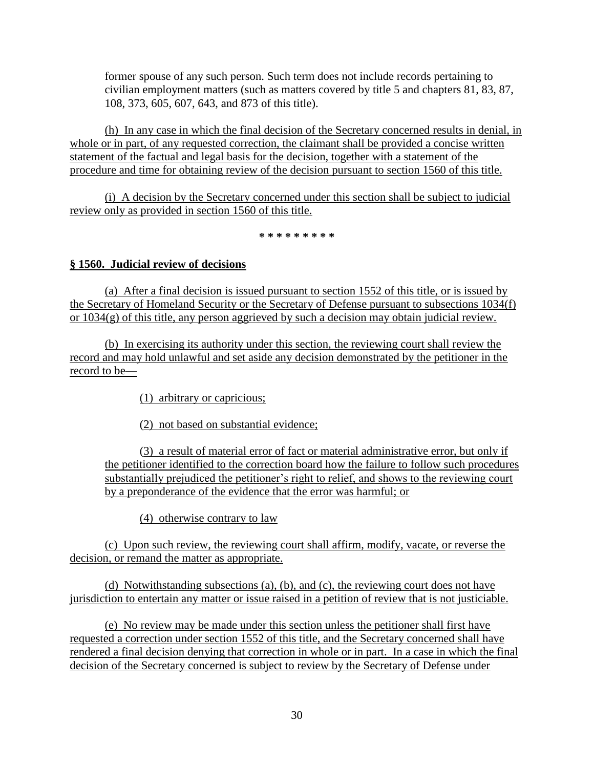former spouse of any such person. Such term does not include records pertaining to civilian employment matters (such as matters covered by title 5 and chapters 81, 83, 87, 108, 373, 605, 607, 643, and 873 of this title).

(h) In any case in which the final decision of the Secretary concerned results in denial, in whole or in part, of any requested correction, the claimant shall be provided a concise written statement of the factual and legal basis for the decision, together with a statement of the procedure and time for obtaining review of the decision pursuant to section 1560 of this title.

(i) A decision by the Secretary concerned under this section shall be subject to judicial review only as provided in section 1560 of this title.

**\* \* \* \* \* \* \* \* \***

### **§ 1560. Judicial review of decisions**

(a) After a final decision is issued pursuant to section 1552 of this title, or is issued by the Secretary of Homeland Security or the Secretary of Defense pursuant to subsections 1034(f) or 1034(g) of this title, any person aggrieved by such a decision may obtain judicial review.

(b) In exercising its authority under this section, the reviewing court shall review the record and may hold unlawful and set aside any decision demonstrated by the petitioner in the record to be—

(1) arbitrary or capricious;

(2) not based on substantial evidence;

(3) a result of material error of fact or material administrative error, but only if the petitioner identified to the correction board how the failure to follow such procedures substantially prejudiced the petitioner's right to relief, and shows to the reviewing court by a preponderance of the evidence that the error was harmful; or

(4) otherwise contrary to law

(c) Upon such review, the reviewing court shall affirm, modify, vacate, or reverse the decision, or remand the matter as appropriate.

(d) Notwithstanding subsections (a), (b), and (c), the reviewing court does not have jurisdiction to entertain any matter or issue raised in a petition of review that is not justiciable.

(e) No review may be made under this section unless the petitioner shall first have requested a correction under section 1552 of this title, and the Secretary concerned shall have rendered a final decision denying that correction in whole or in part. In a case in which the final decision of the Secretary concerned is subject to review by the Secretary of Defense under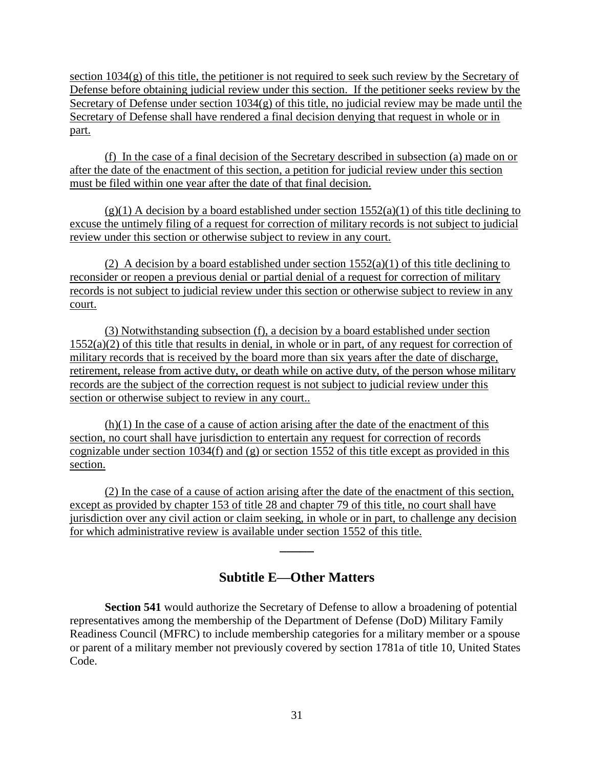section  $1034(g)$  of this title, the petitioner is not required to seek such review by the Secretary of Defense before obtaining judicial review under this section. If the petitioner seeks review by the Secretary of Defense under section  $1034(g)$  of this title, no judicial review may be made until the Secretary of Defense shall have rendered a final decision denying that request in whole or in part.

(f) In the case of a final decision of the Secretary described in subsection (a) made on or after the date of the enactment of this section, a petition for judicial review under this section must be filed within one year after the date of that final decision.

 $(g)(1)$  A decision by a board established under section 1552(a)(1) of this title declining to excuse the untimely filing of a request for correction of military records is not subject to judicial review under this section or otherwise subject to review in any court.

(2) A decision by a board established under section  $1552(a)(1)$  of this title declining to reconsider or reopen a previous denial or partial denial of a request for correction of military records is not subject to judicial review under this section or otherwise subject to review in any court.

 (3) Notwithstanding subsection (f), a decision by a board established under section 1552(a)(2) of this title that results in denial, in whole or in part, of any request for correction of military records that is received by the board more than six years after the date of discharge, retirement, release from active duty, or death while on active duty, of the person whose military records are the subject of the correction request is not subject to judicial review under this section or otherwise subject to review in any court..

 $(h)(1)$  In the case of a cause of action arising after the date of the enactment of this section, no court shall have jurisdiction to entertain any request for correction of records cognizable under section 1034(f) and (g) or section 1552 of this title except as provided in this section.

 (2) In the case of a cause of action arising after the date of the enactment of this section, except as provided by chapter 153 of title 28 and chapter 79 of this title, no court shall have jurisdiction over any civil action or claim seeking, in whole or in part, to challenge any decision for which administrative review is available under section 1552 of this title.

## **Subtitle E—Other Matters**

**\_\_\_\_\_**

**Section 541** would authorize the Secretary of Defense to allow a broadening of potential representatives among the membership of the Department of Defense (DoD) Military Family Readiness Council (MFRC) to include membership categories for a military member or a spouse or parent of a military member not previously covered by section 1781a of title 10, United States Code.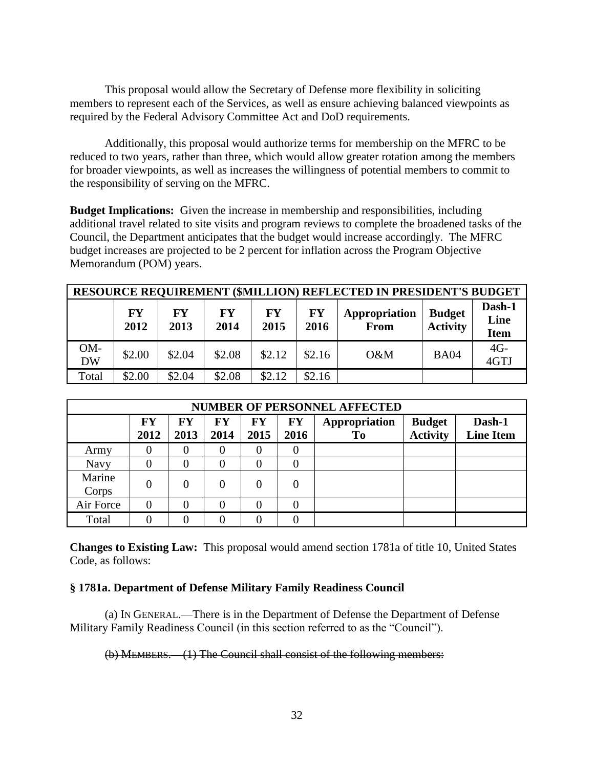This proposal would allow the Secretary of Defense more flexibility in soliciting members to represent each of the Services, as well as ensure achieving balanced viewpoints as required by the Federal Advisory Committee Act and DoD requirements.

Additionally, this proposal would authorize terms for membership on the MFRC to be reduced to two years, rather than three, which would allow greater rotation among the members for broader viewpoints, as well as increases the willingness of potential members to commit to the responsibility of serving on the MFRC.

**Budget Implications:** Given the increase in membership and responsibilities, including additional travel related to site visits and program reviews to complete the broadened tasks of the Council, the Department anticipates that the budget would increase accordingly. The MFRC budget increases are projected to be 2 percent for inflation across the Program Objective Memorandum (POM) years.

| RESOURCE REQUIREMENT (\$MILLION) REFLECTED IN PRESIDENT'S BUDGET |                   |            |            |                   |                   |                       |                                  |                               |  |  |
|------------------------------------------------------------------|-------------------|------------|------------|-------------------|-------------------|-----------------------|----------------------------------|-------------------------------|--|--|
|                                                                  | <b>FY</b><br>2012 | FY<br>2013 | FY<br>2014 | <b>FY</b><br>2015 | <b>FY</b><br>2016 | Appropriation<br>From | <b>Budget</b><br><b>Activity</b> | Dash-1<br>Line<br><b>Item</b> |  |  |
| OM-<br><b>DW</b>                                                 | \$2.00            | \$2.04     | \$2.08     | \$2.12            | \$2.16            | O&M                   | <b>BA04</b>                      | $4G-$<br>4GTJ                 |  |  |
| Total                                                            | \$2.00            | \$2.04     | \$2.08     | \$2.12            | \$2.16            |                       |                                  |                               |  |  |

| <b>NUMBER OF PERSONNEL AFFECTED</b> |            |            |            |            |               |                     |                                  |                            |  |  |
|-------------------------------------|------------|------------|------------|------------|---------------|---------------------|----------------------------------|----------------------------|--|--|
|                                     | FY<br>2012 | FY<br>2013 | FY<br>2014 | FY<br>2015 | FY<br>2016    | Appropriation<br>To | <b>Budget</b><br><b>Activity</b> | Dash-1<br><b>Line Item</b> |  |  |
| Army                                |            | 0          |            |            |               |                     |                                  |                            |  |  |
| Navy                                |            | $\Omega$   |            |            |               |                     |                                  |                            |  |  |
| Marine<br>Corps                     | 0          | $\Omega$   |            |            | $\mathcal{O}$ |                     |                                  |                            |  |  |
| Air Force                           | 0          | 0          |            |            |               |                     |                                  |                            |  |  |
| Total                               |            | ∩          |            |            |               |                     |                                  |                            |  |  |

**Changes to Existing Law:** This proposal would amend section 1781a of title 10, United States Code, as follows:

### **§ 1781a. Department of Defense Military Family Readiness Council**

(a) IN GENERAL.—There is in the Department of Defense the Department of Defense Military Family Readiness Council (in this section referred to as the "Council").

(b) MEMBERS.—(1) The Council shall consist of the following members: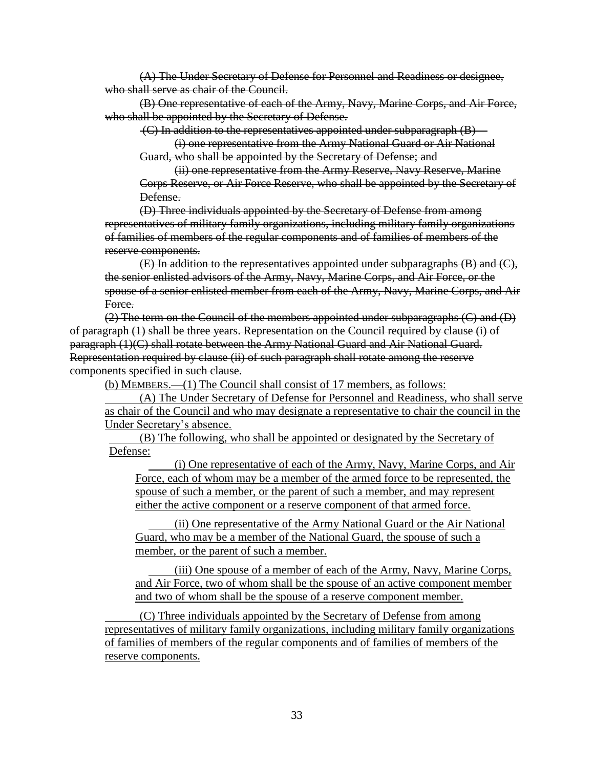(A) The Under Secretary of Defense for Personnel and Readiness or designee, who shall serve as chair of the Council.

(B) One representative of each of the Army, Navy, Marine Corps, and Air Force, who shall be appointed by the Secretary of Defense.

(C) In addition to the representatives appointed under subparagraph (B)—

(i) one representative from the Army National Guard or Air National Guard, who shall be appointed by the Secretary of Defense; and

(ii) one representative from the Army Reserve, Navy Reserve, Marine Corps Reserve, or Air Force Reserve, who shall be appointed by the Secretary of Defense.

(D) Three individuals appointed by the Secretary of Defense from among representatives of military family organizations, including military family organizations of families of members of the regular components and of families of members of the reserve components.

(E) In addition to the representatives appointed under subparagraphs (B) and (C), the senior enlisted advisors of the Army, Navy, Marine Corps, and Air Force, or the spouse of a senior enlisted member from each of the Army, Navy, Marine Corps, and Air Force.

(2) The term on the Council of the members appointed under subparagraphs (C) and (D) of paragraph (1) shall be three years. Representation on the Council required by clause (i) of paragraph (1)(C) shall rotate between the Army National Guard and Air National Guard. Representation required by clause (ii) of such paragraph shall rotate among the reserve components specified in such clause.

(b) MEMBERS.—(1) The Council shall consist of 17 members, as follows:

(A) The Under Secretary of Defense for Personnel and Readiness, who shall serve as chair of the Council and who may designate a representative to chair the council in the Under Secretary's absence.

(B) The following, who shall be appointed or designated by the Secretary of Defense:

(i) One representative of each of the Army, Navy, Marine Corps, and Air Force, each of whom may be a member of the armed force to be represented, the spouse of such a member, or the parent of such a member, and may represent either the active component or a reserve component of that armed force.

(ii) One representative of the Army National Guard or the Air National Guard, who may be a member of the National Guard, the spouse of such a member, or the parent of such a member.

(iii) One spouse of a member of each of the Army, Navy, Marine Corps, and Air Force, two of whom shall be the spouse of an active component member and two of whom shall be the spouse of a reserve component member.

(C) Three individuals appointed by the Secretary of Defense from among representatives of military family organizations, including military family organizations of families of members of the regular components and of families of members of the reserve components.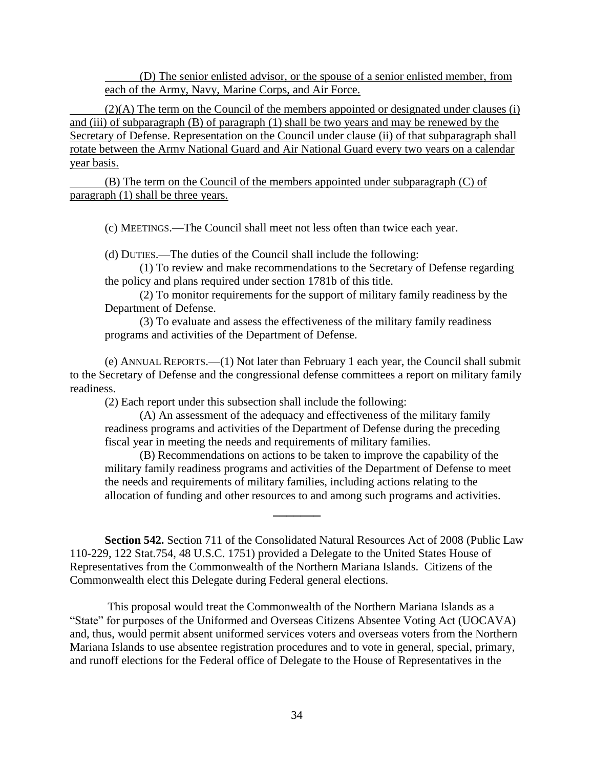(D) The senior enlisted advisor, or the spouse of a senior enlisted member, from each of the Army, Navy, Marine Corps, and Air Force.

(2)(A) The term on the Council of the members appointed or designated under clauses (i) and (iii) of subparagraph (B) of paragraph (1) shall be two years and may be renewed by the Secretary of Defense. Representation on the Council under clause (ii) of that subparagraph shall rotate between the Army National Guard and Air National Guard every two years on a calendar year basis.

(B) The term on the Council of the members appointed under subparagraph (C) of paragraph (1) shall be three years.

(c) MEETINGS.—The Council shall meet not less often than twice each year.

(d) DUTIES.—The duties of the Council shall include the following:

(1) To review and make recommendations to the Secretary of Defense regarding the policy and plans required under section 1781b of this title.

(2) To monitor requirements for the support of military family readiness by the Department of Defense.

(3) To evaluate and assess the effectiveness of the military family readiness programs and activities of the Department of Defense.

(e) ANNUAL REPORTS.—(1) Not later than February 1 each year, the Council shall submit to the Secretary of Defense and the congressional defense committees a report on military family readiness.

(2) Each report under this subsection shall include the following:

(A) An assessment of the adequacy and effectiveness of the military family readiness programs and activities of the Department of Defense during the preceding fiscal year in meeting the needs and requirements of military families.

(B) Recommendations on actions to be taken to improve the capability of the military family readiness programs and activities of the Department of Defense to meet the needs and requirements of military families, including actions relating to the allocation of funding and other resources to and among such programs and activities.

**Section 542.** Section 711 of the Consolidated Natural Resources Act of 2008 (Public Law 110-229, 122 Stat.754, 48 U.S.C. 1751) provided a Delegate to the United States House of Representatives from the Commonwealth of the Northern Mariana Islands. Citizens of the Commonwealth elect this Delegate during Federal general elections.

**\_\_\_\_\_\_\_**

This proposal would treat the Commonwealth of the Northern Mariana Islands as a "State" for purposes of the Uniformed and Overseas Citizens Absentee Voting Act (UOCAVA) and, thus, would permit absent uniformed services voters and overseas voters from the Northern Mariana Islands to use absentee registration procedures and to vote in general, special, primary, and runoff elections for the Federal office of Delegate to the House of Representatives in the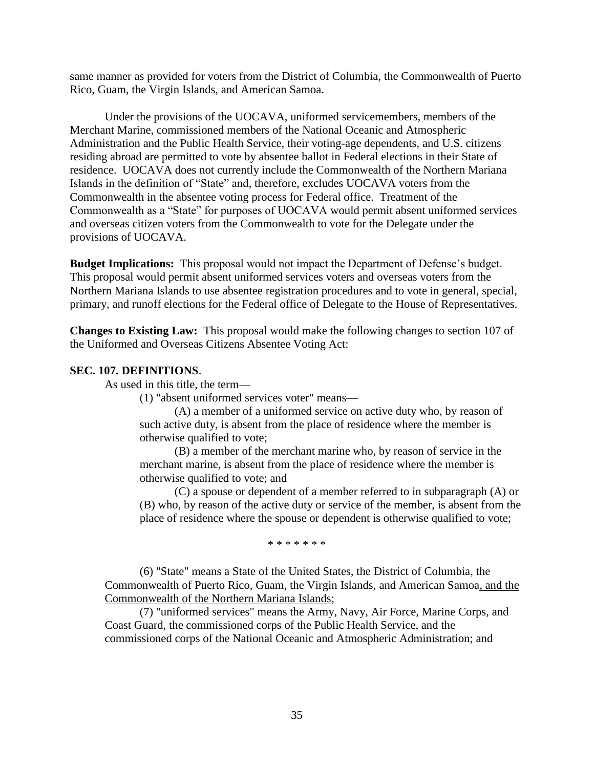same manner as provided for voters from the District of Columbia, the Commonwealth of Puerto Rico, Guam, the Virgin Islands, and American Samoa.

Under the provisions of the UOCAVA, uniformed servicemembers, members of the Merchant Marine, commissioned members of the National Oceanic and Atmospheric Administration and the Public Health Service, their voting-age dependents, and U.S. citizens residing abroad are permitted to vote by absentee ballot in Federal elections in their State of residence. UOCAVA does not currently include the Commonwealth of the Northern Mariana Islands in the definition of "State" and, therefore, excludes UOCAVA voters from the Commonwealth in the absentee voting process for Federal office. Treatment of the Commonwealth as a "State" for purposes of UOCAVA would permit absent uniformed services and overseas citizen voters from the Commonwealth to vote for the Delegate under the provisions of UOCAVA.

**Budget Implications:** This proposal would not impact the Department of Defense's budget. This proposal would permit absent uniformed services voters and overseas voters from the Northern Mariana Islands to use absentee registration procedures and to vote in general, special, primary, and runoff elections for the Federal office of Delegate to the House of Representatives*.*

**Changes to Existing Law:** This proposal would make the following changes to section 107 of the Uniformed and Overseas Citizens Absentee Voting Act:

### **SEC. 107. DEFINITIONS**.

As used in this title, the term—

(1) "absent uniformed services voter" means—

(A) a member of a uniformed service on active duty who, by reason of such active duty, is absent from the place of residence where the member is otherwise qualified to vote;

(B) a member of the merchant marine who, by reason of service in the merchant marine, is absent from the place of residence where the member is otherwise qualified to vote; and

(C) a spouse or dependent of a member referred to in subparagraph (A) or (B) who, by reason of the active duty or service of the member, is absent from the place of residence where the spouse or dependent is otherwise qualified to vote;

\* \* \* \* \* \* \*

(6) "State" means a State of the United States, the District of Columbia, the Commonwealth of Puerto Rico, Guam, the Virgin Islands, and American Samoa, and the Commonwealth of the Northern Mariana Islands;

(7) "uniformed services" means the Army, Navy, Air Force, Marine Corps, and Coast Guard, the commissioned corps of the Public Health Service, and the commissioned corps of the National Oceanic and Atmospheric Administration; and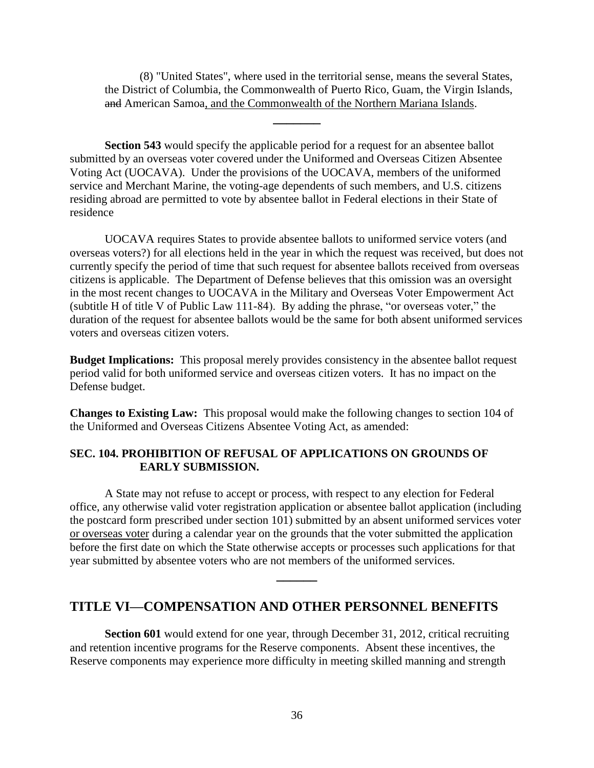(8) "United States", where used in the territorial sense, means the several States, the District of Columbia, the Commonwealth of Puerto Rico, Guam, the Virgin Islands, and American Samoa, and the Commonwealth of the Northern Mariana Islands.

**\_\_\_\_\_\_\_**

**Section 543** would specify the applicable period for a request for an absentee ballot submitted by an overseas voter covered under the Uniformed and Overseas Citizen Absentee Voting Act (UOCAVA). Under the provisions of the UOCAVA*,* members of the uniformed service and Merchant Marine, the voting-age dependents of such members, and U.S. citizens residing abroad are permitted to vote by absentee ballot in Federal elections in their State of residence

UOCAVA requires States to provide absentee ballots to uniformed service voters (and overseas voters?) for all elections held in the year in which the request was received, but does not currently specify the period of time that such request for absentee ballots received from overseas citizens is applicable. The Department of Defense believes that this omission was an oversight in the most recent changes to UOCAVA in the Military and Overseas Voter Empowerment Act (subtitle H of title V of Public Law 111-84). By adding the phrase, "or overseas voter," the duration of the request for absentee ballots would be the same for both absent uniformed services voters and overseas citizen voters.

**Budget Implications:** This proposal merely provides consistency in the absentee ballot request period valid for both uniformed service and overseas citizen voters. It has no impact on the Defense budget.

**Changes to Existing Law:** This proposal would make the following changes to section 104 of the Uniformed and Overseas Citizens Absentee Voting Act, as amended:

### **SEC. 104. PROHIBITION OF REFUSAL OF APPLICATIONS ON GROUNDS OF EARLY SUBMISSION.**

A State may not refuse to accept or process, with respect to any election for Federal office, any otherwise valid voter registration application or absentee ballot application (including the postcard form prescribed under section 101) submitted by an absent uniformed services voter or overseas voter during a calendar year on the grounds that the voter submitted the application before the first date on which the State otherwise accepts or processes such applications for that year submitted by absentee voters who are not members of the uniformed services.

**\_\_\_\_\_\_**

## **TITLE VI—COMPENSATION AND OTHER PERSONNEL BENEFITS**

**Section 601** would extend for one year, through December 31, 2012, critical recruiting and retention incentive programs for the Reserve components. Absent these incentives, the Reserve components may experience more difficulty in meeting skilled manning and strength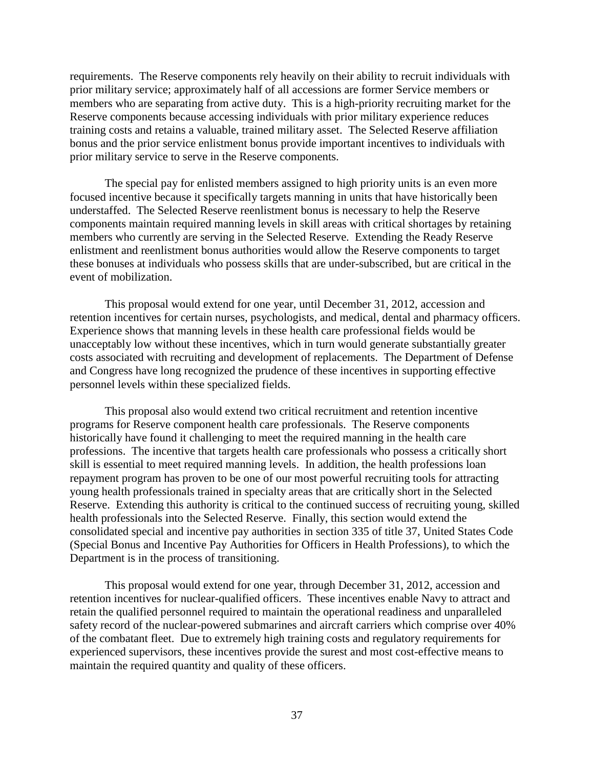requirements. The Reserve components rely heavily on their ability to recruit individuals with prior military service; approximately half of all accessions are former Service members or members who are separating from active duty. This is a high-priority recruiting market for the Reserve components because accessing individuals with prior military experience reduces training costs and retains a valuable, trained military asset. The Selected Reserve affiliation bonus and the prior service enlistment bonus provide important incentives to individuals with prior military service to serve in the Reserve components.

The special pay for enlisted members assigned to high priority units is an even more focused incentive because it specifically targets manning in units that have historically been understaffed. The Selected Reserve reenlistment bonus is necessary to help the Reserve components maintain required manning levels in skill areas with critical shortages by retaining members who currently are serving in the Selected Reserve. Extending the Ready Reserve enlistment and reenlistment bonus authorities would allow the Reserve components to target these bonuses at individuals who possess skills that are under-subscribed, but are critical in the event of mobilization.

This proposal would extend for one year, until December 31, 2012, accession and retention incentives for certain nurses, psychologists, and medical, dental and pharmacy officers. Experience shows that manning levels in these health care professional fields would be unacceptably low without these incentives, which in turn would generate substantially greater costs associated with recruiting and development of replacements. The Department of Defense and Congress have long recognized the prudence of these incentives in supporting effective personnel levels within these specialized fields.

This proposal also would extend two critical recruitment and retention incentive programs for Reserve component health care professionals. The Reserve components historically have found it challenging to meet the required manning in the health care professions. The incentive that targets health care professionals who possess a critically short skill is essential to meet required manning levels. In addition, the health professions loan repayment program has proven to be one of our most powerful recruiting tools for attracting young health professionals trained in specialty areas that are critically short in the Selected Reserve. Extending this authority is critical to the continued success of recruiting young, skilled health professionals into the Selected Reserve. Finally, this section would extend the consolidated special and incentive pay authorities in section 335 of title 37, United States Code (Special Bonus and Incentive Pay Authorities for Officers in Health Professions), to which the Department is in the process of transitioning.

This proposal would extend for one year, through December 31, 2012, accession and retention incentives for nuclear-qualified officers. These incentives enable Navy to attract and retain the qualified personnel required to maintain the operational readiness and unparalleled safety record of the nuclear-powered submarines and aircraft carriers which comprise over 40% of the combatant fleet. Due to extremely high training costs and regulatory requirements for experienced supervisors, these incentives provide the surest and most cost-effective means to maintain the required quantity and quality of these officers.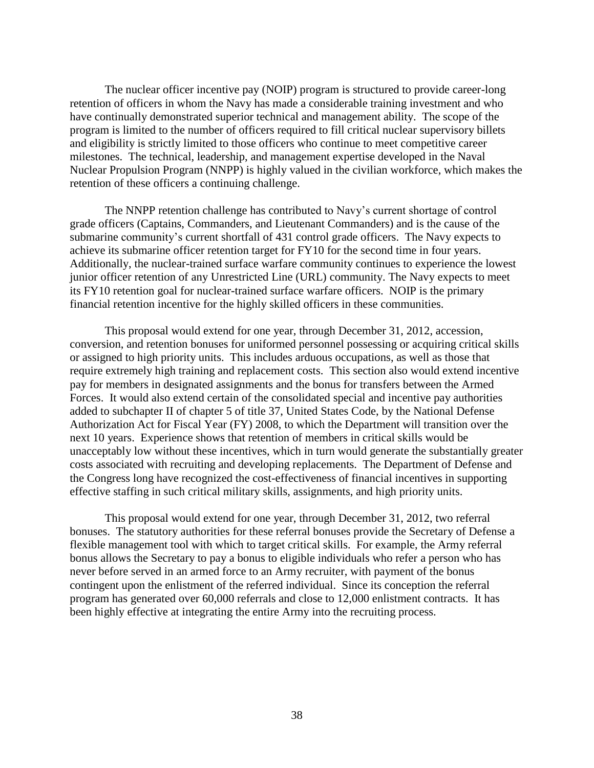The nuclear officer incentive pay (NOIP) program is structured to provide career-long retention of officers in whom the Navy has made a considerable training investment and who have continually demonstrated superior technical and management ability. The scope of the program is limited to the number of officers required to fill critical nuclear supervisory billets and eligibility is strictly limited to those officers who continue to meet competitive career milestones. The technical, leadership, and management expertise developed in the Naval Nuclear Propulsion Program (NNPP) is highly valued in the civilian workforce, which makes the retention of these officers a continuing challenge.

The NNPP retention challenge has contributed to Navy's current shortage of control grade officers (Captains, Commanders, and Lieutenant Commanders) and is the cause of the submarine community's current shortfall of 431 control grade officers. The Navy expects to achieve its submarine officer retention target for FY10 for the second time in four years. Additionally, the nuclear-trained surface warfare community continues to experience the lowest junior officer retention of any Unrestricted Line (URL) community. The Navy expects to meet its FY10 retention goal for nuclear-trained surface warfare officers. NOIP is the primary financial retention incentive for the highly skilled officers in these communities.

This proposal would extend for one year, through December 31, 2012, accession, conversion, and retention bonuses for uniformed personnel possessing or acquiring critical skills or assigned to high priority units. This includes arduous occupations, as well as those that require extremely high training and replacement costs. This section also would extend incentive pay for members in designated assignments and the bonus for transfers between the Armed Forces. It would also extend certain of the consolidated special and incentive pay authorities added to subchapter II of chapter 5 of title 37, United States Code, by the National Defense Authorization Act for Fiscal Year (FY) 2008, to which the Department will transition over the next 10 years. Experience shows that retention of members in critical skills would be unacceptably low without these incentives, which in turn would generate the substantially greater costs associated with recruiting and developing replacements. The Department of Defense and the Congress long have recognized the cost-effectiveness of financial incentives in supporting effective staffing in such critical military skills, assignments, and high priority units.

This proposal would extend for one year, through December 31, 2012, two referral bonuses. The statutory authorities for these referral bonuses provide the Secretary of Defense a flexible management tool with which to target critical skills. For example, the Army referral bonus allows the Secretary to pay a bonus to eligible individuals who refer a person who has never before served in an armed force to an Army recruiter, with payment of the bonus contingent upon the enlistment of the referred individual. Since its conception the referral program has generated over 60,000 referrals and close to 12,000 enlistment contracts. It has been highly effective at integrating the entire Army into the recruiting process.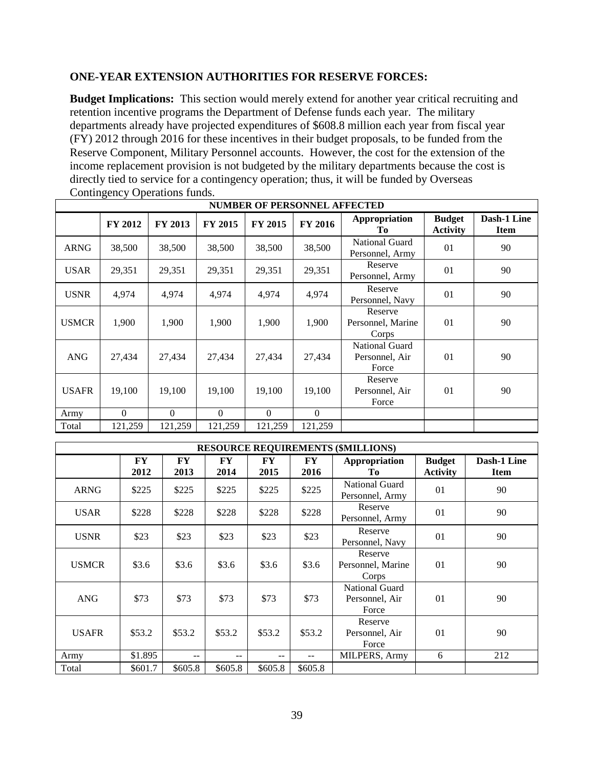## **ONE-YEAR EXTENSION AUTHORITIES FOR RESERVE FORCES:**

**Budget Implications:** This section would merely extend for another year critical recruiting and retention incentive programs the Department of Defense funds each year. The military departments already have projected expenditures of \$608.8 million each year from fiscal year (FY) 2012 through 2016 for these incentives in their budget proposals, to be funded from the Reserve Component, Military Personnel accounts. However, the cost for the extension of the income replacement provision is not budgeted by the military departments because the cost is directly tied to service for a contingency operation; thus, it will be funded by Overseas Contingency Operations funds.

|              | <b>NUMBER OF PERSONNEL AFFECTED</b> |          |                |                |                |                                                  |                                  |                            |  |  |  |  |  |  |
|--------------|-------------------------------------|----------|----------------|----------------|----------------|--------------------------------------------------|----------------------------------|----------------------------|--|--|--|--|--|--|
|              | <b>FY 2012</b>                      | FY 2013  | <b>FY 2015</b> | <b>FY 2015</b> | <b>FY 2016</b> | Appropriation<br>Tо                              | <b>Budget</b><br><b>Activity</b> | Dash-1 Line<br><b>Item</b> |  |  |  |  |  |  |
| <b>ARNG</b>  | 38,500                              | 38,500   | 38,500         | 38,500         | 38,500         | National Guard<br>Personnel, Army                | 01                               | 90                         |  |  |  |  |  |  |
| <b>USAR</b>  | 29,351                              | 29,351   | 29,351         | 29,351         | 29,351         | Reserve<br>Personnel, Army                       | 01                               | 90                         |  |  |  |  |  |  |
| <b>USNR</b>  | 4,974                               | 4,974    | 4,974          | 4,974          | 4,974          | Reserve<br>Personnel, Navy                       | 01                               | 90                         |  |  |  |  |  |  |
| <b>USMCR</b> | 1,900                               | 1,900    | 1,900          | 1,900          | 1,900          | Reserve<br>Personnel, Marine<br>Corps            | 01                               | 90                         |  |  |  |  |  |  |
| <b>ANG</b>   | 27,434                              | 27,434   | 27,434         | 27,434         | 27,434         | <b>National Guard</b><br>Personnel, Air<br>Force | 0 <sub>1</sub>                   | 90                         |  |  |  |  |  |  |
| <b>USAFR</b> | 19,100                              | 19,100   | 19,100         | 19,100         | 19,100         | Reserve<br>Personnel, Air<br>Force               | 01                               | 90                         |  |  |  |  |  |  |
| Army         | $\Omega$                            | $\Omega$ | $\Omega$       | $\Omega$       | $\Omega$       |                                                  |                                  |                            |  |  |  |  |  |  |
| Total        | 121,259                             | 121,259  | 121,259        | 121,259        | 121,259        |                                                  |                                  |                            |  |  |  |  |  |  |

|              | <b>RESOURCE REQUIREMENTS (\$MILLIONS)</b> |                   |                          |            |            |                                                  |                                  |                            |  |  |  |  |  |  |
|--------------|-------------------------------------------|-------------------|--------------------------|------------|------------|--------------------------------------------------|----------------------------------|----------------------------|--|--|--|--|--|--|
|              | FY<br>2012                                | <b>FY</b><br>2013 | FY<br>2014               | FY<br>2015 | FY<br>2016 | Appropriation<br>To -                            | <b>Budget</b><br><b>Activity</b> | Dash-1 Line<br><b>Item</b> |  |  |  |  |  |  |
| <b>ARNG</b>  | \$225                                     | \$225             | \$225                    | \$225      | \$225      | National Guard<br>Personnel, Army                | 01                               | 90                         |  |  |  |  |  |  |
| <b>USAR</b>  | \$228                                     | \$228             | \$228                    | \$228      | \$228      | Reserve<br>Personnel, Army                       | 01                               | 90                         |  |  |  |  |  |  |
| <b>USNR</b>  | \$23                                      | \$23              | \$23                     | \$23       | \$23       | Reserve<br>Personnel, Navy                       | 01                               | 90                         |  |  |  |  |  |  |
| <b>USMCR</b> | \$3.6                                     | \$3.6             | \$3.6                    | \$3.6      | \$3.6      | Reserve<br>Personnel, Marine<br>Corps            | 01                               | 90                         |  |  |  |  |  |  |
| <b>ANG</b>   | \$73                                      | \$73              | \$73                     | \$73       | \$73       | <b>National Guard</b><br>Personnel, Air<br>Force | 01                               | 90                         |  |  |  |  |  |  |
| <b>USAFR</b> | \$53.2                                    | \$53.2            | \$53.2                   | \$53.2     | \$53.2     | Reserve<br>Personnel, Air<br>Force               | 01                               | 90                         |  |  |  |  |  |  |
| Army         | \$1.895                                   | $- -$             | $\overline{\phantom{m}}$ | $- -$      | --         | MILPERS, Army                                    | 6                                | 212                        |  |  |  |  |  |  |
| Total        | \$601.7                                   | \$605.8           | \$605.8                  | \$605.8    | \$605.8    |                                                  |                                  |                            |  |  |  |  |  |  |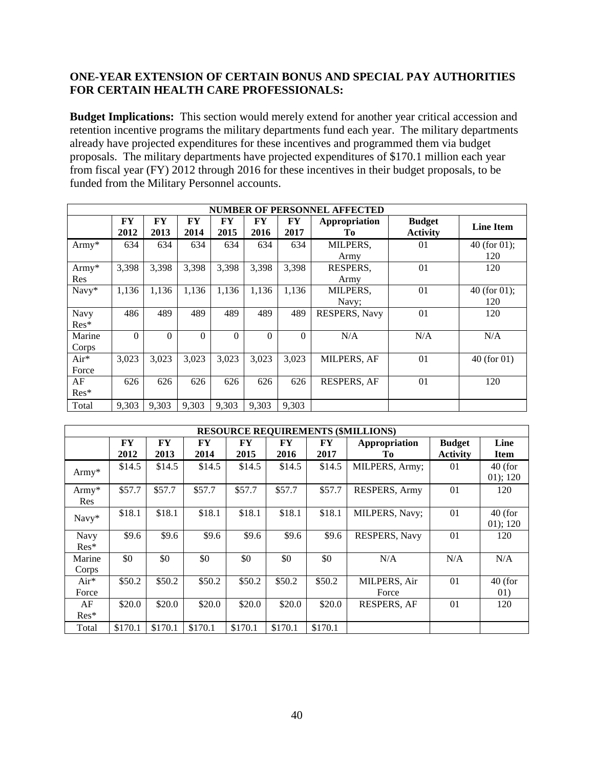## **ONE-YEAR EXTENSION OF CERTAIN BONUS AND SPECIAL PAY AUTHORITIES FOR CERTAIN HEALTH CARE PROFESSIONALS:**

**Budget Implications:** This section would merely extend for another year critical accession and retention incentive programs the military departments fund each year. The military departments already have projected expenditures for these incentives and programmed them via budget proposals. The military departments have projected expenditures of \$170.1 million each year from fiscal year (FY) 2012 through 2016 for these incentives in their budget proposals, to be funded from the Military Personnel accounts.

| <b>NUMBER OF PERSONNEL AFFECTED</b> |            |            |            |            |            |            |                     |                                  |                        |  |  |  |  |
|-------------------------------------|------------|------------|------------|------------|------------|------------|---------------------|----------------------------------|------------------------|--|--|--|--|
|                                     | FY<br>2012 | FY<br>2013 | FY<br>2014 | FY<br>2015 | FY<br>2016 | FY<br>2017 | Appropriation<br>Tо | <b>Budget</b><br><b>Activity</b> | <b>Line Item</b>       |  |  |  |  |
| Army $*$                            | 634        | 634        | 634        | 634        | 634        | 634        | MILPERS,<br>Army    | 01                               | 40 (for $01$ );<br>120 |  |  |  |  |
| Army*<br>Res                        | 3,398      | 3,398      | 3,398      | 3,398      | 3,398      | 3,398      | RESPERS,<br>Army    | 01                               | 120                    |  |  |  |  |
| Navy*                               | 1,136      | 1,136      | 1,136      | 1,136      | 1,136      | 1,136      | MILPERS,<br>Navy;   | 01                               | 40 (for $01$ );<br>120 |  |  |  |  |
| Navy<br>Res*                        | 486        | 489        | 489        | 489        | 489        | 489        | RESPERS, Navy       | 01                               | 120                    |  |  |  |  |
| Marine<br>Corps                     | $\Omega$   | $\theta$   | $\Omega$   | $\theta$   | $\Omega$   | $\Omega$   | N/A                 | N/A                              | N/A                    |  |  |  |  |
| $Air*$<br>Force                     | 3,023      | 3,023      | 3,023      | 3,023      | 3,023      | 3,023      | MILPERS, AF         | 01                               | $40$ (for 01)          |  |  |  |  |
| AF<br>Res*                          | 626        | 626        | 626        | 626        | 626        | 626        | <b>RESPERS, AF</b>  | 01                               | 120                    |  |  |  |  |
| Total                               | 9.303      | 9,303      | 9.303      | 9.303      | 9,303      | 9,303      |                     |                                  |                        |  |  |  |  |

|                        | <b>RESOURCE REQUIREMENTS (\$MILLIONS)</b> |            |            |            |            |            |                       |                                  |                       |  |  |  |  |  |
|------------------------|-------------------------------------------|------------|------------|------------|------------|------------|-----------------------|----------------------------------|-----------------------|--|--|--|--|--|
|                        | <b>FY</b><br>2012                         | FY<br>2013 | FY<br>2014 | FY<br>2015 | FY<br>2016 | FY<br>2017 | Appropriation<br>Tо   | <b>Budget</b><br><b>Activity</b> | Line<br><b>Item</b>   |  |  |  |  |  |
| Army*                  | \$14.5                                    | \$14.5     | \$14.5     | \$14.5     | \$14.5     | \$14.5     | MILPERS, Army;        | 01                               | $40$ (for<br>01); 120 |  |  |  |  |  |
| $Army*$<br>Res         | \$57.7                                    | \$57.7     | \$57.7     | \$57.7     | \$57.7     | \$57.7     | RESPERS, Army         | 01                               | 120                   |  |  |  |  |  |
| Navy*                  | \$18.1                                    | \$18.1     | \$18.1     | \$18.1     | \$18.1     | \$18.1     | MILPERS, Navy;        | 01                               | $40$ (for<br>01); 120 |  |  |  |  |  |
| <b>Navy</b><br>$Res^*$ | \$9.6                                     | \$9.6      | \$9.6      | \$9.6      | \$9.6      | \$9.6      | RESPERS, Navy         | 01                               | 120                   |  |  |  |  |  |
| Marine<br>Corps        | \$0                                       | \$0        | \$0        | \$0        | \$0        | \$0        | N/A                   | N/A                              | N/A                   |  |  |  |  |  |
| Air*<br>Force          | \$50.2                                    | \$50.2     | \$50.2     | \$50.2     | \$50.2     | \$50.2     | MILPERS, Air<br>Force | 01                               | $40$ (for<br>01)      |  |  |  |  |  |
| AF<br>$Res^*$          | \$20.0                                    | \$20.0     | \$20.0     | \$20.0     | \$20.0     | \$20.0     | <b>RESPERS, AF</b>    | 01                               | 120                   |  |  |  |  |  |
| Total                  | \$170.1                                   | \$170.1    | \$170.1    | \$170.1    | \$170.1    | \$170.1    |                       |                                  |                       |  |  |  |  |  |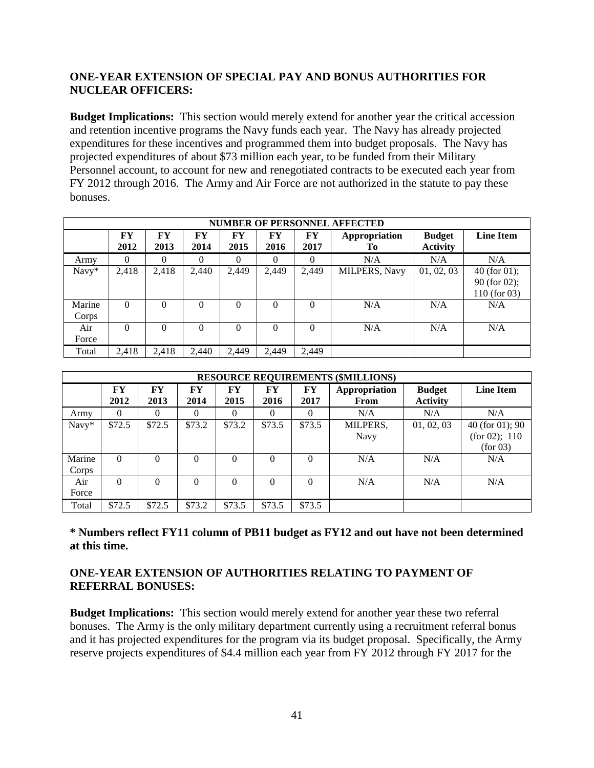## **ONE-YEAR EXTENSION OF SPECIAL PAY AND BONUS AUTHORITIES FOR NUCLEAR OFFICERS:**

**Budget Implications:** This section would merely extend for another year the critical accession and retention incentive programs the Navy funds each year. The Navy has already projected expenditures for these incentives and programmed them into budget proposals. The Navy has projected expenditures of about \$73 million each year, to be funded from their Military Personnel account, to account for new and renegotiated contracts to be executed each year from FY 2012 through 2016. The Army and Air Force are not authorized in the statute to pay these bonuses.

|                 | <b>NUMBER OF PERSONNEL AFFECTED</b>                                                                                                                |          |          |          |          |          |                      |            |                                                   |  |  |  |  |  |  |
|-----------------|----------------------------------------------------------------------------------------------------------------------------------------------------|----------|----------|----------|----------|----------|----------------------|------------|---------------------------------------------------|--|--|--|--|--|--|
|                 | FY<br>FY<br>FY<br>Appropriation<br><b>FY</b><br><b>Budget</b><br>FY<br>FY<br>2012<br>2013<br>2014<br>2015<br>2016<br>2017<br><b>Activity</b><br>Tо |          |          |          |          |          |                      |            | <b>Line Item</b>                                  |  |  |  |  |  |  |
| Army            | 0                                                                                                                                                  | 0        | 0        | 0        |          | $\Omega$ | N/A                  | N/A        | N/A                                               |  |  |  |  |  |  |
| Navy*           | 2,418                                                                                                                                              | 2,418    | 2,440    | 2,449    | 2,449    | 2,449    | <b>MILPERS, Navy</b> | 01, 02, 03 | 40 (for $01$ );<br>90 (for 02);<br>$110$ (for 03) |  |  |  |  |  |  |
| Marine<br>Corps | $\Omega$                                                                                                                                           | $\Omega$ | 0        | 0        | 0        | $\Omega$ | N/A                  | N/A        | N/A                                               |  |  |  |  |  |  |
| Air<br>Force    | $\Omega$                                                                                                                                           | $\Omega$ | $\theta$ | $\Omega$ | $\Omega$ | $\Omega$ | N/A                  | N/A        | N/A                                               |  |  |  |  |  |  |
| Total           | 2,418                                                                                                                                              | 2,418    | 2,440    | 2.449    | 2,449    | 2,449    |                      |            |                                                   |  |  |  |  |  |  |

|                 | <b>RESOURCE REQUIREMENTS (\$MILLIONS)</b>                                                                                                            |          |          |          |          |          |                         |            |                                                |  |  |  |  |  |
|-----------------|------------------------------------------------------------------------------------------------------------------------------------------------------|----------|----------|----------|----------|----------|-------------------------|------------|------------------------------------------------|--|--|--|--|--|
|                 | <b>FY</b><br>FY<br>FY<br><b>Budget</b><br>FY<br>FY<br>FY<br>Appropriation<br>2012<br>2013<br>2014<br>2015<br>2016<br>2017<br><b>Activity</b><br>From |          |          |          |          |          |                         |            | <b>Line Item</b>                               |  |  |  |  |  |
| Army            | 0                                                                                                                                                    | $\Omega$ | $\Omega$ | $\Omega$ | 0        | 0        | N/A                     | N/A        | N/A                                            |  |  |  |  |  |
| Navy*           | \$72.5                                                                                                                                               | \$72.5   | \$73.2   | \$73.2   | \$73.5   | \$73.5   | MILPERS,<br><b>Navy</b> | 01, 02, 03 | $40$ (for 01); 90<br>(for 02); 110<br>(for 03) |  |  |  |  |  |
| Marine<br>Corps | $\Omega$                                                                                                                                             | $\Omega$ | $\Omega$ | $\Omega$ | $\Omega$ | $\theta$ | N/A                     | N/A        | N/A                                            |  |  |  |  |  |
| Air<br>Force    | $\Omega$                                                                                                                                             | $\Omega$ | $\Omega$ | $\Omega$ | $\Omega$ | $\Omega$ | N/A                     | N/A        | N/A                                            |  |  |  |  |  |
| Total           | \$72.5                                                                                                                                               | \$72.5   | \$73.2   | \$73.5   | \$73.5   | \$73.5   |                         |            |                                                |  |  |  |  |  |

**\* Numbers reflect FY11 column of PB11 budget as FY12 and out have not been determined at this time.** 

## **ONE-YEAR EXTENSION OF AUTHORITIES RELATING TO PAYMENT OF REFERRAL BONUSES:**

**Budget Implications:** This section would merely extend for another year these two referral bonuses. The Army is the only military department currently using a recruitment referral bonus and it has projected expenditures for the program via its budget proposal. Specifically, the Army reserve projects expenditures of \$4.4 million each year from FY 2012 through FY 2017 for the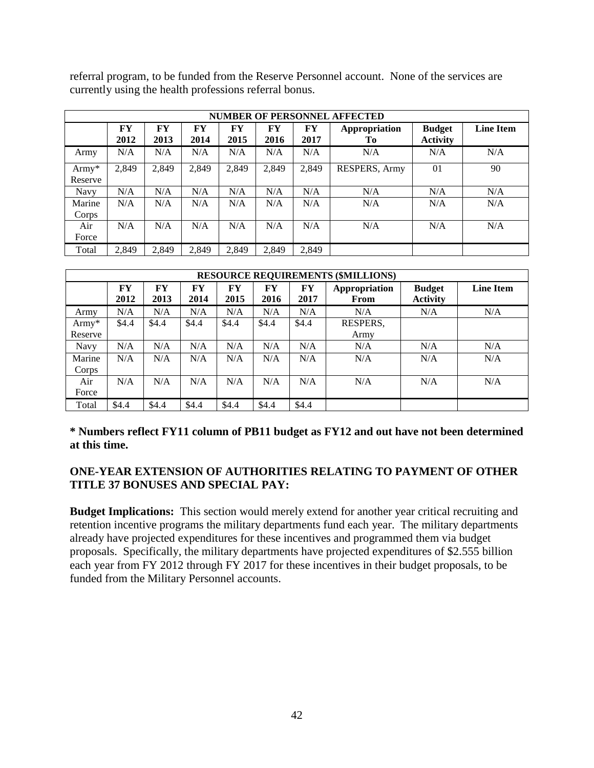referral program, to be funded from the Reserve Personnel account. None of the services are currently using the health professions referral bonus.

|                    | <b>NUMBER OF PERSONNEL AFFECTED</b>                                                                     |       |       |       |       |       |               |                                  |                  |  |  |  |  |  |
|--------------------|---------------------------------------------------------------------------------------------------------|-------|-------|-------|-------|-------|---------------|----------------------------------|------------------|--|--|--|--|--|
|                    | FY<br>FY<br>FY<br>FY<br>FY<br>Appropriation<br>FY<br>2012<br>2013<br>2014<br>2015<br>2016<br>2017<br>Tо |       |       |       |       |       |               | <b>Budget</b><br><b>Activity</b> | <b>Line Item</b> |  |  |  |  |  |
| Army               | N/A                                                                                                     | N/A   | N/A   | N/A   | N/A   | N/A   | N/A           | N/A                              | N/A              |  |  |  |  |  |
| $Army*$<br>Reserve | 2,849                                                                                                   | 2,849 | 2,849 | 2,849 | 2,849 | 2,849 | RESPERS, Army | 01                               | 90               |  |  |  |  |  |
| <b>Navy</b>        | N/A                                                                                                     | N/A   | N/A   | N/A   | N/A   | N/A   | N/A           | N/A                              | N/A              |  |  |  |  |  |
| Marine<br>Corps    | N/A                                                                                                     | N/A   | N/A   | N/A   | N/A   | N/A   | N/A           | N/A                              | N/A              |  |  |  |  |  |
| Air<br>Force       | N/A                                                                                                     | N/A   | N/A   | N/A   | N/A   | N/A   | N/A           | N/A                              | N/A              |  |  |  |  |  |
| Total              | 2.849                                                                                                   | 2.849 | 2.849 | 2.849 | 2.849 | 2.849 |               |                                  |                  |  |  |  |  |  |

| <b>RESOURCE REQUIREMENTS (\$MILLIONS)</b>                                                                                                                          |       |       |       |       |       |       |                  |     |                  |  |  |  |  |
|--------------------------------------------------------------------------------------------------------------------------------------------------------------------|-------|-------|-------|-------|-------|-------|------------------|-----|------------------|--|--|--|--|
| FY.<br>Appropriation<br>FY<br>$\mathbf{F}\mathbf{Y}$<br>FY<br>FY<br>FY<br><b>Budget</b><br>2012<br>2013<br>2017<br><b>Activity</b><br>2014<br>2015<br>2016<br>From |       |       |       |       |       |       |                  |     | <b>Line Item</b> |  |  |  |  |
| Army                                                                                                                                                               | N/A   | N/A   | N/A   | N/A   | N/A   | N/A   | N/A              | N/A | N/A              |  |  |  |  |
| $Army*$<br>Reserve                                                                                                                                                 | \$4.4 | \$4.4 | \$4.4 | \$4.4 | \$4.4 | \$4.4 | RESPERS,<br>Army |     |                  |  |  |  |  |
| Navy                                                                                                                                                               | N/A   | N/A   | N/A   | N/A   | N/A   | N/A   | N/A              | N/A | N/A              |  |  |  |  |
| Marine<br>Corps                                                                                                                                                    | N/A   | N/A   | N/A   | N/A   | N/A   | N/A   | N/A              | N/A | N/A              |  |  |  |  |
| Air<br>Force                                                                                                                                                       | N/A   | N/A   | N/A   | N/A   | N/A   | N/A   | N/A              | N/A | N/A              |  |  |  |  |
| Total                                                                                                                                                              | \$4.4 | \$4.4 | \$4.4 | \$4.4 | \$4.4 | \$4.4 |                  |     |                  |  |  |  |  |

**\* Numbers reflect FY11 column of PB11 budget as FY12 and out have not been determined at this time.** 

## **ONE-YEAR EXTENSION OF AUTHORITIES RELATING TO PAYMENT OF OTHER TITLE 37 BONUSES AND SPECIAL PAY:**

**Budget Implications:** This section would merely extend for another year critical recruiting and retention incentive programs the military departments fund each year. The military departments already have projected expenditures for these incentives and programmed them via budget proposals. Specifically, the military departments have projected expenditures of \$2.555 billion each year from FY 2012 through FY 2017 for these incentives in their budget proposals, to be funded from the Military Personnel accounts.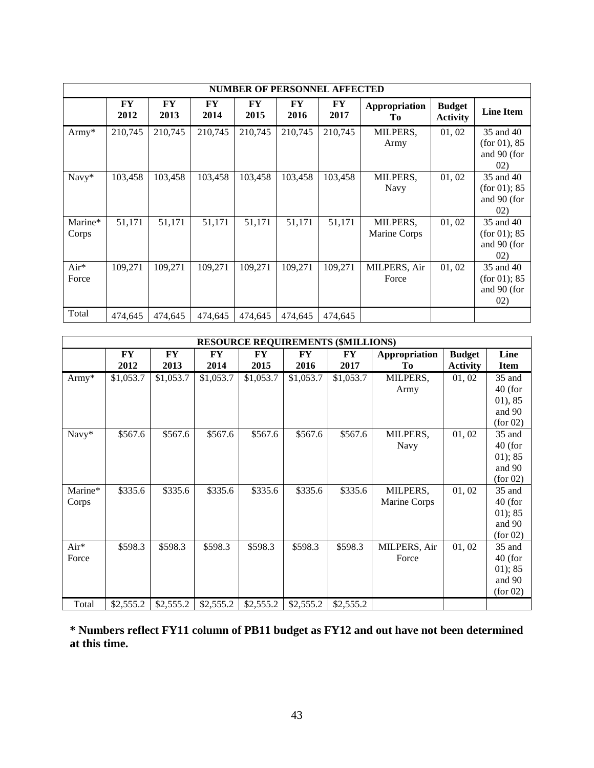|                  | <b>NUMBER OF PERSONNEL AFFECTED</b> |                   |                   |            |                   |                   |                          |                                  |                                                  |  |  |  |  |  |
|------------------|-------------------------------------|-------------------|-------------------|------------|-------------------|-------------------|--------------------------|----------------------------------|--------------------------------------------------|--|--|--|--|--|
|                  | <b>FY</b><br>2012                   | <b>FY</b><br>2013 | <b>FY</b><br>2014 | FY<br>2015 | <b>FY</b><br>2016 | <b>FY</b><br>2017 | Appropriation<br>Tо      | <b>Budget</b><br><b>Activity</b> | <b>Line Item</b>                                 |  |  |  |  |  |
| $Army*$          | 210,745                             | 210,745           | 210,745           | 210,745    | 210,745           | 210,745           | MILPERS,<br>Army         | 01, 02                           | 35 and 40<br>(for 01), 85<br>and 90 (for<br>02)  |  |  |  |  |  |
| Navy*            | 103,458                             | 103,458           | 103,458           | 103,458    | 103,458           | 103,458           | MILPERS,<br>Navy         | 01, 02                           | 35 and 40<br>(for 01); 85<br>and 90 (for<br>(02) |  |  |  |  |  |
| Marine*<br>Corps | 51,171                              | 51,171            | 51,171            | 51,171     | 51,171            | 51,171            | MILPERS,<br>Marine Corps | 01, 02                           | 35 and 40<br>(for 01); 85<br>and 90 (for<br>02)  |  |  |  |  |  |
| Air*<br>Force    | 109,271                             | 109,271           | 109,271           | 109,271    | 109,271           | 109,271           | MILPERS, Air<br>Force    | 01, 02                           | 35 and 40<br>(for 01); 85<br>and 90 (for<br>02)  |  |  |  |  |  |
| Total            | 474,645                             | 474,645           | 474,645           | 474,645    | 474,645           | 474,645           |                          |                                  |                                                  |  |  |  |  |  |

|         |           |           |           |           |           | <b>RESOURCE REQUIREMENTS (\$MILLIONS)</b> |               |                 |             |
|---------|-----------|-----------|-----------|-----------|-----------|-------------------------------------------|---------------|-----------------|-------------|
|         | FY        | FY        | <b>FY</b> | FY        | FY        | ${\bf F}{\bf Y}$                          | Appropriation | <b>Budget</b>   | Line        |
|         | 2012      | 2013      | 2014      | 2015      | 2016      | 2017                                      | Тo            | <b>Activity</b> | <b>Item</b> |
| Army*   | \$1,053.7 | \$1,053.7 | \$1,053.7 | \$1,053.7 | \$1,053.7 | \$1,053.7                                 | MILPERS,      | 01, 02          | 35 and      |
|         |           |           |           |           |           |                                           | Army          |                 | $40$ (for   |
|         |           |           |           |           |           |                                           |               |                 | 01, 85      |
|         |           |           |           |           |           |                                           |               |                 | and 90      |
|         |           |           |           |           |           |                                           |               |                 | (for 02)    |
| Navy*   | \$567.6   | \$567.6   | \$567.6   | \$567.6   | \$567.6   | \$567.6                                   | MILPERS,      | 01, 02          | 35 and      |
|         |           |           |           |           |           |                                           | Navy          |                 | $40$ (for   |
|         |           |           |           |           |           |                                           |               |                 | 01); 85     |
|         |           |           |           |           |           |                                           |               |                 | and 90      |
|         |           |           |           |           |           |                                           |               |                 | (for 02)    |
| Marine* | \$335.6   | \$335.6   | \$335.6   | \$335.6   | \$335.6   | \$335.6                                   | MILPERS,      | 01, 02          | 35 and      |
| Corps   |           |           |           |           |           |                                           | Marine Corps  |                 | $40$ (for   |
|         |           |           |           |           |           |                                           |               |                 | 01); 85     |
|         |           |           |           |           |           |                                           |               |                 | and 90      |
|         |           |           |           |           |           |                                           |               |                 | (for 02)    |
| Air*    | \$598.3   | \$598.3   | \$598.3   | \$598.3   | \$598.3   | \$598.3                                   | MILPERS, Air  | 01, 02          | 35 and      |
| Force   |           |           |           |           |           |                                           | Force         |                 | $40$ (for   |
|         |           |           |           |           |           |                                           |               |                 | 01); 85     |
|         |           |           |           |           |           |                                           |               |                 | and 90      |
|         |           |           |           |           |           |                                           |               |                 | (for 02)    |
| Total   | \$2,555.2 | \$2,555.2 | \$2,555.2 | \$2,555.2 | \$2,555.2 | \$2,555.2                                 |               |                 |             |

**\* Numbers reflect FY11 column of PB11 budget as FY12 and out have not been determined at this time.**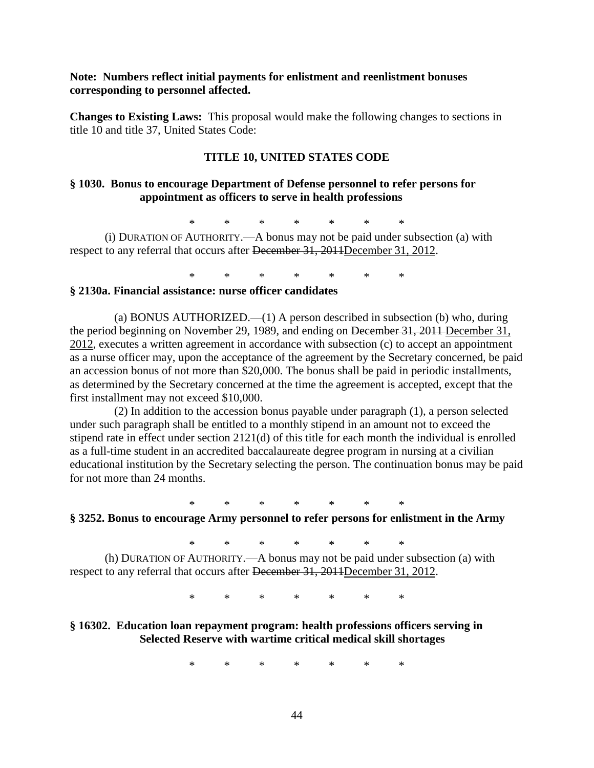### **Note: Numbers reflect initial payments for enlistment and reenlistment bonuses corresponding to personnel affected.**

**Changes to Existing Laws:** This proposal would make the following changes to sections in title 10 and title 37, United States Code:

#### **TITLE 10, UNITED STATES CODE**

### **§ 1030. Bonus to encourage Department of Defense personnel to refer persons for appointment as officers to serve in health professions**

\* \* \* \* \* \* \*

(i) DURATION OF AUTHORITY.—A bonus may not be paid under subsection (a) with respect to any referral that occurs after December 31, 2011December 31, 2012.

\* \* \* \* \* \* \*

### **§ 2130a. Financial assistance: nurse officer candidates**

(a) BONUS AUTHORIZED.—(1) A person described in subsection (b) who, during the period beginning on November 29, 1989, and ending on December 31, 2011 December 31, 2012, executes a written agreement in accordance with subsection (c) to accept an appointment as a nurse officer may, upon the acceptance of the agreement by the Secretary concerned, be paid an accession bonus of not more than \$20,000. The bonus shall be paid in periodic installments, as determined by the Secretary concerned at the time the agreement is accepted, except that the first installment may not exceed \$10,000.

(2) In addition to the accession bonus payable under paragraph (1), a person selected under such paragraph shall be entitled to a monthly stipend in an amount not to exceed the stipend rate in effect under section 2121(d) of this title for each month the individual is enrolled as a full-time student in an accredited baccalaureate degree program in nursing at a civilian educational institution by the Secretary selecting the person. The continuation bonus may be paid for not more than 24 months.

\* \* \* \* \* \* \*

## **§ 3252. Bonus to encourage Army personnel to refer persons for enlistment in the Army**

\* \* \* \* \* \* \*

(h) DURATION OF AUTHORITY.—A bonus may not be paid under subsection (a) with respect to any referral that occurs after December 31, 2011December 31, 2012.

\* \* \* \* \* \* \*

## **§ 16302. Education loan repayment program: health professions officers serving in Selected Reserve with wartime critical medical skill shortages**

\* \* \* \* \* \* \*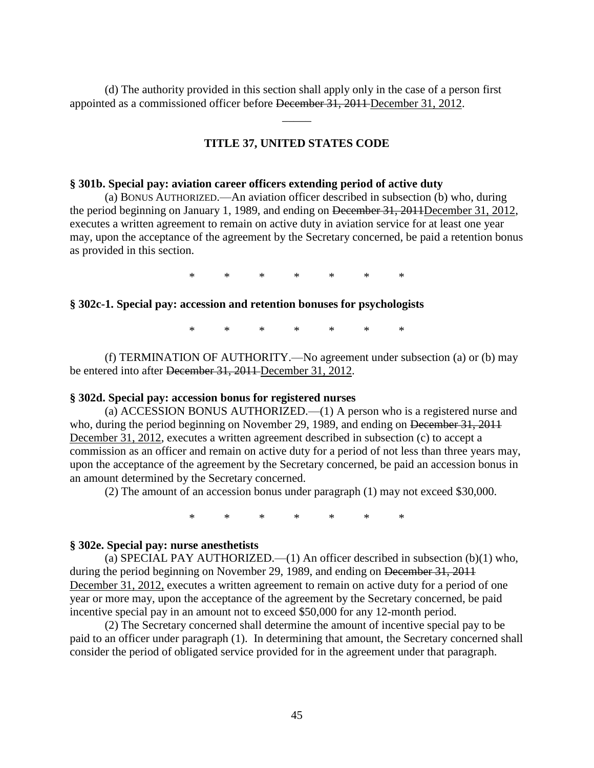(d) The authority provided in this section shall apply only in the case of a person first appointed as a commissioned officer before December 31, 2011 December 31, 2012.

## **TITLE 37, UNITED STATES CODE**

\_\_\_\_\_

#### **§ 301b. Special pay: aviation career officers extending period of active duty**

(a) BONUS AUTHORIZED.—An aviation officer described in subsection (b) who, during the period beginning on January 1, 1989, and ending on December 31, 2011December 31, 2012, executes a written agreement to remain on active duty in aviation service for at least one year may, upon the acceptance of the agreement by the Secretary concerned, be paid a retention bonus as provided in this section.

\* \* \* \* \* \* \*

#### **§ 302c-1. Special pay: accession and retention bonuses for psychologists**

\* \* \* \* \* \* \*

(f) TERMINATION OF AUTHORITY.—No agreement under subsection (a) or (b) may be entered into after <del>December 31, 2011</del> December 31, 2012.

#### **§ 302d. Special pay: accession bonus for registered nurses**

(a) ACCESSION BONUS AUTHORIZED.—(1) A person who is a registered nurse and who, during the period beginning on November 29, 1989, and ending on <del>December 31, 2011</del> December 31, 2012, executes a written agreement described in subsection (c) to accept a commission as an officer and remain on active duty for a period of not less than three years may, upon the acceptance of the agreement by the Secretary concerned, be paid an accession bonus in an amount determined by the Secretary concerned.

(2) The amount of an accession bonus under paragraph (1) may not exceed \$30,000.

\* \* \* \* \* \* \*

#### **§ 302e. Special pay: nurse anesthetists**

(a) SPECIAL PAY AUTHORIZED.—(1) An officer described in subsection (b)(1) who, during the period beginning on November 29, 1989, and ending on December 31, 2011 December 31, 2012, executes a written agreement to remain on active duty for a period of one year or more may, upon the acceptance of the agreement by the Secretary concerned, be paid incentive special pay in an amount not to exceed \$50,000 for any 12-month period.

(2) The Secretary concerned shall determine the amount of incentive special pay to be paid to an officer under paragraph (1). In determining that amount, the Secretary concerned shall consider the period of obligated service provided for in the agreement under that paragraph.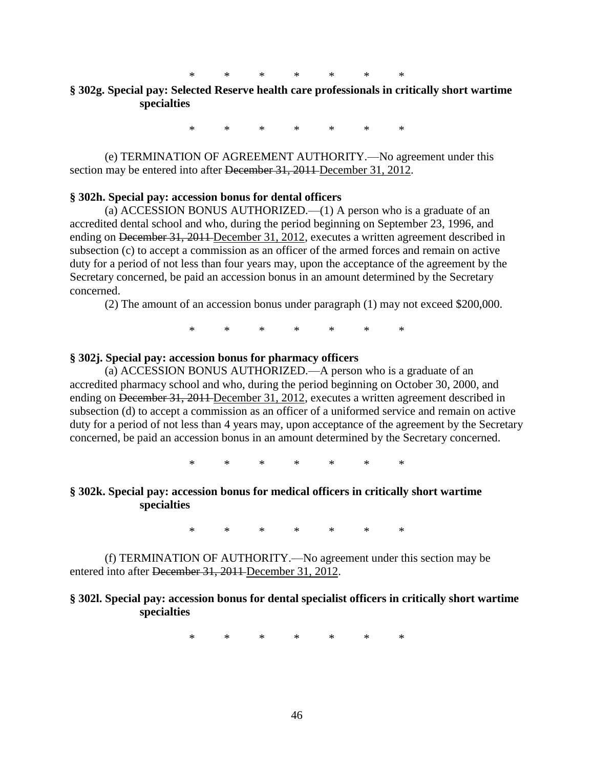## **§ 302g. Special pay: Selected Reserve health care professionals in critically short wartime specialties**

\* \* \* \* \* \* \*

(e) TERMINATION OF AGREEMENT AUTHORITY.—No agreement under this section may be entered into after December 31, 2011 December 31, 2012.

### **§ 302h. Special pay: accession bonus for dental officers**

(a) ACCESSION BONUS AUTHORIZED.—(1) A person who is a graduate of an accredited dental school and who, during the period beginning on September 23, 1996, and ending on December 31, 2011 December 31, 2012, executes a written agreement described in subsection (c) to accept a commission as an officer of the armed forces and remain on active duty for a period of not less than four years may, upon the acceptance of the agreement by the Secretary concerned, be paid an accession bonus in an amount determined by the Secretary concerned.

(2) The amount of an accession bonus under paragraph (1) may not exceed \$200,000.

\* \* \* \* \* \* \*

#### **§ 302j. Special pay: accession bonus for pharmacy officers**

(a) ACCESSION BONUS AUTHORIZED.—A person who is a graduate of an accredited pharmacy school and who, during the period beginning on October 30, 2000, and ending on <del>December 31, 2011 December 31, 2012</del>, executes a written agreement described in subsection (d) to accept a commission as an officer of a uniformed service and remain on active duty for a period of not less than 4 years may, upon acceptance of the agreement by the Secretary concerned, be paid an accession bonus in an amount determined by the Secretary concerned.

\* \* \* \* \* \* \*

### **§ 302k. Special pay: accession bonus for medical officers in critically short wartime specialties**

\* \* \* \* \* \* \*

(f) TERMINATION OF AUTHORITY.—No agreement under this section may be entered into after December 31, 2011 December 31, 2012.

## **§ 302l. Special pay: accession bonus for dental specialist officers in critically short wartime specialties**

\* \* \* \* \* \* \*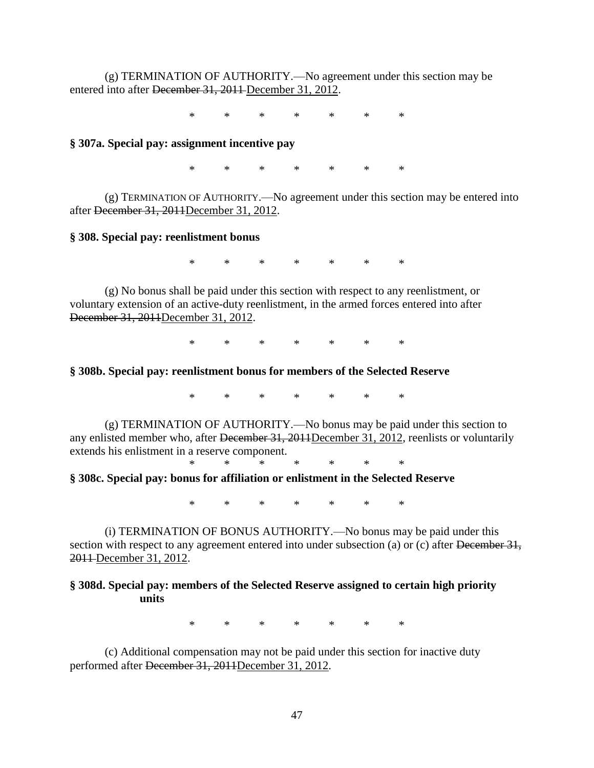(g) TERMINATION OF AUTHORITY.—No agreement under this section may be entered into after December 31, 2011 December 31, 2012.

\* \* \* \* \* \* \*

## **§ 307a. Special pay: assignment incentive pay**

\* \* \* \* \* \* \*

(g) TERMINATION OF AUTHORITY.—No agreement under this section may be entered into after December 31, 2011December 31, 2012.

#### **§ 308. Special pay: reenlistment bonus**

\* \* \* \* \* \* \*

(g) No bonus shall be paid under this section with respect to any reenlistment, or voluntary extension of an active-duty reenlistment, in the armed forces entered into after December 31, 2011December 31, 2012.

\* \* \* \* \* \* \*

#### **§ 308b. Special pay: reenlistment bonus for members of the Selected Reserve**

\* \* \* \* \* \* \*

(g) TERMINATION OF AUTHORITY.—No bonus may be paid under this section to any enlisted member who, after December 31, 2011December 31, 2012, reenlists or voluntarily extends his enlistment in a reserve component.

\* \* \* \* \* \* \* **§ 308c. Special pay: bonus for affiliation or enlistment in the Selected Reserve**

\* \* \* \* \* \* \*

(i) TERMINATION OF BONUS AUTHORITY.—No bonus may be paid under this section with respect to any agreement entered into under subsection (a) or (c) after December 31, 2011 December 31, 2012.

#### **§ 308d. Special pay: members of the Selected Reserve assigned to certain high priority units**

\* \* \* \* \* \* \*

(c) Additional compensation may not be paid under this section for inactive duty performed after December 31, 2011December 31, 2012.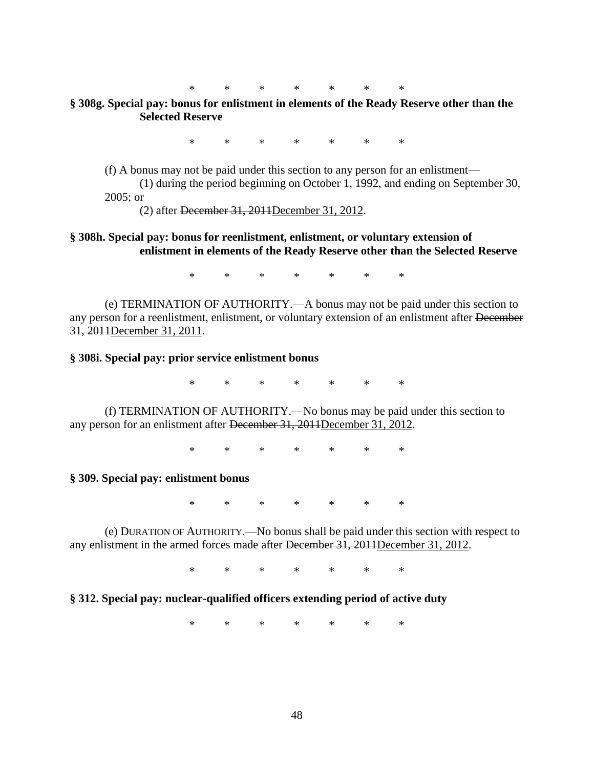## **§ 308g. Special pay: bonus for enlistment in elements of the Ready Reserve other than the Selected Reserve**

\* \* \* \* \* \* \*

(f) A bonus may not be paid under this section to any person for an enlistment—

(1) during the period beginning on October 1, 1992, and ending on September 30, 2005; or

(2) after December 31, 2011December 31, 2012.

## **§ 308h. Special pay: bonus for reenlistment, enlistment, or voluntary extension of enlistment in elements of the Ready Reserve other than the Selected Reserve**

\* \* \* \* \* \* \*

(e) TERMINATION OF AUTHORITY.—A bonus may not be paid under this section to any person for a reenlistment, enlistment, or voluntary extension of an enlistment after December 31, 2011December 31, 2011.

#### **§ 308i. Special pay: prior service enlistment bonus**

\* \* \* \* \* \* \*

(f) TERMINATION OF AUTHORITY.—No bonus may be paid under this section to any person for an enlistment after December 31, 2011December 31, 2012.

\* \* \* \* \* \* \*

**§ 309. Special pay: enlistment bonus**

\* \* \* \* \* \* \*

(e) DURATION OF AUTHORITY.—No bonus shall be paid under this section with respect to any enlistment in the armed forces made after <del>December 31, 2011</del>December 31, 2012.

\* \* \* \* \* \* \*

#### **§ 312. Special pay: nuclear-qualified officers extending period of active duty**

\* \* \* \* \* \* \*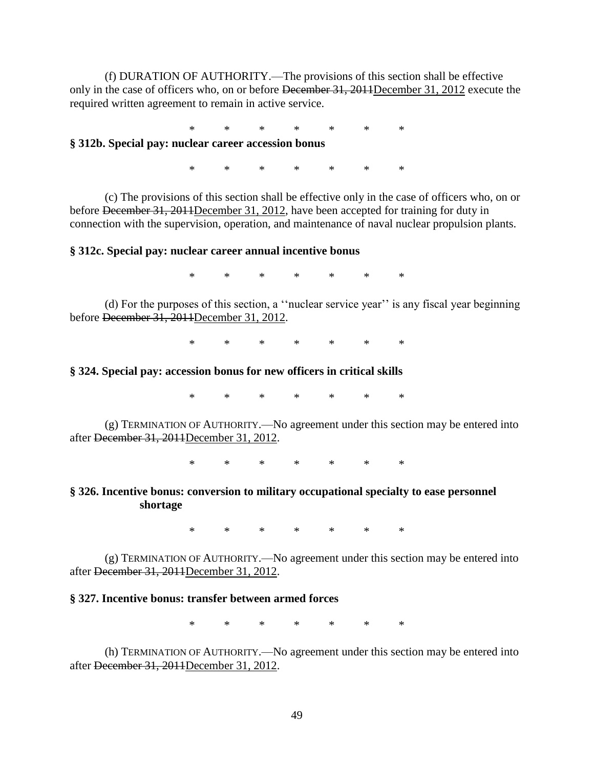(f) DURATION OF AUTHORITY.—The provisions of this section shall be effective only in the case of officers who, on or before December 31, 2011December 31, 2012 execute the required written agreement to remain in active service.

\* \* \* \* \* \* \*

## **§ 312b. Special pay: nuclear career accession bonus**

\* \* \* \* \* \* \*

(c) The provisions of this section shall be effective only in the case of officers who, on or before December 31, 2011December 31, 2012, have been accepted for training for duty in connection with the supervision, operation, and maintenance of naval nuclear propulsion plants.

#### **§ 312c. Special pay: nuclear career annual incentive bonus**

\* \* \* \* \* \* \*

(d) For the purposes of this section, a "nuclear service year" is any fiscal year beginning before December 31, 2011December 31, 2012.

\* \* \* \* \* \* \*

#### **§ 324. Special pay: accession bonus for new officers in critical skills**

\* \* \* \* \* \* \*

(g) TERMINATION OF AUTHORITY.—No agreement under this section may be entered into after December 31, 2011December 31, 2012.

\* \* \* \* \* \* \*

### **§ 326. Incentive bonus: conversion to military occupational specialty to ease personnel shortage**

\* \* \* \* \* \* \*

(g) TERMINATION OF AUTHORITY.—No agreement under this section may be entered into after December 31, 2011December 31, 2012.

## **§ 327. Incentive bonus: transfer between armed forces**

\* \* \* \* \* \* \*

(h) TERMINATION OF AUTHORITY.—No agreement under this section may be entered into after December 31, 2011December 31, 2012.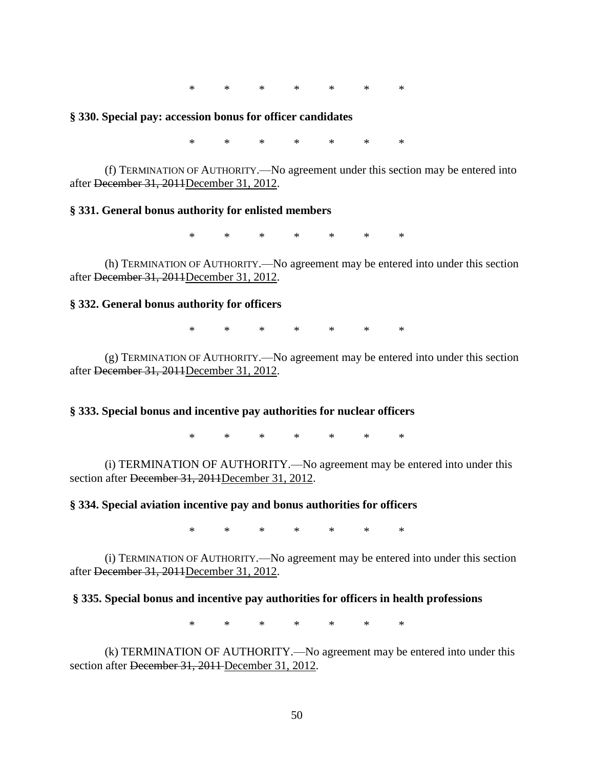#### **§ 330. Special pay: accession bonus for officer candidates**

\* \* \* \* \* \* \*

(f) TERMINATION OF AUTHORITY.—No agreement under this section may be entered into after December 31, 2011December 31, 2012.

#### **§ 331. General bonus authority for enlisted members**

\* \* \* \* \* \* \*

(h) TERMINATION OF AUTHORITY.—No agreement may be entered into under this section after December 31, 2011December 31, 2012.

#### **§ 332. General bonus authority for officers**

\* \* \* \* \* \* \*

(g) TERMINATION OF AUTHORITY.—No agreement may be entered into under this section after December 31, 2011December 31, 2012.

#### **§ 333. Special bonus and incentive pay authorities for nuclear officers**

\* \* \* \* \* \* \*

(i) TERMINATION OF AUTHORITY.—No agreement may be entered into under this section after December 31, 2011December 31, 2012.

#### **§ 334. Special aviation incentive pay and bonus authorities for officers**

\* \* \* \* \* \* \*

(i) TERMINATION OF AUTHORITY.—No agreement may be entered into under this section after December 31, 2011December 31, 2012.

#### **§ 335. Special bonus and incentive pay authorities for officers in health professions**

\* \* \* \* \* \* \*

(k) TERMINATION OF AUTHORITY.—No agreement may be entered into under this section after <del>December 31, 2011</del> December 31, 2012.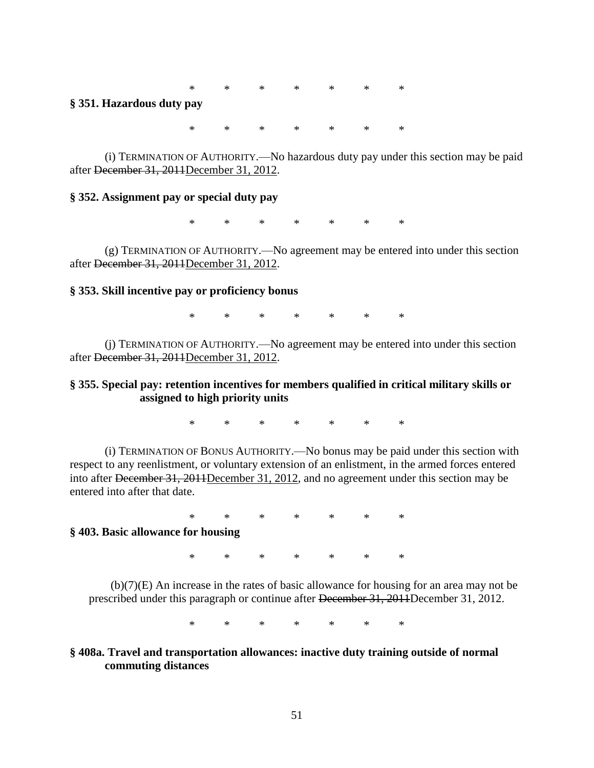#### **§ 351. Hazardous duty pay**

\* \* \* \* \* \* \*

(i) TERMINATION OF AUTHORITY.—No hazardous duty pay under this section may be paid after December 31, 2011December 31, 2012.

#### **§ 352. Assignment pay or special duty pay**

\* \* \* \* \* \* \*

(g) TERMINATION OF AUTHORITY.—No agreement may be entered into under this section after December 31, 2011December 31, 2012.

#### **§ 353. Skill incentive pay or proficiency bonus**

\* \* \* \* \* \* \*

(j) TERMINATION OF AUTHORITY.—No agreement may be entered into under this section after December 31, 2011December 31, 2012.

### **§ 355. Special pay: retention incentives for members qualified in critical military skills or assigned to high priority units**

\* \* \* \* \* \* \*

(i) TERMINATION OF BONUS AUTHORITY.—No bonus may be paid under this section with respect to any reenlistment, or voluntary extension of an enlistment, in the armed forces entered into after December 31, 2011December 31, 2012, and no agreement under this section may be entered into after that date.

\* \* \* \* \* \* \* **§ 403. Basic allowance for housing**

\* \* \* \* \* \* \*

(b)(7)(E) An increase in the rates of basic allowance for housing for an area may not be prescribed under this paragraph or continue after December 31, 2011December 31, 2012.

\* \* \* \* \* \* \*

## **§ 408a. Travel and transportation allowances: inactive duty training outside of normal commuting distances**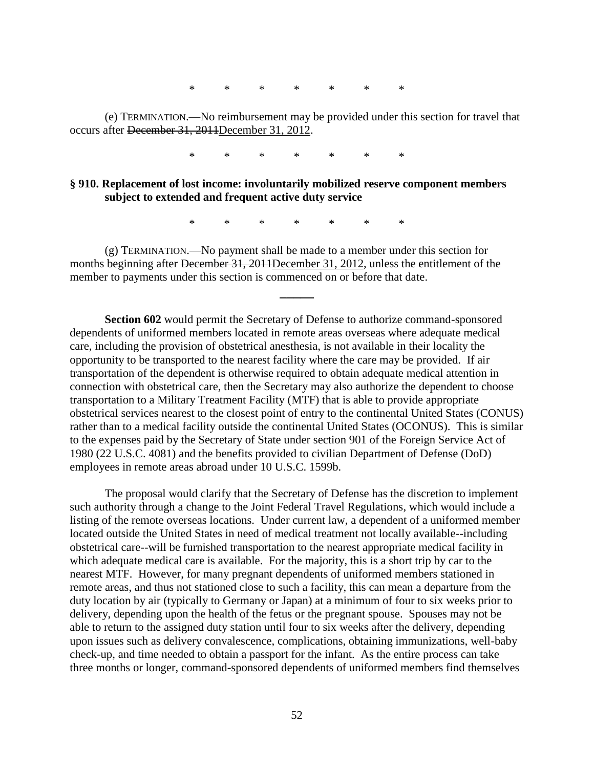(e) TERMINATION.—No reimbursement may be provided under this section for travel that occurs after December 31, 2011December 31, 2012.

\* \* \* \* \* \* \*

### **§ 910. Replacement of lost income: involuntarily mobilized reserve component members subject to extended and frequent active duty service**

\* \* \* \* \* \* \*

**\_\_\_\_\_**

(g) TERMINATION.—No payment shall be made to a member under this section for months beginning after December 31, 2011December 31, 2012, unless the entitlement of the member to payments under this section is commenced on or before that date.

**Section 602** would permit the Secretary of Defense to authorize command-sponsored dependents of uniformed members located in remote areas overseas where adequate medical care, including the provision of obstetrical anesthesia, is not available in their locality the opportunity to be transported to the nearest facility where the care may be provided. If air transportation of the dependent is otherwise required to obtain adequate medical attention in connection with obstetrical care, then the Secretary may also authorize the dependent to choose transportation to a Military Treatment Facility (MTF) that is able to provide appropriate obstetrical services nearest to the closest point of entry to the continental United States (CONUS) rather than to a medical facility outside the continental United States (OCONUS). This is similar to the expenses paid by the Secretary of State under section 901 of the Foreign Service Act of 1980 (22 U.S.C. 4081) and the benefits provided to civilian Department of Defense (DoD) employees in remote areas abroad under 10 U.S.C. 1599b.

The proposal would clarify that the Secretary of Defense has the discretion to implement such authority through a change to the Joint Federal Travel Regulations, which would include a listing of the remote overseas locations. Under current law, a dependent of a uniformed member located outside the United States in need of medical treatment not locally available--including obstetrical care--will be furnished transportation to the nearest appropriate medical facility in which adequate medical care is available. For the majority, this is a short trip by car to the nearest MTF. However, for many pregnant dependents of uniformed members stationed in remote areas, and thus not stationed close to such a facility, this can mean a departure from the duty location by air (typically to Germany or Japan) at a minimum of four to six weeks prior to delivery, depending upon the health of the fetus or the pregnant spouse. Spouses may not be able to return to the assigned duty station until four to six weeks after the delivery, depending upon issues such as delivery convalescence, complications, obtaining immunizations, well-baby check-up, and time needed to obtain a passport for the infant. As the entire process can take three months or longer, command-sponsored dependents of uniformed members find themselves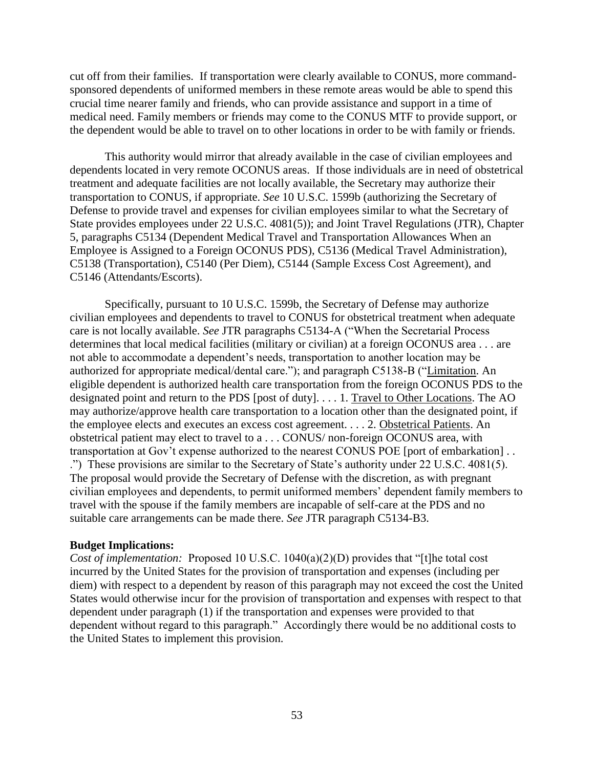cut off from their families. If transportation were clearly available to CONUS, more commandsponsored dependents of uniformed members in these remote areas would be able to spend this crucial time nearer family and friends, who can provide assistance and support in a time of medical need. Family members or friends may come to the CONUS MTF to provide support, or the dependent would be able to travel on to other locations in order to be with family or friends.

This authority would mirror that already available in the case of civilian employees and dependents located in very remote OCONUS areas. If those individuals are in need of obstetrical treatment and adequate facilities are not locally available, the Secretary may authorize their transportation to CONUS, if appropriate. *See* 10 U.S.C. 1599b (authorizing the Secretary of Defense to provide travel and expenses for civilian employees similar to what the Secretary of State provides employees under 22 U.S.C. 4081(5)); and Joint Travel Regulations (JTR), Chapter 5, paragraphs C5134 (Dependent Medical Travel and Transportation Allowances When an Employee is Assigned to a Foreign OCONUS PDS), C5136 (Medical Travel Administration), C5138 (Transportation), C5140 (Per Diem), C5144 (Sample Excess Cost Agreement), and C5146 (Attendants/Escorts).

Specifically, pursuant to 10 U.S.C. 1599b, the Secretary of Defense may authorize civilian employees and dependents to travel to CONUS for obstetrical treatment when adequate care is not locally available. *See* JTR paragraphs C5134-A ("When the Secretarial Process" determines that local medical facilities (military or civilian) at a foreign OCONUS area . . . are not able to accommodate a dependent's needs, transportation to another location may be authorized for appropriate medical/dental care."); and paragraph C5138-B ("Limitation. An eligible dependent is authorized health care transportation from the foreign OCONUS PDS to the designated point and return to the PDS [post of duty]. . . . 1. Travel to Other Locations. The AO may authorize/approve health care transportation to a location other than the designated point, if the employee elects and executes an excess cost agreement. . . . 2. Obstetrical Patients. An obstetrical patient may elect to travel to a . . . CONUS/ non-foreign OCONUS area, with transportation at Gov't expense authorized to the nearest CONUS POE [port of embarkation] . . .‖) These provisions are similar to the Secretary of State's authority under 22 U.S.C. 4081(5). The proposal would provide the Secretary of Defense with the discretion, as with pregnant civilian employees and dependents, to permit uniformed members' dependent family members to travel with the spouse if the family members are incapable of self-care at the PDS and no suitable care arrangements can be made there. *See* JTR paragraph C5134-B3.

## **Budget Implications:**

*Cost of implementation:* Proposed 10 U.S.C. 1040(a)(2)(D) provides that "[t]he total cost incurred by the United States for the provision of transportation and expenses (including per diem) with respect to a dependent by reason of this paragraph may not exceed the cost the United States would otherwise incur for the provision of transportation and expenses with respect to that dependent under paragraph (1) if the transportation and expenses were provided to that dependent without regard to this paragraph." Accordingly there would be no additional costs to the United States to implement this provision.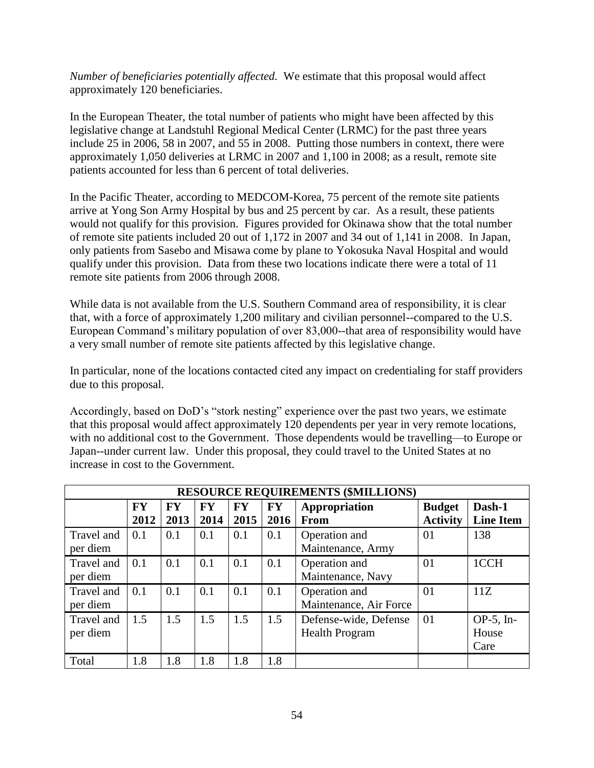*Number of beneficiaries potentially affected.* We estimate that this proposal would affect approximately 120 beneficiaries.

In the European Theater, the total number of patients who might have been affected by this legislative change at Landstuhl Regional Medical Center (LRMC) for the past three years include 25 in 2006, 58 in 2007, and 55 in 2008. Putting those numbers in context, there were approximately 1,050 deliveries at LRMC in 2007 and 1,100 in 2008; as a result, remote site patients accounted for less than 6 percent of total deliveries.

In the Pacific Theater, according to MEDCOM-Korea, 75 percent of the remote site patients arrive at Yong Son Army Hospital by bus and 25 percent by car. As a result, these patients would not qualify for this provision. Figures provided for Okinawa show that the total number of remote site patients included 20 out of 1,172 in 2007 and 34 out of 1,141 in 2008. In Japan, only patients from Sasebo and Misawa come by plane to Yokosuka Naval Hospital and would qualify under this provision. Data from these two locations indicate there were a total of 11 remote site patients from 2006 through 2008.

While data is not available from the U.S. Southern Command area of responsibility, it is clear that, with a force of approximately 1,200 military and civilian personnel--compared to the U.S. European Command's military population of over 83,000--that area of responsibility would have a very small number of remote site patients affected by this legislative change.

In particular, none of the locations contacted cited any impact on credentialing for staff providers due to this proposal.

Accordingly, based on DoD's "stork nesting" experience over the past two years, we estimate that this proposal would affect approximately 120 dependents per year in very remote locations, with no additional cost to the Government. Those dependents would be travelling—to Europe or Japan--under current law. Under this proposal, they could travel to the United States at no increase in cost to the Government.

|                        | <b>RESOURCE REQUIREMENTS (\$MILLIONS)</b> |                   |                   |                   |                   |                                                |                                  |                               |  |  |  |  |  |  |
|------------------------|-------------------------------------------|-------------------|-------------------|-------------------|-------------------|------------------------------------------------|----------------------------------|-------------------------------|--|--|--|--|--|--|
|                        | <b>FY</b><br>2012                         | <b>FY</b><br>2013 | <b>FY</b><br>2014 | <b>FY</b><br>2015 | <b>FY</b><br>2016 | Appropriation<br>From                          | <b>Budget</b><br><b>Activity</b> | Dash-1<br><b>Line Item</b>    |  |  |  |  |  |  |
| Travel and<br>per diem | 0.1                                       | 0.1               | 0.1               | 0.1               | 0.1               | Operation and<br>Maintenance, Army             | 01                               | 138                           |  |  |  |  |  |  |
| Travel and<br>per diem | 0.1                                       | 0.1               | 0.1               | 0.1               | 0.1               | Operation and<br>Maintenance, Navy             | 01                               | 1CCH                          |  |  |  |  |  |  |
| Travel and<br>per diem | 0.1                                       | 0.1               | 0.1               | 0.1               | 0.1               | Operation and<br>Maintenance, Air Force        | 01                               | 11Z                           |  |  |  |  |  |  |
| Travel and<br>per diem | 1.5                                       | 1.5               | 1.5               | 1.5               | 1.5               | Defense-wide, Defense<br><b>Health Program</b> | 01                               | $OP-5$ , In-<br>House<br>Care |  |  |  |  |  |  |
| Total                  | 1.8                                       | 1.8               | 1.8               | 1.8               | 1.8               |                                                |                                  |                               |  |  |  |  |  |  |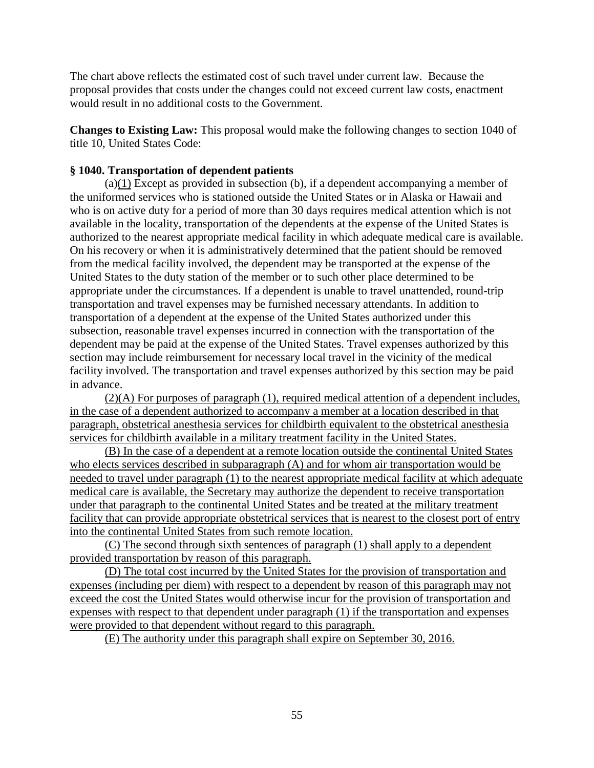The chart above reflects the estimated cost of such travel under current law. Because the proposal provides that costs under the changes could not exceed current law costs, enactment would result in no additional costs to the Government.

**Changes to Existing Law:** This proposal would make the following changes to section 1040 of title 10, United States Code:

## **§ 1040. Transportation of dependent patients**

(a)(1) Except as provided in subsection (b), if a dependent accompanying a member of the uniformed services who is stationed outside the United States or in Alaska or Hawaii and who is on active duty for a period of more than 30 days requires medical attention which is not available in the locality, transportation of the dependents at the expense of the United States is authorized to the nearest appropriate medical facility in which adequate medical care is available. On his recovery or when it is administratively determined that the patient should be removed from the medical facility involved, the dependent may be transported at the expense of the United States to the duty station of the member or to such other place determined to be appropriate under the circumstances. If a dependent is unable to travel unattended, round-trip transportation and travel expenses may be furnished necessary attendants. In addition to transportation of a dependent at the expense of the United States authorized under this subsection, reasonable travel expenses incurred in connection with the transportation of the dependent may be paid at the expense of the United States. Travel expenses authorized by this section may include reimbursement for necessary local travel in the vicinity of the medical facility involved. The transportation and travel expenses authorized by this section may be paid in advance.

(2)(A) For purposes of paragraph (1), required medical attention of a dependent includes, in the case of a dependent authorized to accompany a member at a location described in that paragraph, obstetrical anesthesia services for childbirth equivalent to the obstetrical anesthesia services for childbirth available in a military treatment facility in the United States.

(B) In the case of a dependent at a remote location outside the continental United States who elects services described in subparagraph (A) and for whom air transportation would be needed to travel under paragraph (1) to the nearest appropriate medical facility at which adequate medical care is available, the Secretary may authorize the dependent to receive transportation under that paragraph to the continental United States and be treated at the military treatment facility that can provide appropriate obstetrical services that is nearest to the closest port of entry into the continental United States from such remote location.

(C) The second through sixth sentences of paragraph (1) shall apply to a dependent provided transportation by reason of this paragraph.

(D) The total cost incurred by the United States for the provision of transportation and expenses (including per diem) with respect to a dependent by reason of this paragraph may not exceed the cost the United States would otherwise incur for the provision of transportation and expenses with respect to that dependent under paragraph (1) if the transportation and expenses were provided to that dependent without regard to this paragraph.

(E) The authority under this paragraph shall expire on September 30, 2016.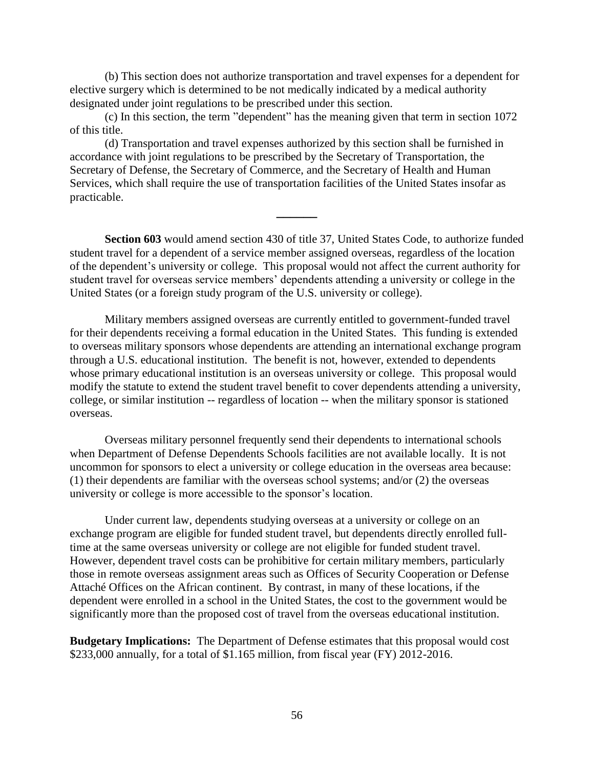(b) This section does not authorize transportation and travel expenses for a dependent for elective surgery which is determined to be not medically indicated by a medical authority designated under joint regulations to be prescribed under this section.

(c) In this section, the term "dependent" has the meaning given that term in section 1072 of this title.

(d) Transportation and travel expenses authorized by this section shall be furnished in accordance with joint regulations to be prescribed by the Secretary of Transportation, the Secretary of Defense, the Secretary of Commerce, and the Secretary of Health and Human Services, which shall require the use of transportation facilities of the United States insofar as practicable.

**Section 603** would amend section 430 of title 37, United States Code, to authorize funded student travel for a dependent of a service member assigned overseas, regardless of the location of the dependent's university or college. This proposal would not affect the current authority for student travel for overseas service members' dependents attending a university or college in the United States (or a foreign study program of the U.S. university or college).

**\_\_\_\_\_\_**

Military members assigned overseas are currently entitled to government-funded travel for their dependents receiving a formal education in the United States. This funding is extended to overseas military sponsors whose dependents are attending an international exchange program through a U.S. educational institution. The benefit is not, however, extended to dependents whose primary educational institution is an overseas university or college. This proposal would modify the statute to extend the student travel benefit to cover dependents attending a university, college, or similar institution -- regardless of location -- when the military sponsor is stationed overseas.

Overseas military personnel frequently send their dependents to international schools when Department of Defense Dependents Schools facilities are not available locally. It is not uncommon for sponsors to elect a university or college education in the overseas area because: (1) their dependents are familiar with the overseas school systems; and/or (2) the overseas university or college is more accessible to the sponsor's location.

Under current law, dependents studying overseas at a university or college on an exchange program are eligible for funded student travel, but dependents directly enrolled fulltime at the same overseas university or college are not eligible for funded student travel. However, dependent travel costs can be prohibitive for certain military members, particularly those in remote overseas assignment areas such as Offices of Security Cooperation or Defense Attaché Offices on the African continent. By contrast, in many of these locations, if the dependent were enrolled in a school in the United States, the cost to the government would be significantly more than the proposed cost of travel from the overseas educational institution.

**Budgetary Implications:** The Department of Defense estimates that this proposal would cost \$233,000 annually, for a total of \$1.165 million, from fiscal year (FY) 2012-2016.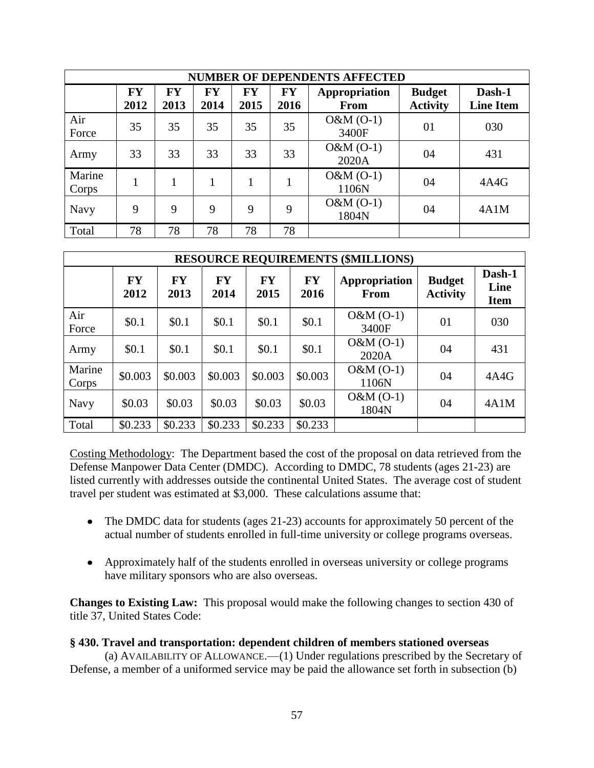|                 | <b>NUMBER OF DEPENDENTS AFFECTED</b> |                   |                   |                   |                   |                              |                                  |                            |  |  |  |  |  |  |
|-----------------|--------------------------------------|-------------------|-------------------|-------------------|-------------------|------------------------------|----------------------------------|----------------------------|--|--|--|--|--|--|
|                 | <b>FY</b><br>2012                    | <b>FY</b><br>2013 | <b>FY</b><br>2014 | <b>FY</b><br>2015 | <b>FY</b><br>2016 | Appropriation<br><b>From</b> | <b>Budget</b><br><b>Activity</b> | Dash-1<br><b>Line Item</b> |  |  |  |  |  |  |
| Air<br>Force    | 35                                   | 35                | 35                | 35                | 35                | $O&M(O-1)$<br>3400F          | 01                               | 030                        |  |  |  |  |  |  |
| Army            | 33                                   | 33                | 33                | 33                | 33                | $O&M(O-1)$<br>2020A          | 04                               | 431                        |  |  |  |  |  |  |
| Marine<br>Corps | 1                                    |                   |                   | 1                 |                   | $O&M(O-1)$<br>1106N          | 04                               | 4A4G                       |  |  |  |  |  |  |
| <b>Navy</b>     | 9                                    | 9                 | 9                 | 9                 | 9                 | $O&M(O-1)$<br>1804N          | 04                               | 4A1M                       |  |  |  |  |  |  |
| Total           | 78                                   | 78                | 78                | 78                | 78                |                              |                                  |                            |  |  |  |  |  |  |

| <b>RESOURCE REQUIREMENTS (\$MILLIONS)</b> |                   |                   |                   |                   |                   |                       |                                  |                               |  |
|-------------------------------------------|-------------------|-------------------|-------------------|-------------------|-------------------|-----------------------|----------------------------------|-------------------------------|--|
|                                           | <b>FY</b><br>2012 | <b>FY</b><br>2013 | <b>FY</b><br>2014 | <b>FY</b><br>2015 | <b>FY</b><br>2016 | Appropriation<br>From | <b>Budget</b><br><b>Activity</b> | Dash-1<br>Line<br><b>Item</b> |  |
| Air<br>Force                              | \$0.1             | \$0.1             | \$0.1             | \$0.1             | \$0.1             | $O&M(O-1)$<br>3400F   | 01                               | 030                           |  |
| Army                                      | \$0.1             | \$0.1             | \$0.1             | \$0.1             | \$0.1             | $O&M(O-1)$<br>2020A   | 04                               | 431                           |  |
| Marine<br>Corps                           | \$0.003           | \$0.003           | \$0.003           | \$0.003           | \$0.003           | $O&M(O-1)$<br>1106N   | 04                               | 4A4G                          |  |
| <b>Navy</b>                               | \$0.03            | \$0.03            | \$0.03            | \$0.03\$          | \$0.03            | $O&M(O-1)$<br>1804N   | 04                               | 4A1M                          |  |
| Total                                     | \$0.233           | \$0.233           | \$0.233           | \$0.233           | \$0.233           |                       |                                  |                               |  |

Costing Methodology: The Department based the cost of the proposal on data retrieved from the Defense Manpower Data Center (DMDC). According to DMDC, 78 students (ages 21-23) are listed currently with addresses outside the continental United States. The average cost of student travel per student was estimated at \$3,000. These calculations assume that:

- The DMDC data for students (ages 21-23) accounts for approximately 50 percent of the actual number of students enrolled in full-time university or college programs overseas.
- Approximately half of the students enrolled in overseas university or college programs have military sponsors who are also overseas.

**Changes to Existing Law:** This proposal would make the following changes to section 430 of title 37, United States Code:

## **§ 430. Travel and transportation: dependent children of members stationed overseas**

(a) AVAILABILITY OF ALLOWANCE.—(1) Under regulations prescribed by the Secretary of Defense, a member of a uniformed service may be paid the allowance set forth in subsection (b)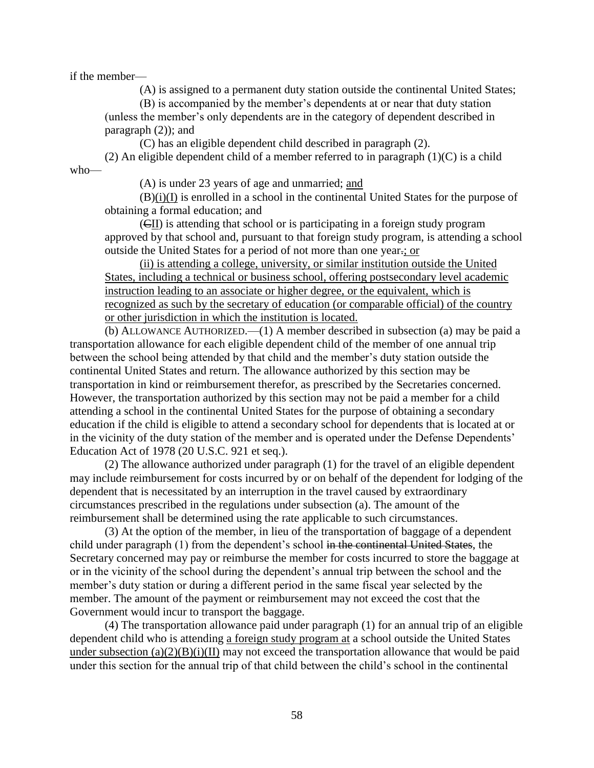if the member—

(A) is assigned to a permanent duty station outside the continental United States;

(B) is accompanied by the member's dependents at or near that duty station (unless the member's only dependents are in the category of dependent described in paragraph (2)); and

(C) has an eligible dependent child described in paragraph (2). (2) An eligible dependent child of a member referred to in paragraph  $(1)(C)$  is a child who—

(A) is under 23 years of age and unmarried; and

 $(B)(i)(I)$  is enrolled in a school in the continental United States for the purpose of obtaining a formal education; and

 $(\overline{\text{c}}\text{II})$  is attending that school or is participating in a foreign study program approved by that school and, pursuant to that foreign study program, is attending a school outside the United States for a period of not more than one year.; or

(ii) is attending a college, university, or similar institution outside the United States, including a technical or business school, offering postsecondary level academic instruction leading to an associate or higher degree, or the equivalent, which is recognized as such by the secretary of education (or comparable official) of the country or other jurisdiction in which the institution is located.

(b) ALLOWANCE AUTHORIZED.—(1) A member described in subsection (a) may be paid a transportation allowance for each eligible dependent child of the member of one annual trip between the school being attended by that child and the member's duty station outside the continental United States and return. The allowance authorized by this section may be transportation in kind or reimbursement therefor, as prescribed by the Secretaries concerned. However, the transportation authorized by this section may not be paid a member for a child attending a school in the continental United States for the purpose of obtaining a secondary education if the child is eligible to attend a secondary school for dependents that is located at or in the vicinity of the duty station of the member and is operated under the Defense Dependents' Education Act of 1978 (20 U.S.C. 921 et seq.).

(2) The allowance authorized under paragraph (1) for the travel of an eligible dependent may include reimbursement for costs incurred by or on behalf of the dependent for lodging of the dependent that is necessitated by an interruption in the travel caused by extraordinary circumstances prescribed in the regulations under subsection (a). The amount of the reimbursement shall be determined using the rate applicable to such circumstances.

(3) At the option of the member, in lieu of the transportation of baggage of a dependent child under paragraph (1) from the dependent's school in the continental United States, the Secretary concerned may pay or reimburse the member for costs incurred to store the baggage at or in the vicinity of the school during the dependent's annual trip between the school and the member's duty station or during a different period in the same fiscal year selected by the member. The amount of the payment or reimbursement may not exceed the cost that the Government would incur to transport the baggage.

(4) The transportation allowance paid under paragraph (1) for an annual trip of an eligible dependent child who is attending a foreign study program at a school outside the United States under subsection  $(a)(2)(B)(i)(II)$  may not exceed the transportation allowance that would be paid under this section for the annual trip of that child between the child's school in the continental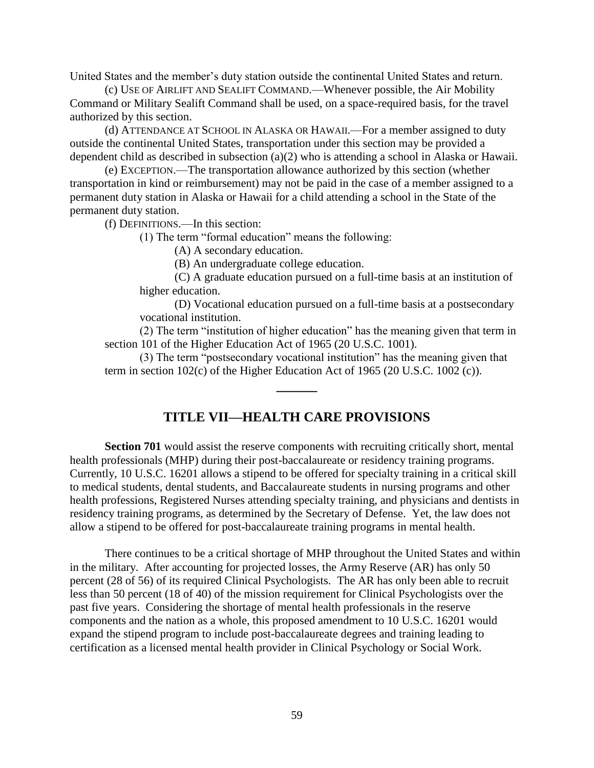United States and the member's duty station outside the continental United States and return.

(c) USE OF AIRLIFT AND SEALIFT COMMAND.—Whenever possible, the Air Mobility Command or Military Sealift Command shall be used, on a space-required basis, for the travel authorized by this section.

(d) ATTENDANCE AT SCHOOL IN ALASKA OR HAWAII.—For a member assigned to duty outside the continental United States, transportation under this section may be provided a dependent child as described in subsection (a)(2) who is attending a school in Alaska or Hawaii.

(e) EXCEPTION.—The transportation allowance authorized by this section (whether transportation in kind or reimbursement) may not be paid in the case of a member assigned to a permanent duty station in Alaska or Hawaii for a child attending a school in the State of the permanent duty station.

(f) DEFINITIONS.—In this section:

 $(1)$  The term "formal education" means the following:

(A) A secondary education.

(B) An undergraduate college education.

(C) A graduate education pursued on a full-time basis at an institution of higher education.

(D) Vocational education pursued on a full-time basis at a postsecondary vocational institution.

(2) The term "institution of higher education" has the meaning given that term in section 101 of the Higher Education Act of 1965 (20 U.S.C. 1001).

(3) The term "postsecondary vocational institution" has the meaning given that term in section 102(c) of the Higher Education Act of 1965 (20 U.S.C. 1002 (c)).

## **TITLE VII—HEALTH CARE PROVISIONS**

**\_\_\_\_\_\_**

**Section 701** would assist the reserve components with recruiting critically short, mental health professionals (MHP) during their post-baccalaureate or residency training programs. Currently, 10 U.S.C. 16201 allows a stipend to be offered for specialty training in a critical skill to medical students, dental students, and Baccalaureate students in nursing programs and other health professions, Registered Nurses attending specialty training, and physicians and dentists in residency training programs, as determined by the Secretary of Defense. Yet, the law does not allow a stipend to be offered for post-baccalaureate training programs in mental health.

There continues to be a critical shortage of MHP throughout the United States and within in the military. After accounting for projected losses, the Army Reserve (AR) has only 50 percent (28 of 56) of its required Clinical Psychologists. The AR has only been able to recruit less than 50 percent (18 of 40) of the mission requirement for Clinical Psychologists over the past five years. Considering the shortage of mental health professionals in the reserve components and the nation as a whole, this proposed amendment to 10 U.S.C. 16201 would expand the stipend program to include post-baccalaureate degrees and training leading to certification as a licensed mental health provider in Clinical Psychology or Social Work.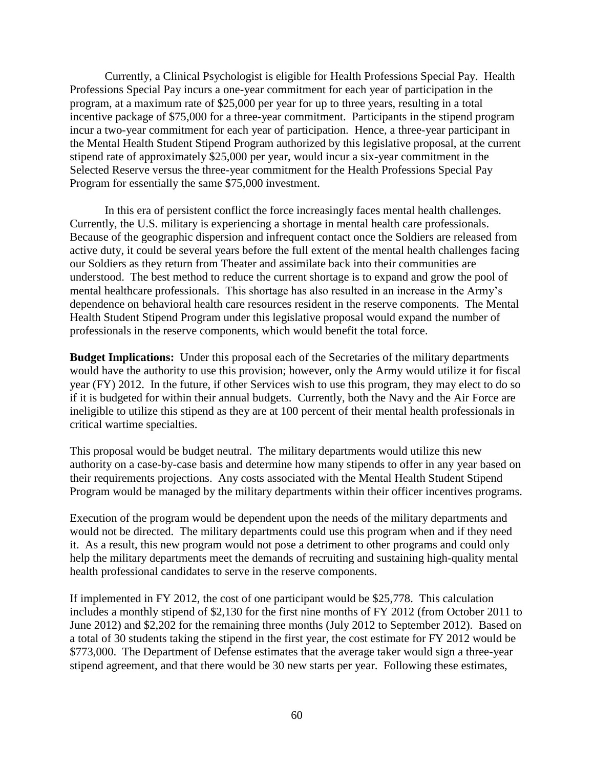Currently, a Clinical Psychologist is eligible for Health Professions Special Pay. Health Professions Special Pay incurs a one-year commitment for each year of participation in the program, at a maximum rate of \$25,000 per year for up to three years, resulting in a total incentive package of \$75,000 for a three-year commitment. Participants in the stipend program incur a two-year commitment for each year of participation. Hence, a three-year participant in the Mental Health Student Stipend Program authorized by this legislative proposal, at the current stipend rate of approximately \$25,000 per year, would incur a six-year commitment in the Selected Reserve versus the three-year commitment for the Health Professions Special Pay Program for essentially the same \$75,000 investment.

In this era of persistent conflict the force increasingly faces mental health challenges. Currently, the U.S. military is experiencing a shortage in mental health care professionals. Because of the geographic dispersion and infrequent contact once the Soldiers are released from active duty, it could be several years before the full extent of the mental health challenges facing our Soldiers as they return from Theater and assimilate back into their communities are understood. The best method to reduce the current shortage is to expand and grow the pool of mental healthcare professionals. This shortage has also resulted in an increase in the Army's dependence on behavioral health care resources resident in the reserve components. The Mental Health Student Stipend Program under this legislative proposal would expand the number of professionals in the reserve components, which would benefit the total force.

**Budget Implications:** Under this proposal each of the Secretaries of the military departments would have the authority to use this provision; however, only the Army would utilize it for fiscal year (FY) 2012. In the future, if other Services wish to use this program, they may elect to do so if it is budgeted for within their annual budgets. Currently, both the Navy and the Air Force are ineligible to utilize this stipend as they are at 100 percent of their mental health professionals in critical wartime specialties.

This proposal would be budget neutral. The military departments would utilize this new authority on a case-by-case basis and determine how many stipends to offer in any year based on their requirements projections. Any costs associated with the Mental Health Student Stipend Program would be managed by the military departments within their officer incentives programs.

Execution of the program would be dependent upon the needs of the military departments and would not be directed. The military departments could use this program when and if they need it. As a result, this new program would not pose a detriment to other programs and could only help the military departments meet the demands of recruiting and sustaining high-quality mental health professional candidates to serve in the reserve components.

If implemented in FY 2012, the cost of one participant would be \$25,778. This calculation includes a monthly stipend of \$2,130 for the first nine months of FY 2012 (from October 2011 to June 2012) and \$2,202 for the remaining three months (July 2012 to September 2012). Based on a total of 30 students taking the stipend in the first year, the cost estimate for FY 2012 would be \$773,000. The Department of Defense estimates that the average taker would sign a three-year stipend agreement, and that there would be 30 new starts per year. Following these estimates,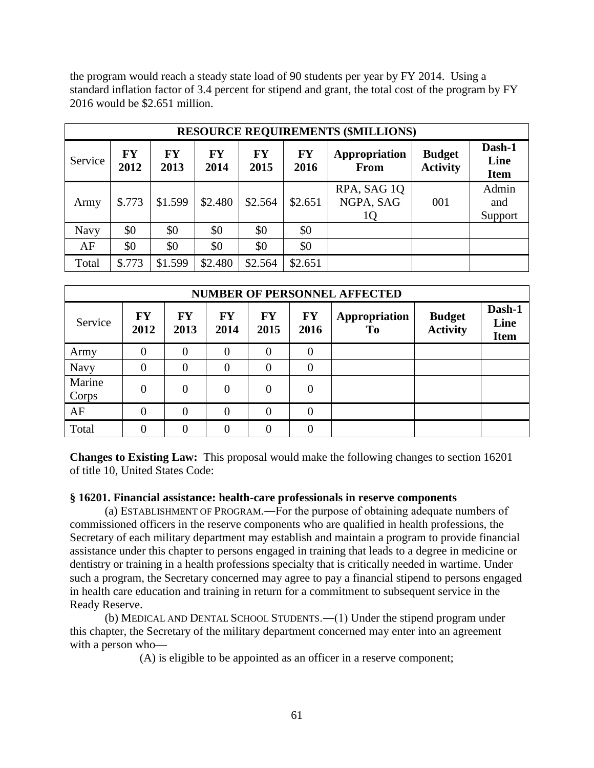the program would reach a steady state load of 90 students per year by FY 2014. Using a standard inflation factor of 3.4 percent for stipend and grant, the total cost of the program by FY 2016 would be \$2.651 million.

| <b>RESOURCE REQUIREMENTS (\$MILLIONS)</b> |                   |                   |                   |                   |                   |                              |                                  |                               |  |  |
|-------------------------------------------|-------------------|-------------------|-------------------|-------------------|-------------------|------------------------------|----------------------------------|-------------------------------|--|--|
| Service                                   | <b>FY</b><br>2012 | <b>FY</b><br>2013 | <b>FY</b><br>2014 | <b>FY</b><br>2015 | <b>FY</b><br>2016 | Appropriation<br><b>From</b> | <b>Budget</b><br><b>Activity</b> | Dash-1<br>Line<br><b>Item</b> |  |  |
| Army                                      | \$.773            | \$1.599           | \$2.480           | \$2.564           | \$2.651           | RPA, SAG 1Q<br>NGPA, SAG     | 001                              | Admin<br>and<br>Support       |  |  |
| <b>Navy</b>                               | \$0               | \$0               | \$0               | \$0               | \$0               |                              |                                  |                               |  |  |
| AF                                        | \$0               | \$0               | \$0               | \$0               | \$0               |                              |                                  |                               |  |  |
| Total                                     | \$.773            | \$1.599           | \$2.480           | \$2.564           | \$2.651           |                              |                                  |                               |  |  |

| <b>NUMBER OF PERSONNEL AFFECTED</b> |                   |                   |                   |                   |                                |                                 |                                  |                               |  |
|-------------------------------------|-------------------|-------------------|-------------------|-------------------|--------------------------------|---------------------------------|----------------------------------|-------------------------------|--|
| Service                             | <b>FY</b><br>2012 | <b>FY</b><br>2013 | <b>FY</b><br>2014 | <b>FY</b><br>2015 | $\mathbf{F}\mathbf{Y}$<br>2016 | Appropriation<br>T <sub>0</sub> | <b>Budget</b><br><b>Activity</b> | Dash-1<br>Line<br><b>Item</b> |  |
| Army                                | $\theta$          | $\theta$          | $\overline{0}$    | $\theta$          | $\overline{0}$                 |                                 |                                  |                               |  |
| Navy                                | $\overline{0}$    | $\theta$          | $\overline{0}$    | $\Omega$          | $\overline{0}$                 |                                 |                                  |                               |  |
| Marine<br>Corps                     | $\overline{0}$    | $\overline{0}$    | $\theta$          | $\Omega$          | $\overline{0}$                 |                                 |                                  |                               |  |
| AF                                  | $\theta$          | $\theta$          | $\overline{0}$    | $\Omega$          | $\Omega$                       |                                 |                                  |                               |  |
| Total                               | $\theta$          | $\theta$          | 0                 | $\Omega$          | $\theta$                       |                                 |                                  |                               |  |

**Changes to Existing Law:** This proposal would make the following changes to section 16201 of title 10, United States Code:

## **§ 16201. Financial assistance: health-care professionals in reserve components**

(a) ESTABLISHMENT OF PROGRAM.―For the purpose of obtaining adequate numbers of commissioned officers in the reserve components who are qualified in health professions, the Secretary of each military department may establish and maintain a program to provide financial assistance under this chapter to persons engaged in training that leads to a degree in medicine or dentistry or training in a health professions specialty that is critically needed in wartime. Under such a program, the Secretary concerned may agree to pay a financial stipend to persons engaged in health care education and training in return for a commitment to subsequent service in the Ready Reserve.

(b) MEDICAL AND DENTAL SCHOOL STUDENTS.―(1) Under the stipend program under this chapter, the Secretary of the military department concerned may enter into an agreement with a person who—

(A) is eligible to be appointed as an officer in a reserve component;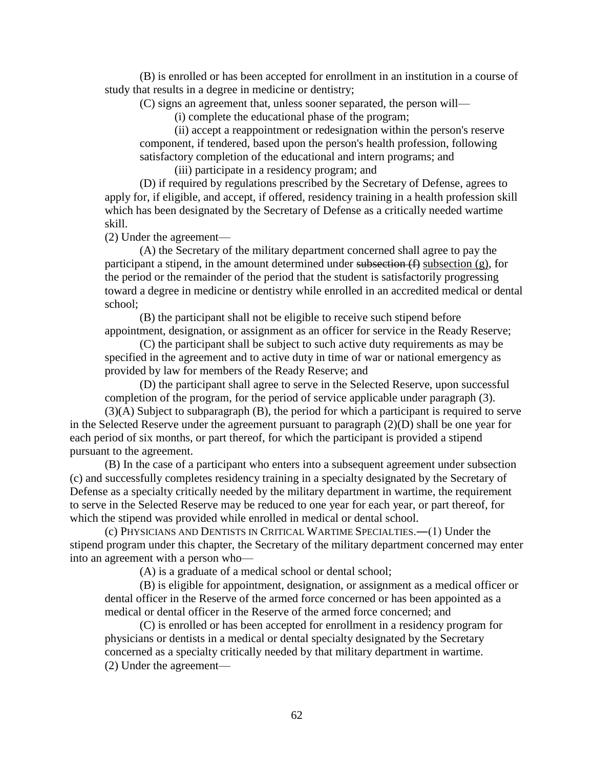(B) is enrolled or has been accepted for enrollment in an institution in a course of study that results in a degree in medicine or dentistry;

(C) signs an agreement that, unless sooner separated, the person will—

(i) complete the educational phase of the program;

(ii) accept a reappointment or redesignation within the person's reserve component, if tendered, based upon the person's health profession, following satisfactory completion of the educational and intern programs; and

(iii) participate in a residency program; and

(D) if required by regulations prescribed by the Secretary of Defense, agrees to apply for, if eligible, and accept, if offered, residency training in a health profession skill which has been designated by the Secretary of Defense as a critically needed wartime skill.

(2) Under the agreement—

(A) the Secretary of the military department concerned shall agree to pay the participant a stipend, in the amount determined under subsection  $(f)$  subsection  $(g)$ , for the period or the remainder of the period that the student is satisfactorily progressing toward a degree in medicine or dentistry while enrolled in an accredited medical or dental school;

(B) the participant shall not be eligible to receive such stipend before appointment, designation, or assignment as an officer for service in the Ready Reserve;

(C) the participant shall be subject to such active duty requirements as may be specified in the agreement and to active duty in time of war or national emergency as provided by law for members of the Ready Reserve; and

(D) the participant shall agree to serve in the Selected Reserve, upon successful completion of the program, for the period of service applicable under paragraph (3).

(3)(A) Subject to subparagraph (B), the period for which a participant is required to serve in the Selected Reserve under the agreement pursuant to paragraph (2)(D) shall be one year for each period of six months, or part thereof, for which the participant is provided a stipend pursuant to the agreement.

(B) In the case of a participant who enters into a subsequent agreement under subsection (c) and successfully completes residency training in a specialty designated by the Secretary of Defense as a specialty critically needed by the military department in wartime, the requirement to serve in the Selected Reserve may be reduced to one year for each year, or part thereof, for which the stipend was provided while enrolled in medical or dental school.

(c) PHYSICIANS AND DENTISTS IN CRITICAL WARTIME SPECIALTIES.―(1) Under the stipend program under this chapter, the Secretary of the military department concerned may enter into an agreement with a person who—

(A) is a graduate of a medical school or dental school;

(B) is eligible for appointment, designation, or assignment as a medical officer or dental officer in the Reserve of the armed force concerned or has been appointed as a medical or dental officer in the Reserve of the armed force concerned; and

(C) is enrolled or has been accepted for enrollment in a residency program for physicians or dentists in a medical or dental specialty designated by the Secretary concerned as a specialty critically needed by that military department in wartime. (2) Under the agreement—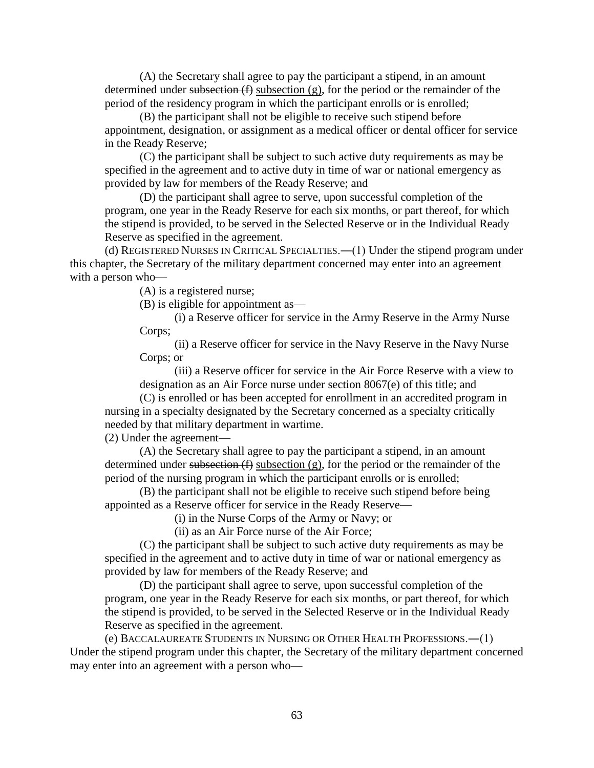(A) the Secretary shall agree to pay the participant a stipend, in an amount determined under subsection  $(f)$  subsection  $(g)$ , for the period or the remainder of the period of the residency program in which the participant enrolls or is enrolled;

(B) the participant shall not be eligible to receive such stipend before appointment, designation, or assignment as a medical officer or dental officer for service in the Ready Reserve;

(C) the participant shall be subject to such active duty requirements as may be specified in the agreement and to active duty in time of war or national emergency as provided by law for members of the Ready Reserve; and

(D) the participant shall agree to serve, upon successful completion of the program, one year in the Ready Reserve for each six months, or part thereof, for which the stipend is provided, to be served in the Selected Reserve or in the Individual Ready Reserve as specified in the agreement.

(d) REGISTERED NURSES IN CRITICAL SPECIALTIES.―(1) Under the stipend program under this chapter, the Secretary of the military department concerned may enter into an agreement with a person who—

(A) is a registered nurse;

(B) is eligible for appointment as—

(i) a Reserve officer for service in the Army Reserve in the Army Nurse Corps;

(ii) a Reserve officer for service in the Navy Reserve in the Navy Nurse Corps; or

(iii) a Reserve officer for service in the Air Force Reserve with a view to designation as an Air Force nurse under [section 8067\(e\)](https://web2.westlaw.com/find/default.wl?tf=-1&rs=WLW10.06&referencepositiontype=T&referenceposition=SP%3b7fdd00001ca15&fn=_top&sv=Split&docname=10USCAS8067&tc=-1&pbc=68D82904&ordoc=7086082&findtype=L&db=1000546&vr=2.0&rp=%2ffind%2fdefault.wl&mt=Westlaw) of this title; and

(C) is enrolled or has been accepted for enrollment in an accredited program in nursing in a specialty designated by the Secretary concerned as a specialty critically needed by that military department in wartime.

(2) Under the agreement—

(A) the Secretary shall agree to pay the participant a stipend, in an amount determined under subsection  $(f)$  subsection  $(g)$ , for the period or the remainder of the period of the nursing program in which the participant enrolls or is enrolled;

(B) the participant shall not be eligible to receive such stipend before being appointed as a Reserve officer for service in the Ready Reserve—

(i) in the Nurse Corps of the Army or Navy; or

(ii) as an Air Force nurse of the Air Force;

(C) the participant shall be subject to such active duty requirements as may be specified in the agreement and to active duty in time of war or national emergency as provided by law for members of the Ready Reserve; and

(D) the participant shall agree to serve, upon successful completion of the program, one year in the Ready Reserve for each six months, or part thereof, for which the stipend is provided, to be served in the Selected Reserve or in the Individual Ready Reserve as specified in the agreement.

(e) BACCALAUREATE STUDENTS IN NURSING OR OTHER HEALTH PROFESSIONS.―(1) Under the stipend program under this chapter, the Secretary of the military department concerned may enter into an agreement with a person who—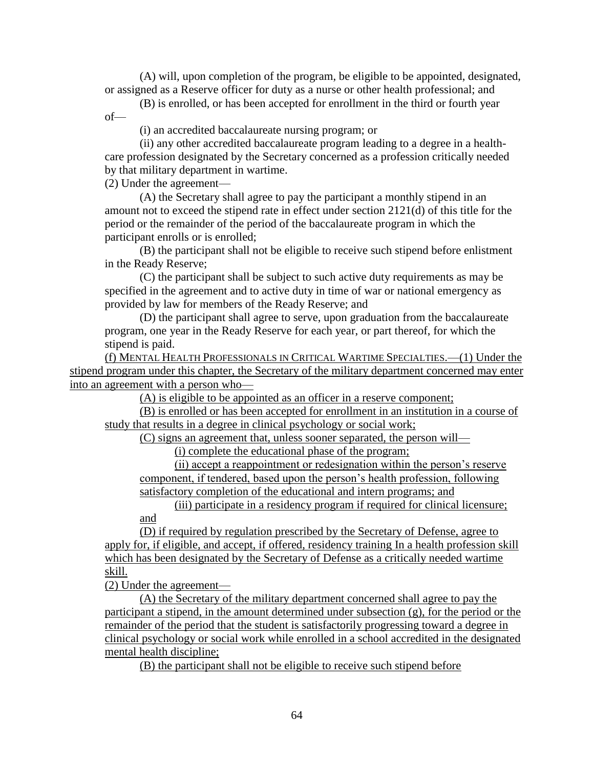(A) will, upon completion of the program, be eligible to be appointed, designated, or assigned as a Reserve officer for duty as a nurse or other health professional; and

(B) is enrolled, or has been accepted for enrollment in the third or fourth year of—

(i) an accredited baccalaureate nursing program; or

(ii) any other accredited baccalaureate program leading to a degree in a healthcare profession designated by the Secretary concerned as a profession critically needed by that military department in wartime.

(2) Under the agreement—

(A) the Secretary shall agree to pay the participant a monthly stipend in an amount not to exceed the stipend rate in effect under [section 2121\(d\)](https://web2.westlaw.com/find/default.wl?tf=-1&rs=WLW10.06&referencepositiontype=T&referenceposition=SP%3b5ba1000067d06&fn=_top&sv=Split&docname=10USCAS2121&tc=-1&pbc=68D82904&ordoc=7086082&findtype=L&db=1000546&vr=2.0&rp=%2ffind%2fdefault.wl&mt=Westlaw) of this title for the period or the remainder of the period of the baccalaureate program in which the participant enrolls or is enrolled;

(B) the participant shall not be eligible to receive such stipend before enlistment in the Ready Reserve;

(C) the participant shall be subject to such active duty requirements as may be specified in the agreement and to active duty in time of war or national emergency as provided by law for members of the Ready Reserve; and

(D) the participant shall agree to serve, upon graduation from the baccalaureate program, one year in the Ready Reserve for each year, or part thereof, for which the stipend is paid.

(f) MENTAL HEALTH PROFESSIONALS IN CRITICAL WARTIME SPECIALTIES.—(1) Under the stipend program under this chapter, the Secretary of the military department concerned may enter into an agreement with a person who—

(A) is eligible to be appointed as an officer in a reserve component;

(B) is enrolled or has been accepted for enrollment in an institution in a course of study that results in a degree in clinical psychology or social work;

(C) signs an agreement that, unless sooner separated, the person will—

(i) complete the educational phase of the program;

(ii) accept a reappointment or redesignation within the person's reserve component, if tendered, based upon the person's health profession, following satisfactory completion of the educational and intern programs; and

(iii) participate in a residency program if required for clinical licensure; and

(D) if required by regulation prescribed by the Secretary of Defense, agree to apply for, if eligible, and accept, if offered, residency training In a health profession skill which has been designated by the Secretary of Defense as a critically needed wartime skill.

(2) Under the agreement—

(A) the Secretary of the military department concerned shall agree to pay the participant a stipend, in the amount determined under subsection (g), for the period or the remainder of the period that the student is satisfactorily progressing toward a degree in clinical psychology or social work while enrolled in a school accredited in the designated mental health discipline;

(B) the participant shall not be eligible to receive such stipend before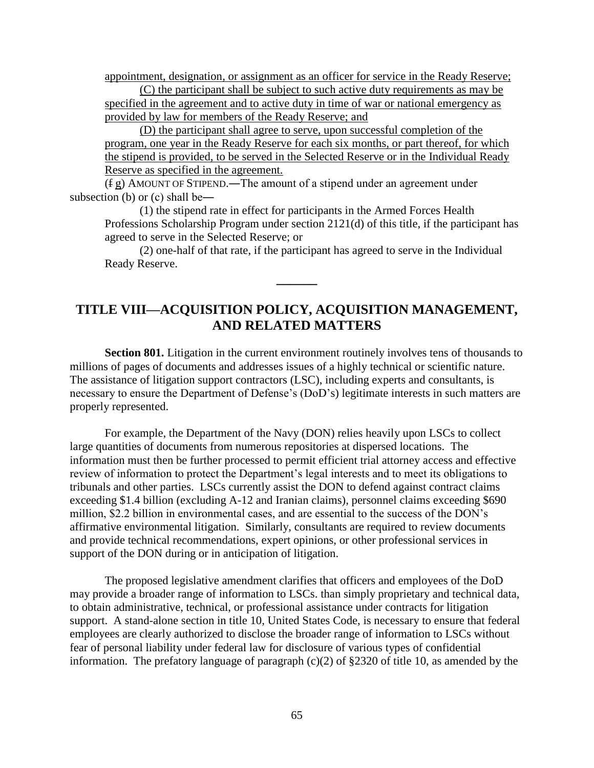appointment, designation, or assignment as an officer for service in the Ready Reserve;

(C) the participant shall be subject to such active duty requirements as may be specified in the agreement and to active duty in time of war or national emergency as provided by law for members of the Ready Reserve; and

(D) the participant shall agree to serve, upon successful completion of the program, one year in the Ready Reserve for each six months, or part thereof, for which the stipend is provided, to be served in the Selected Reserve or in the Individual Ready Reserve as specified in the agreement.

(f g) AMOUNT OF STIPEND.―The amount of a stipend under an agreement under subsection (b) or (c) shall be―

(1) the stipend rate in effect for participants in the Armed Forces Health Professions Scholarship Program under [section 2121\(d\)](https://web2.westlaw.com/find/default.wl?tf=-1&rs=WLW10.06&referencepositiontype=T&referenceposition=SP%3b5ba1000067d06&fn=_top&sv=Split&docname=10USCAS2121&tc=-1&pbc=68D82904&ordoc=7086082&findtype=L&db=1000546&vr=2.0&rp=%2ffind%2fdefault.wl&mt=Westlaw) of this title, if the participant has agreed to serve in the Selected Reserve; or

(2) one-half of that rate, if the participant has agreed to serve in the Individual Ready Reserve.

# **TITLE VIII—ACQUISITION POLICY, ACQUISITION MANAGEMENT, AND RELATED MATTERS**

**\_\_\_\_\_\_**

**Section 801.** Litigation in the current environment routinely involves tens of thousands to millions of pages of documents and addresses issues of a highly technical or scientific nature. The assistance of litigation support contractors (LSC), including experts and consultants, is necessary to ensure the Department of Defense's (DoD's) legitimate interests in such matters are properly represented.

For example, the Department of the Navy (DON) relies heavily upon LSCs to collect large quantities of documents from numerous repositories at dispersed locations. The information must then be further processed to permit efficient trial attorney access and effective review of information to protect the Department's legal interests and to meet its obligations to tribunals and other parties. LSCs currently assist the DON to defend against contract claims exceeding \$1.4 billion (excluding A-12 and Iranian claims), personnel claims exceeding \$690 million, \$2.2 billion in environmental cases, and are essential to the success of the DON's affirmative environmental litigation. Similarly, consultants are required to review documents and provide technical recommendations, expert opinions, or other professional services in support of the DON during or in anticipation of litigation.

The proposed legislative amendment clarifies that officers and employees of the DoD may provide a broader range of information to LSCs. than simply proprietary and technical data, to obtain administrative, technical, or professional assistance under contracts for litigation support. A stand-alone section in title 10, United States Code, is necessary to ensure that federal employees are clearly authorized to disclose the broader range of information to LSCs without fear of personal liability under federal law for disclosure of various types of confidential information. The prefatory language of paragraph (c)(2) of §2320 of title 10, as amended by the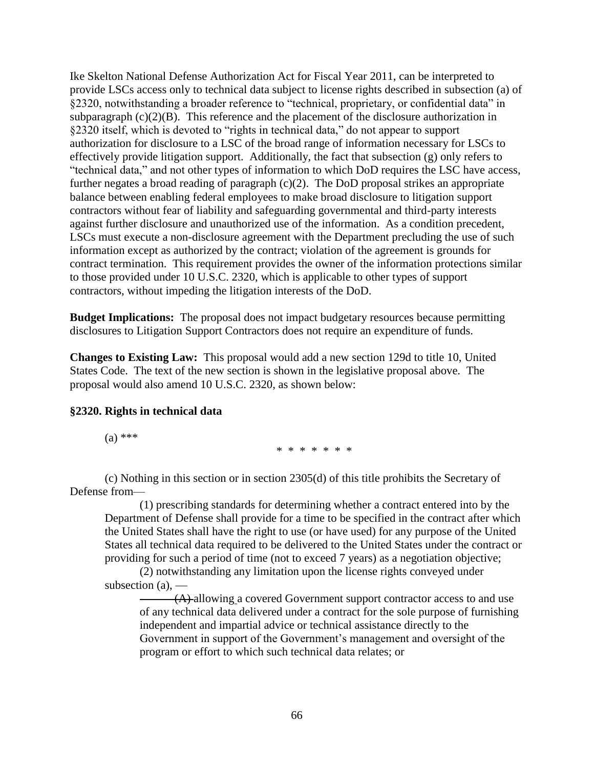Ike Skelton National Defense Authorization Act for Fiscal Year 2011, can be interpreted to provide LSCs access only to technical data subject to license rights described in subsection (a) of  $\S$ 2320, notwithstanding a broader reference to "technical, proprietary, or confidential data" in subparagraph (c)(2)(B). This reference and the placement of the disclosure authorization in §2320 itself, which is devoted to "rights in technical data," do not appear to support authorization for disclosure to a LSC of the broad range of information necessary for LSCs to effectively provide litigation support. Additionally, the fact that subsection (g) only refers to "technical data," and not other types of information to which DoD requires the LSC have access, further negates a broad reading of paragraph (c)(2). The DoD proposal strikes an appropriate balance between enabling federal employees to make broad disclosure to litigation support contractors without fear of liability and safeguarding governmental and third-party interests against further disclosure and unauthorized use of the information. As a condition precedent, LSCs must execute a non-disclosure agreement with the Department precluding the use of such information except as authorized by the contract; violation of the agreement is grounds for contract termination. This requirement provides the owner of the information protections similar to those provided under 10 U.S.C. 2320, which is applicable to other types of support contractors, without impeding the litigation interests of the DoD.

**Budget Implications:** The proposal does not impact budgetary resources because permitting disclosures to Litigation Support Contractors does not require an expenditure of funds.

**Changes to Existing Law:** This proposal would add a new section 129d to title 10, United States Code. The text of the new section is shown in the legislative proposal above. The proposal would also amend 10 U.S.C. 2320, as shown below:

#### **§2320. Rights in technical data**

 $(a)$  \*\*\*

\* \* \* \* \* \* \*

(c) Nothing in this section or in section [2305\(d\)](http://www.law.cornell.edu/uscode/html/uscode10/usc_sec_10_00002305----000-.html) of this title prohibits the Secretary of Defense from—

(1) prescribing standards for determining whether a contract entered into by the Department of Defense shall provide for a time to be specified in the contract after which the United States shall have the right to use (or have used) for any purpose of the United States all technical data required to be delivered to the United States under the contract or providing for such a period of time (not to exceed 7 years) as a negotiation objective;

(2) notwithstanding any limitation upon the license rights conveyed under subsection  $(a)$ , —

(A) allowing a covered Government support contractor access to and use of any technical data delivered under a contract for the sole purpose of furnishing independent and impartial advice or technical assistance directly to the Government in support of the Government's management and oversight of the program or effort to which such technical data relates; or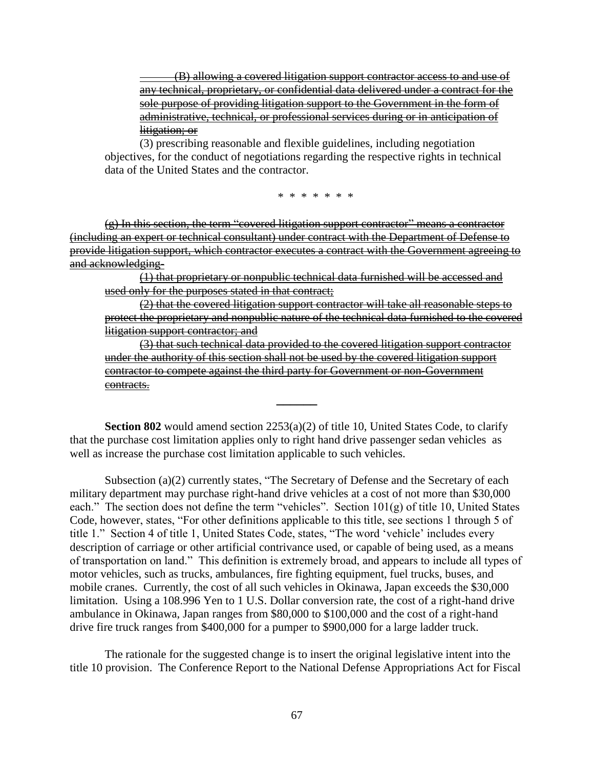(B) allowing a covered litigation support contractor access to and use of any technical, proprietary, or confidential data delivered under a contract for the sole purpose of providing litigation support to the Government in the form of administrative, technical, or professional services during or in anticipation of litigation; or

(3) prescribing reasonable and flexible guidelines, including negotiation objectives, for the conduct of negotiations regarding the respective rights in technical data of the United States and the contractor.

\* \* \* \* \* \* \*

 $(g)$  In this section, the term "covered litigation support contractor" means a contractor (including an expert or technical consultant) under contract with the Department of Defense to provide litigation support, which contractor executes a contract with the Government agreeing to and acknowledging-

(1) that proprietary or nonpublic technical data furnished will be accessed and used only for the purposes stated in that contract;

(2) that the covered litigation support contractor will take all reasonable steps to protect the proprietary and nonpublic nature of the technical data furnished to the covered litigation support contractor; and

(3) that such technical data provided to the covered litigation support contractor under the authority of this section shall not be used by the covered litigation support contractor to compete against the third party for Government or non-Government contracts.

**Section 802** would amend section 2253(a)(2) of title 10, United States Code, to clarify that the purchase cost limitation applies only to right hand drive passenger sedan vehicles as well as increase the purchase cost limitation applicable to such vehicles.

**\_\_\_\_\_\_**

Subsection (a)(2) currently states, "The Secretary of Defense and the Secretary of each military department may purchase right-hand drive vehicles at a cost of not more than \$30,000 each." The section does not define the term "vehicles". Section  $101(g)$  of title 10, United States Code, however, states, "For other definitions applicable to this title, see sections 1 through 5 of title 1." Section 4 of title 1, United States Code, states, "The word 'vehicle' includes every description of carriage or other artificial contrivance used, or capable of being used, as a means of transportation on land." This definition is extremely broad, and appears to include all types of motor vehicles, such as trucks, ambulances, fire fighting equipment, fuel trucks, buses, and mobile cranes. Currently, the cost of all such vehicles in Okinawa, Japan exceeds the \$30,000 limitation. Using a 108.996 Yen to 1 U.S. Dollar conversion rate, the cost of a right-hand drive ambulance in Okinawa, Japan ranges from \$80,000 to \$100,000 and the cost of a right-hand drive fire truck ranges from \$400,000 for a pumper to \$900,000 for a large ladder truck.

The rationale for the suggested change is to insert the original legislative intent into the title 10 provision. The Conference Report to the National Defense Appropriations Act for Fiscal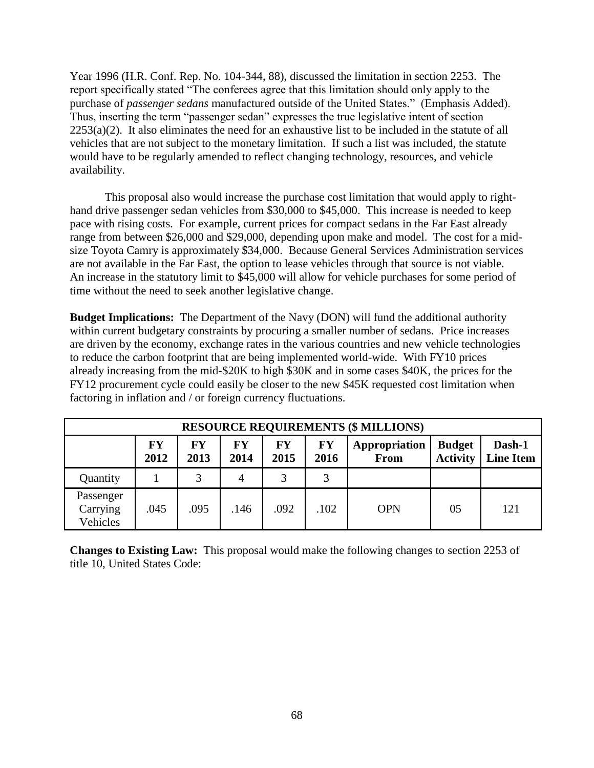Year 1996 (H.R. Conf. Rep. No. 104-344, 88), discussed the limitation in section 2253. The report specifically stated "The conferees agree that this limitation should only apply to the purchase of *passenger sedans* manufactured outside of the United States." (Emphasis Added). Thus, inserting the term "passenger sedan" expresses the true legislative intent of section  $2253(a)(2)$ . It also eliminates the need for an exhaustive list to be included in the statute of all vehicles that are not subject to the monetary limitation. If such a list was included, the statute would have to be regularly amended to reflect changing technology, resources, and vehicle availability.

This proposal also would increase the purchase cost limitation that would apply to righthand drive passenger sedan vehicles from \$30,000 to \$45,000. This increase is needed to keep pace with rising costs. For example, current prices for compact sedans in the Far East already range from between \$26,000 and \$29,000, depending upon make and model. The cost for a midsize Toyota Camry is approximately \$34,000. Because General Services Administration services are not available in the Far East, the option to lease vehicles through that source is not viable. An increase in the statutory limit to \$45,000 will allow for vehicle purchases for some period of time without the need to seek another legislative change.

**Budget Implications:** The Department of the Navy (DON) will fund the additional authority within current budgetary constraints by procuring a smaller number of sedans. Price increases are driven by the economy, exchange rates in the various countries and new vehicle technologies to reduce the carbon footprint that are being implemented world-wide. With FY10 prices already increasing from the mid-\$20K to high \$30K and in some cases \$40K, the prices for the FY12 procurement cycle could easily be closer to the new \$45K requested cost limitation when factoring in inflation and / or foreign currency fluctuations.

| <b>RESOURCE REQUIREMENTS (\$ MILLIONS)</b> |            |            |            |            |            |                              |                                  |                            |  |
|--------------------------------------------|------------|------------|------------|------------|------------|------------------------------|----------------------------------|----------------------------|--|
|                                            | FY<br>2012 | FY<br>2013 | FY<br>2014 | FY<br>2015 | FY<br>2016 | Appropriation<br><b>From</b> | <b>Budget</b><br><b>Activity</b> | Dash-1<br><b>Line Item</b> |  |
| Quantity                                   |            | 3          | 4          | 3          | 3          |                              |                                  |                            |  |
| Passenger<br>Carrying<br>Vehicles          | .045       | .095       | .146       | .092       | .102       | <b>OPN</b>                   | 05                               | 121                        |  |

**Changes to Existing Law:** This proposal would make the following changes to section 2253 of title 10, United States Code: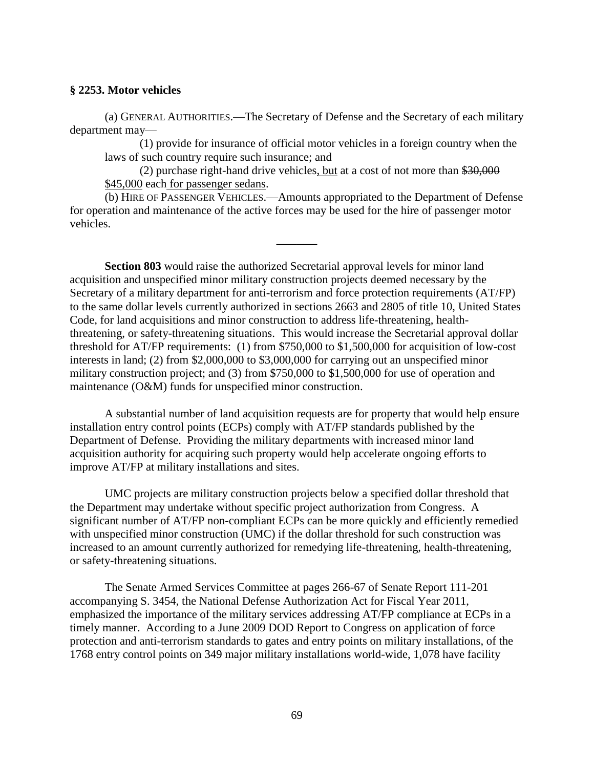#### **§ 2253. Motor vehicles**

(a) GENERAL AUTHORITIES.—The Secretary of Defense and the Secretary of each military department may—

(1) provide for insurance of official motor vehicles in a foreign country when the laws of such country require such insurance; and

(2) purchase right-hand drive vehicles, but at a cost of not more than \$30,000 \$45,000 each for passenger sedans.

(b) HIRE OF PASSENGER VEHICLES.—Amounts appropriated to the Department of Defense for operation and maintenance of the active forces may be used for the hire of passenger motor vehicles.

**\_\_\_\_\_\_**

**Section 803** would raise the authorized Secretarial approval levels for minor land acquisition and unspecified minor military construction projects deemed necessary by the Secretary of a military department for anti-terrorism and force protection requirements (AT/FP) to the same dollar levels currently authorized in sections 2663 and 2805 of title 10, United States Code, for land acquisitions and minor construction to address life-threatening, healththreatening, or safety-threatening situations. This would increase the Secretarial approval dollar threshold for AT/FP requirements: (1) from \$750,000 to \$1,500,000 for acquisition of low-cost interests in land; (2) from \$2,000,000 to \$3,000,000 for carrying out an unspecified minor military construction project; and (3) from \$750,000 to \$1,500,000 for use of operation and maintenance (O&M) funds for unspecified minor construction.

A substantial number of land acquisition requests are for property that would help ensure installation entry control points (ECPs) comply with AT/FP standards published by the Department of Defense. Providing the military departments with increased minor land acquisition authority for acquiring such property would help accelerate ongoing efforts to improve AT/FP at military installations and sites.

UMC projects are military construction projects below a specified dollar threshold that the Department may undertake without specific project authorization from Congress. A significant number of AT/FP non-compliant ECPs can be more quickly and efficiently remedied with unspecified minor construction (UMC) if the dollar threshold for such construction was increased to an amount currently authorized for remedying life-threatening, health-threatening, or safety-threatening situations.

The Senate Armed Services Committee at pages 266-67 of Senate Report 111-201 accompanying S. 3454, the National Defense Authorization Act for Fiscal Year 2011, emphasized the importance of the military services addressing AT/FP compliance at ECPs in a timely manner. According to a June 2009 DOD Report to Congress on application of force protection and anti-terrorism standards to gates and entry points on military installations, of the 1768 entry control points on 349 major military installations world-wide, 1,078 have facility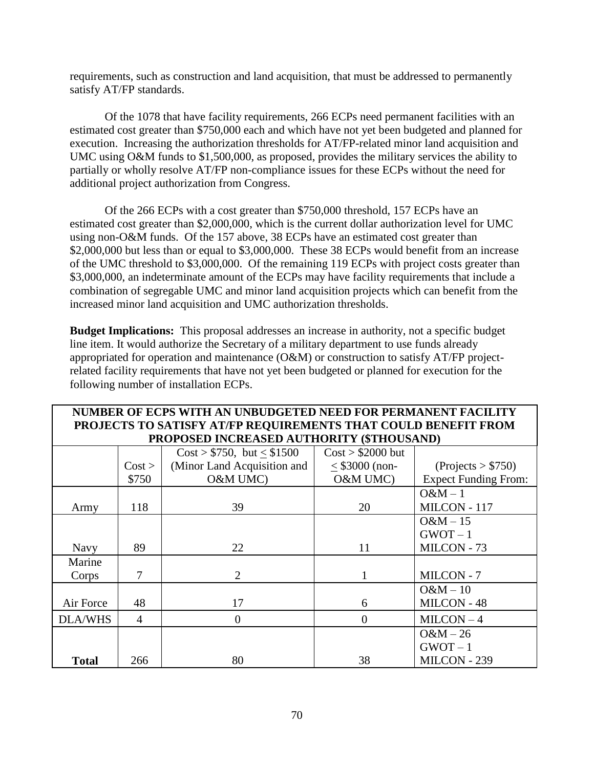requirements, such as construction and land acquisition, that must be addressed to permanently satisfy AT/FP standards.

Of the 1078 that have facility requirements, 266 ECPs need permanent facilities with an estimated cost greater than \$750,000 each and which have not yet been budgeted and planned for execution. Increasing the authorization thresholds for AT/FP-related minor land acquisition and UMC using O&M funds to \$1,500,000, as proposed, provides the military services the ability to partially or wholly resolve AT/FP non-compliance issues for these ECPs without the need for additional project authorization from Congress.

Of the 266 ECPs with a cost greater than \$750,000 threshold, 157 ECPs have an estimated cost greater than \$2,000,000, which is the current dollar authorization level for UMC using non-O&M funds. Of the 157 above, 38 ECPs have an estimated cost greater than \$2,000,000 but less than or equal to \$3,000,000. These 38 ECPs would benefit from an increase of the UMC threshold to \$3,000,000. Of the remaining 119 ECPs with project costs greater than \$3,000,000, an indeterminate amount of the ECPs may have facility requirements that include a combination of segregable UMC and minor land acquisition projects which can benefit from the increased minor land acquisition and UMC authorization thresholds.

**Budget Implications:** This proposal addresses an increase in authority, not a specific budget line item. It would authorize the Secretary of a military department to use funds already appropriated for operation and maintenance (O&M) or construction to satisfy AT/FP projectrelated facility requirements that have not yet been budgeted or planned for execution for the following number of installation ECPs.

| NUMBER OF ECPS WITH AN UNBUDGETED NEED FOR PERMANENT FACILITY  |                |                               |                    |                             |  |  |  |  |  |  |
|----------------------------------------------------------------|----------------|-------------------------------|--------------------|-----------------------------|--|--|--|--|--|--|
| PROJECTS TO SATISFY AT/FP REQUIREMENTS THAT COULD BENEFIT FROM |                |                               |                    |                             |  |  |  |  |  |  |
| PROPOSED INCREASED AUTHORITY (\$THOUSAND)                      |                |                               |                    |                             |  |  |  |  |  |  |
|                                                                |                | $Cost > $750$ , but $< $1500$ | $Cost > $2000$ but |                             |  |  |  |  |  |  |
|                                                                | Cost >         | (Minor Land Acquisition and   | $<$ \$3000 (non-   | ( Projects > \$750)         |  |  |  |  |  |  |
|                                                                | \$750          | O&M UMC)                      | O&M UMC)           | <b>Expect Funding From:</b> |  |  |  |  |  |  |
|                                                                |                |                               |                    | $O&M-1$                     |  |  |  |  |  |  |
| Army                                                           | 118            | 39                            | 20                 | MILCON - 117                |  |  |  |  |  |  |
|                                                                |                |                               |                    | $O&M-15$                    |  |  |  |  |  |  |
|                                                                |                |                               |                    | $GWOT-1$                    |  |  |  |  |  |  |
| <b>Navy</b>                                                    | 89             | 22                            | 11                 | MILCON - 73                 |  |  |  |  |  |  |
| Marine                                                         |                |                               |                    |                             |  |  |  |  |  |  |
| Corps                                                          | 7              | 2                             | 1                  | MILCON - 7                  |  |  |  |  |  |  |
|                                                                |                |                               |                    | $O&M-10$                    |  |  |  |  |  |  |
| Air Force                                                      | 48             | 17                            | 6                  | MILCON - 48                 |  |  |  |  |  |  |
| <b>DLA/WHS</b>                                                 | $\overline{4}$ | $\overline{0}$                | $\theta$           | $MILCON-4$                  |  |  |  |  |  |  |
|                                                                |                |                               |                    | $O&M-26$                    |  |  |  |  |  |  |
|                                                                |                |                               |                    | $GWOT-1$                    |  |  |  |  |  |  |
| <b>Total</b>                                                   | 266            | 80                            | 38                 | MILCON - 239                |  |  |  |  |  |  |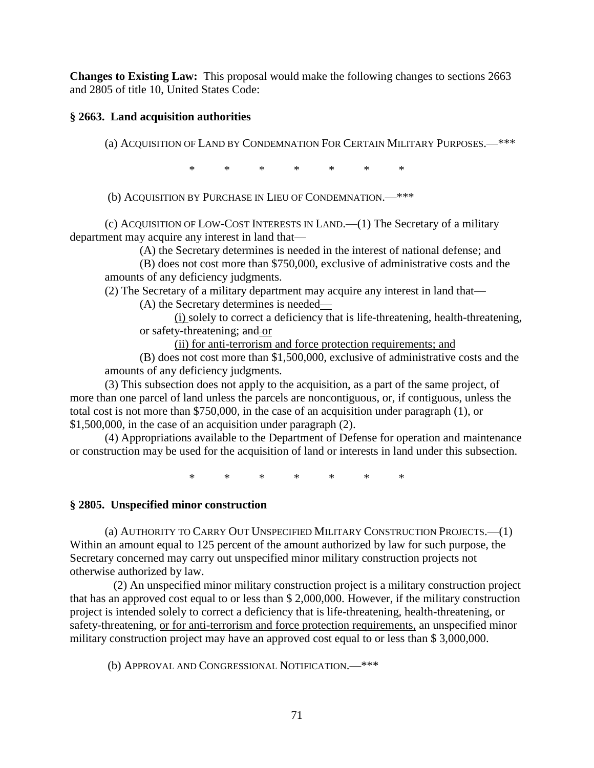**Changes to Existing Law:** This proposal would make the following changes to sections 2663 and 2805 of title 10, United States Code:

## **§ 2663. Land acquisition authorities**

(a) ACQUISITION OF LAND BY CONDEMNATION FOR CERTAIN MILITARY PURPOSES.—\*\*\*

\* \* \* \* \* \* \*

(b) ACQUISITION BY PURCHASE IN LIEU OF CONDEMNATION.—\*\*\*

(c) ACQUISITION OF LOW-COST INTERESTS IN LAND.—(1) The Secretary of a military department may acquire any interest in land that—

(A) the Secretary determines is needed in the interest of national defense; and

(B) does not cost more than \$750,000, exclusive of administrative costs and the amounts of any deficiency judgments.

(2) The Secretary of a military department may acquire any interest in land that—

(A) the Secretary determines is needed—

(i) solely to correct a deficiency that is life-threatening, health-threatening, or safety-threatening; and or

(ii) for anti-terrorism and force protection requirements; and

(B) does not cost more than \$1,500,000, exclusive of administrative costs and the amounts of any deficiency judgments.

(3) This subsection does not apply to the acquisition, as a part of the same project, of more than one parcel of land unless the parcels are noncontiguous, or, if contiguous, unless the total cost is not more than \$750,000, in the case of an acquisition under paragraph (1), or \$1,500,000, in the case of an acquisition under paragraph (2).

(4) Appropriations available to the Department of Defense for operation and maintenance or construction may be used for the acquisition of land or interests in land under this subsection.

\* \* \* \* \* \* \*

#### **§ 2805. Unspecified minor construction**

(a) AUTHORITY TO CARRY OUT UNSPECIFIED MILITARY CONSTRUCTION PROJECTS.—(1) Within an amount equal to 125 percent of the amount authorized by law for such purpose, the Secretary concerned may carry out unspecified minor military construction projects not otherwise authorized by law.

 (2) An unspecified minor military construction project is a military construction project that has an approved cost equal to or less than \$ 2,000,000. However, if the military construction project is intended solely to correct a deficiency that is life-threatening, health-threatening, or safety-threatening, or for anti-terrorism and force protection requirements, an unspecified minor military construction project may have an approved cost equal to or less than \$ 3,000,000.

(b) APPROVAL AND CONGRESSIONAL NOTIFICATION.—\*\*\*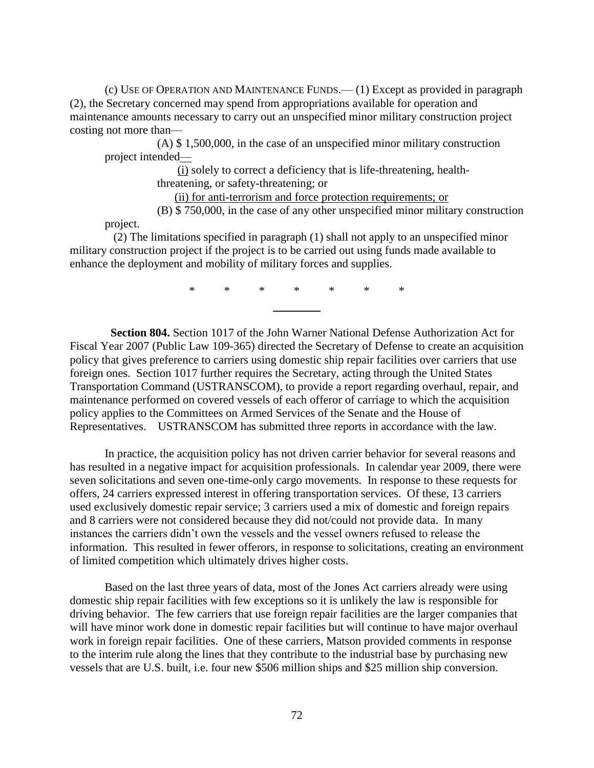(c) USE OF OPERATION AND MAINTENANCE FUNDS.— (1) Except as provided in paragraph (2), the Secretary concerned may spend from appropriations available for operation and maintenance amounts necessary to carry out an unspecified minor military construction project costing not more than—

 (A) \$ 1,500,000, in the case of an unspecified minor military construction project intended—

> (i) solely to correct a deficiency that is life-threatening, healththreatening, or safety-threatening; or

(ii) for anti-terrorism and force protection requirements; or

(B) \$ 750,000, in the case of any other unspecified minor military construction

project.

 (2) The limitations specified in paragraph (1) shall not apply to an unspecified minor military construction project if the project is to be carried out using funds made available to enhance the deployment and mobility of military forces and supplies.

> \* \* \* \* \* \* \* **\_\_\_\_\_\_\_**

 **Section 804.** Section 1017 of the John Warner National Defense Authorization Act for Fiscal Year 2007 (Public Law 109-365) directed the Secretary of Defense to create an acquisition policy that gives preference to carriers using domestic ship repair facilities over carriers that use foreign ones. Section 1017 further requires the Secretary, acting through the United States Transportation Command (USTRANSCOM), to provide a report regarding overhaul, repair, and maintenance performed on covered vessels of each offeror of carriage to which the acquisition policy applies to the Committees on Armed Services of the Senate and the House of Representatives. USTRANSCOM has submitted three reports in accordance with the law.

In practice, the acquisition policy has not driven carrier behavior for several reasons and has resulted in a negative impact for acquisition professionals. In calendar year 2009, there were seven solicitations and seven one-time-only cargo movements. In response to these requests for offers, 24 carriers expressed interest in offering transportation services. Of these, 13 carriers used exclusively domestic repair service; 3 carriers used a mix of domestic and foreign repairs and 8 carriers were not considered because they did not/could not provide data. In many instances the carriers didn't own the vessels and the vessel owners refused to release the information. This resulted in fewer offerors, in response to solicitations, creating an environment of limited competition which ultimately drives higher costs.

Based on the last three years of data, most of the Jones Act carriers already were using domestic ship repair facilities with few exceptions so it is unlikely the law is responsible for driving behavior. The few carriers that use foreign repair facilities are the larger companies that will have minor work done in domestic repair facilities but will continue to have major overhaul work in foreign repair facilities. One of these carriers, Matson provided comments in response to the interim rule along the lines that they contribute to the industrial base by purchasing new vessels that are U.S. built, i.e. four new \$506 million ships and \$25 million ship conversion.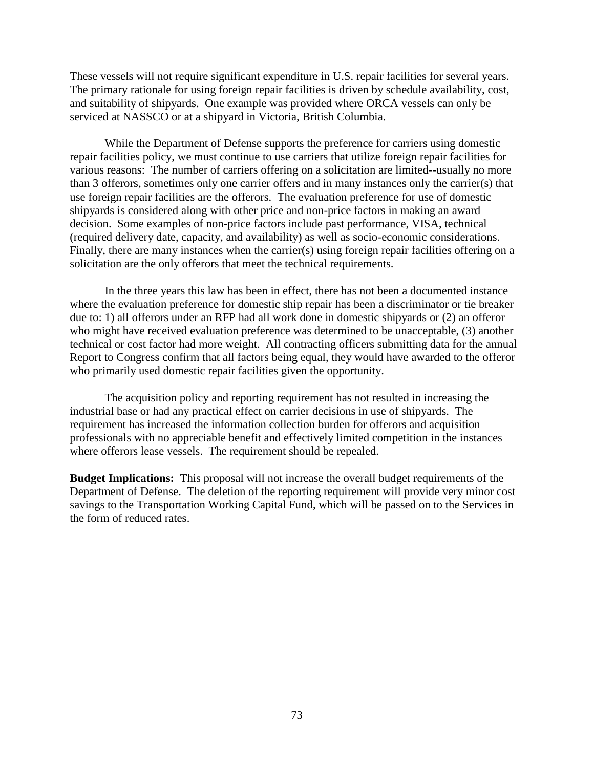These vessels will not require significant expenditure in U.S. repair facilities for several years. The primary rationale for using foreign repair facilities is driven by schedule availability, cost, and suitability of shipyards. One example was provided where ORCA vessels can only be serviced at NASSCO or at a shipyard in Victoria, British Columbia.

While the Department of Defense supports the preference for carriers using domestic repair facilities policy, we must continue to use carriers that utilize foreign repair facilities for various reasons: The number of carriers offering on a solicitation are limited--usually no more than 3 offerors, sometimes only one carrier offers and in many instances only the carrier(s) that use foreign repair facilities are the offerors. The evaluation preference for use of domestic shipyards is considered along with other price and non-price factors in making an award decision. Some examples of non-price factors include past performance, VISA, technical (required delivery date, capacity, and availability) as well as socio-economic considerations. Finally, there are many instances when the carrier(s) using foreign repair facilities offering on a solicitation are the only offerors that meet the technical requirements.

In the three years this law has been in effect, there has not been a documented instance where the evaluation preference for domestic ship repair has been a discriminator or tie breaker due to: 1) all offerors under an RFP had all work done in domestic shipyards or (2) an offeror who might have received evaluation preference was determined to be unacceptable, (3) another technical or cost factor had more weight. All contracting officers submitting data for the annual Report to Congress confirm that all factors being equal, they would have awarded to the offeror who primarily used domestic repair facilities given the opportunity.

The acquisition policy and reporting requirement has not resulted in increasing the industrial base or had any practical effect on carrier decisions in use of shipyards. The requirement has increased the information collection burden for offerors and acquisition professionals with no appreciable benefit and effectively limited competition in the instances where offerors lease vessels. The requirement should be repealed.

**Budget Implications:** This proposal will not increase the overall budget requirements of the Department of Defense. The deletion of the reporting requirement will provide very minor cost savings to the Transportation Working Capital Fund, which will be passed on to the Services in the form of reduced rates.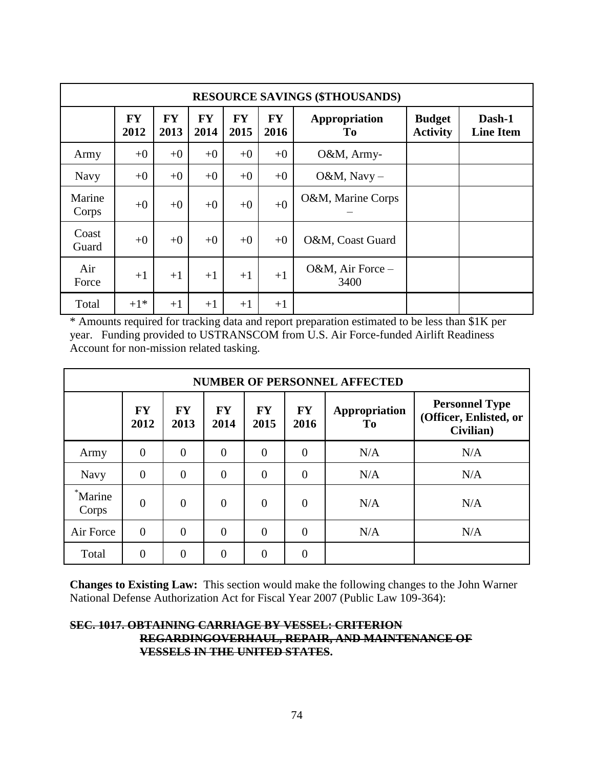|                 | <b>RESOURCE SAVINGS (\$THOUSANDS)</b> |                   |                   |                   |                   |                          |                                  |                            |  |  |  |  |  |  |
|-----------------|---------------------------------------|-------------------|-------------------|-------------------|-------------------|--------------------------|----------------------------------|----------------------------|--|--|--|--|--|--|
|                 | <b>FY</b><br>2012                     | <b>FY</b><br>2013 | <b>FY</b><br>2014 | <b>FY</b><br>2015 | <b>FY</b><br>2016 | Appropriation<br>To      | <b>Budget</b><br><b>Activity</b> | Dash-1<br><b>Line Item</b> |  |  |  |  |  |  |
| Army            | $+0$                                  | $+0$              | $+0$              | $+0$              | $+0$              | O&M, Army-               |                                  |                            |  |  |  |  |  |  |
| <b>Navy</b>     | $+0$                                  | $+0$              | $+0$              | $+0$              | $+0$              | O&M, Navy $-$            |                                  |                            |  |  |  |  |  |  |
| Marine<br>Corps | $+0$                                  | $+0$              | $+0$              | $+0$              | $+0$              | O&M, Marine Corps        |                                  |                            |  |  |  |  |  |  |
| Coast<br>Guard  | $+0$                                  | $+0$              | $+0$              | $+0$              | $+0$              | O&M, Coast Guard         |                                  |                            |  |  |  |  |  |  |
| Air<br>Force    | $+1$                                  | $+1$              | $+1$              | $+1$              | $+1$              | O&M, Air Force -<br>3400 |                                  |                            |  |  |  |  |  |  |
| Total           | $+1*$                                 | $+1$              | $+1$              | $+1$              | $+1$              |                          |                                  |                            |  |  |  |  |  |  |

\* Amounts required for tracking data and report preparation estimated to be less than \$1K per year. Funding provided to USTRANSCOM from U.S. Air Force-funded Airlift Readiness Account for non-mission related tasking.

|                  | <b>NUMBER OF PERSONNEL AFFECTED</b> |                   |                   |                   |                   |                     |                                                              |  |  |  |  |  |  |  |
|------------------|-------------------------------------|-------------------|-------------------|-------------------|-------------------|---------------------|--------------------------------------------------------------|--|--|--|--|--|--|--|
|                  | <b>FY</b><br>2012                   | <b>FY</b><br>2013 | <b>FY</b><br>2014 | <b>FY</b><br>2015 | <b>FY</b><br>2016 | Appropriation<br>To | <b>Personnel Type</b><br>(Officer, Enlisted, or<br>Civilian) |  |  |  |  |  |  |  |
| Army             | $\theta$                            | $\overline{0}$    | $\overline{0}$    | $\theta$          | $\overline{0}$    | N/A                 | N/A                                                          |  |  |  |  |  |  |  |
| <b>Navy</b>      | $\overline{0}$                      | $\overline{0}$    | $\overline{0}$    | $\theta$          | $\theta$          | N/A                 | N/A                                                          |  |  |  |  |  |  |  |
| *Marine<br>Corps | $\overline{0}$                      | $\overline{0}$    | $\overline{0}$    | $\overline{0}$    | $\overline{0}$    | N/A                 | N/A                                                          |  |  |  |  |  |  |  |
| Air Force        | $\overline{0}$                      | $\theta$          | $\theta$          | $\theta$          | $\Omega$          | N/A                 | N/A                                                          |  |  |  |  |  |  |  |
| Total            | $\overline{0}$                      | $\theta$          | $\theta$          | $\overline{0}$    | $\theta$          |                     |                                                              |  |  |  |  |  |  |  |

**Changes to Existing Law:** This section would make the following changes to the John Warner National Defense Authorization Act for Fiscal Year 2007 (Public Law 109-364):

#### **SEC. 1017. OBTAINING CARRIAGE BY VESSEL: CRITERION REGARDINGOVERHAUL, REPAIR, AND MAINTENANCE OF VESSELS IN THE UNITED STATES.**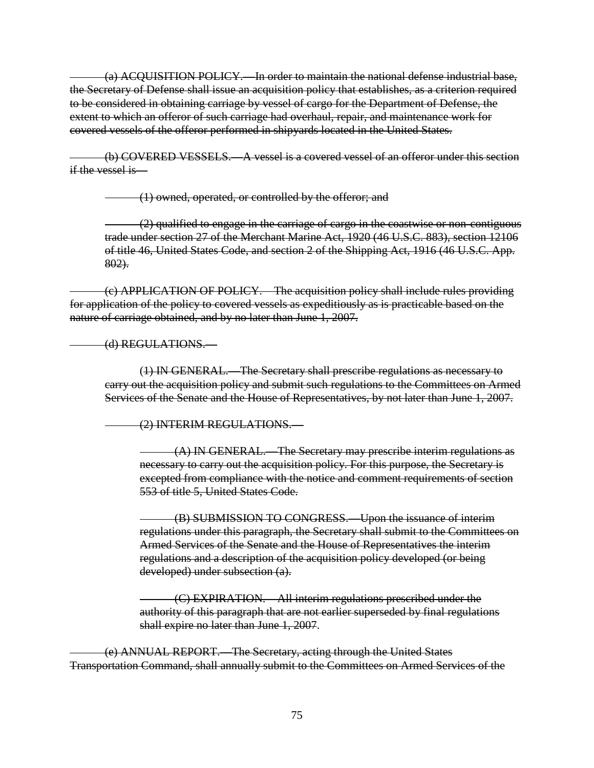(a) ACQUISITION POLICY.—In order to maintain the national defense industrial base, the Secretary of Defense shall issue an acquisition policy that establishes, as a criterion required to be considered in obtaining carriage by vessel of cargo for the Department of Defense, the extent to which an offeror of such carriage had overhaul, repair, and maintenance work for covered vessels of the offeror performed in shipyards located in the United States.

(b) COVERED VESSELS.—A vessel is a covered vessel of an offeror under this section if the vessel is—

(1) owned, operated, or controlled by the offeror; and

(2) qualified to engage in the carriage of cargo in the coastwise or non-contiguous trade under section 27 of the Merchant Marine Act, 1920 (46 U.S.C. 883), section 12106 of title 46, United States Code, and section 2 of the Shipping Act, 1916 (46 U.S.C. App. 802).

(c) APPLICATION OF POLICY.—The acquisition policy shall include rules providing for application of the policy to covered vessels as expeditiously as is practicable based on the nature of carriage obtained, and by no later than June 1, 2007.

(d) REGULATIONS.—

(1) IN GENERAL.—The Secretary shall prescribe regulations as necessary to carry out the acquisition policy and submit such regulations to the Committees on Armed Services of the Senate and the House of Representatives, by not later than June 1, 2007.

(2) INTERIM REGULATIONS.—

(A) IN GENERAL.—The Secretary may prescribe interim regulations as necessary to carry out the acquisition policy. For this purpose, the Secretary is excepted from compliance with the notice and comment requirements of section 553 of title 5, United States Code.

(B) SUBMISSION TO CONGRESS.—Upon the issuance of interim regulations under this paragraph, the Secretary shall submit to the Committees on Armed Services of the Senate and the House of Representatives the interim regulations and a description of the acquisition policy developed (or being developed) under subsection (a).

(C) EXPIRATION.—All interim regulations prescribed under the authority of this paragraph that are not earlier superseded by final regulations shall expire no later than June 1, 2007.

(e) ANNUAL REPORT.—The Secretary, acting through the United States Transportation Command, shall annually submit to the Committees on Armed Services of the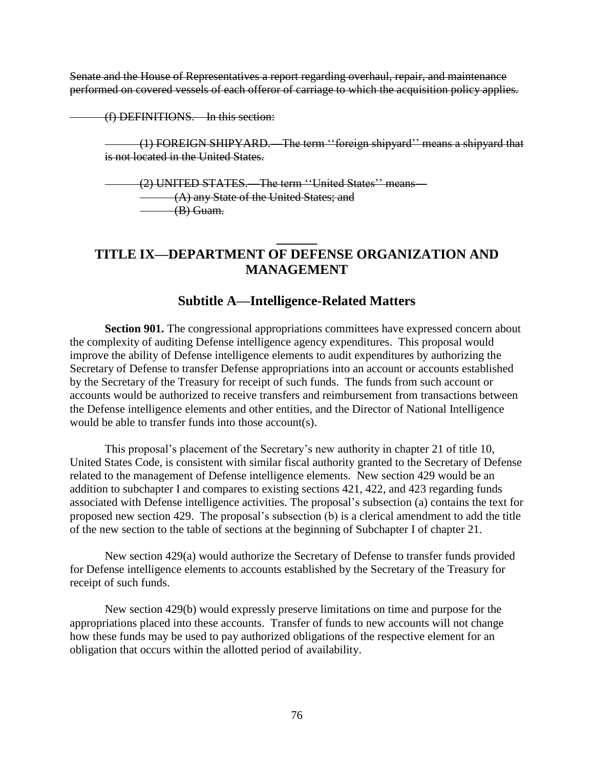Senate and the House of Representatives a report regarding overhaul, repair, and maintenance performed on covered vessels of each offeror of carriage to which the acquisition policy applies.

(f) DEFINITIONS.—In this section:

(1) FOREIGN SHIPYARD. The term "foreign shipyard" means a shipyard that is not located in the United States.

(2) UNITED STATES.—The term "United States" means— (A) any State of the United States; and (B) Guam.

# **TITLE IX—DEPARTMENT OF DEFENSE ORGANIZATION AND MANAGEMENT**

**\_\_\_\_\_\_**

# **Subtitle A—Intelligence-Related Matters**

**Section 901.** The congressional appropriations committees have expressed concern about the complexity of auditing Defense intelligence agency expenditures. This proposal would improve the ability of Defense intelligence elements to audit expenditures by authorizing the Secretary of Defense to transfer Defense appropriations into an account or accounts established by the Secretary of the Treasury for receipt of such funds. The funds from such account or accounts would be authorized to receive transfers and reimbursement from transactions between the Defense intelligence elements and other entities, and the Director of National Intelligence would be able to transfer funds into those account(s).

This proposal's placement of the Secretary's new authority in chapter 21 of title 10, United States Code, is consistent with similar fiscal authority granted to the Secretary of Defense related to the management of Defense intelligence elements. New section 429 would be an addition to subchapter I and compares to existing sections 421, 422, and 423 regarding funds associated with Defense intelligence activities. The proposal's subsection (a) contains the text for proposed new section 429. The proposal's subsection (b) is a clerical amendment to add the title of the new section to the table of sections at the beginning of Subchapter I of chapter 21.

New section 429(a) would authorize the Secretary of Defense to transfer funds provided for Defense intelligence elements to accounts established by the Secretary of the Treasury for receipt of such funds.

New section 429(b) would expressly preserve limitations on time and purpose for the appropriations placed into these accounts. Transfer of funds to new accounts will not change how these funds may be used to pay authorized obligations of the respective element for an obligation that occurs within the allotted period of availability.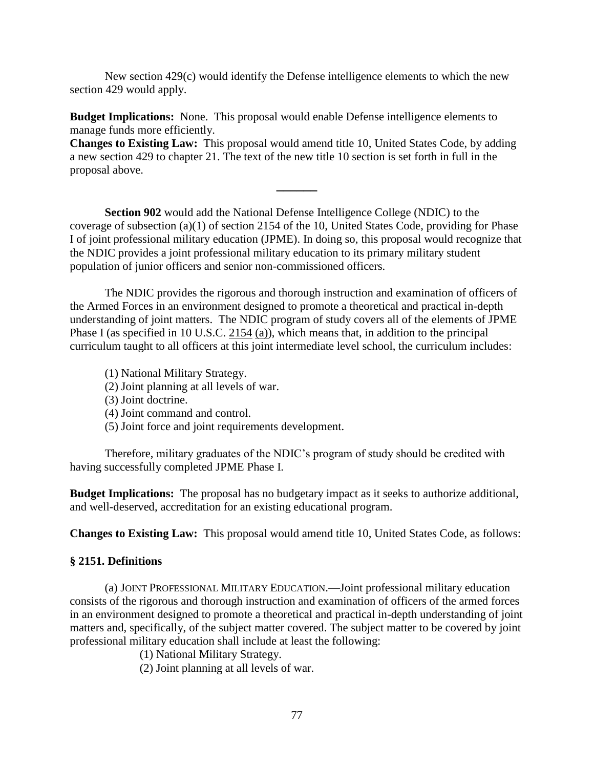New section  $429(c)$  would identify the Defense intelligence elements to which the new section 429 would apply.

**Budget Implications:** None. This proposal would enable Defense intelligence elements to manage funds more efficiently.

**Changes to Existing Law:** This proposal would amend title 10, United States Code, by adding a new section 429 to chapter 21. The text of the new title 10 section is set forth in full in the proposal above.

**\_\_\_\_\_\_**

**Section 902** would add the National Defense Intelligence College (NDIC) to the coverage of subsection (a)(1) of section 2154 of the 10, United States Code, providing for Phase I of joint professional military education (JPME). In doing so, this proposal would recognize that the NDIC provides a joint professional military education to its primary military student population of junior officers and senior non-commissioned officers.

The NDIC provides the rigorous and thorough instruction and examination of officers of the Armed Forces in an environment designed to promote a theoretical and practical in-depth understanding of joint matters. The NDIC program of study covers all of the elements of JPME Phase I (as specified in 10 U.S.C. [2154](http://www.law.cornell.edu/uscode/html/uscode10/usc_sec_10_00002151----000-.html) [\(a\)\)](http://www.law.cornell.edu/uscode/html/uscode10/usc_sec_10_00002151----000-.html#a), which means that, in addition to the principal curriculum taught to all officers at this joint intermediate level school, the curriculum includes:

(1) National Military Strategy.

(2) Joint planning at all levels of war.

(3) Joint doctrine.

(4) Joint command and control.

(5) Joint force and joint requirements development.

Therefore, military graduates of the NDIC's program of study should be credited with having successfully completed JPME Phase I.

**Budget Implications:** The proposal has no budgetary impact as it seeks to authorize additional, and well-deserved, accreditation for an existing educational program.

**Changes to Existing Law:** This proposal would amend title 10, United States Code, as follows:

## **§ 2151. Definitions**

(a) JOINT PROFESSIONAL MILITARY EDUCATION.—Joint professional military education consists of the rigorous and thorough instruction and examination of officers of the armed forces in an environment designed to promote a theoretical and practical in-depth understanding of joint matters and, specifically, of the subject matter covered. The subject matter to be covered by joint professional military education shall include at least the following:

(1) National Military Strategy.

(2) Joint planning at all levels of war.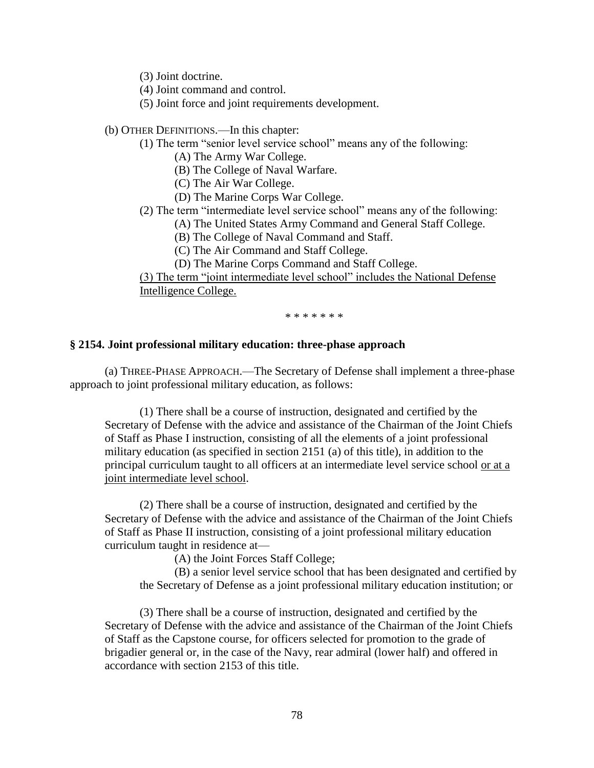(3) Joint doctrine.

(4) Joint command and control.

(5) Joint force and joint requirements development.

(b) OTHER DEFINITIONS.—In this chapter:

(1) The term "senior level service school" means any of the following:

(A) The Army War College.

(B) The College of Naval Warfare.

(C) The Air War College.

(D) The Marine Corps War College.

(2) The term "intermediate level service school" means any of the following:

(A) The United States Army Command and General Staff College.

(B) The College of Naval Command and Staff.

(C) The Air Command and Staff College.

(D) The Marine Corps Command and Staff College.

(3) The term "joint intermediate level school" includes the National Defense Intelligence College.

\* \* \* \* \* \* \*

#### **§ 2154. Joint professional military education: three-phase approach**

(a) THREE-PHASE APPROACH.—The Secretary of Defense shall implement a three-phase approach to joint professional military education, as follows:

(1) There shall be a course of instruction, designated and certified by the Secretary of Defense with the advice and assistance of the Chairman of the Joint Chiefs of Staff as Phase I instruction, consisting of all the elements of a joint professional military education (as specified in section [2151](http://www.law.cornell.edu/uscode/html/uscode10/usc_sec_10_00002151----000-.html) [\(a\)](http://www.law.cornell.edu/uscode/html/uscode10/usc_sec_10_00002151----000-.html#a) of this title), in addition to the principal curriculum taught to all officers at an intermediate level service school or at a joint intermediate level school.

(2) There shall be a course of instruction, designated and certified by the Secretary of Defense with the advice and assistance of the Chairman of the Joint Chiefs of Staff as Phase II instruction, consisting of a joint professional military education curriculum taught in residence at—

(A) the Joint Forces Staff College;

(B) a senior level service school that has been designated and certified by the Secretary of Defense as a joint professional military education institution; or

(3) There shall be a course of instruction, designated and certified by the Secretary of Defense with the advice and assistance of the Chairman of the Joint Chiefs of Staff as the Capstone course, for officers selected for promotion to the grade of brigadier general or, in the case of the Navy, rear admiral (lower half) and offered in accordance with section [2153](http://www.law.cornell.edu/uscode/html/uscode10/usc_sec_10_00002153----000-.html) of this title.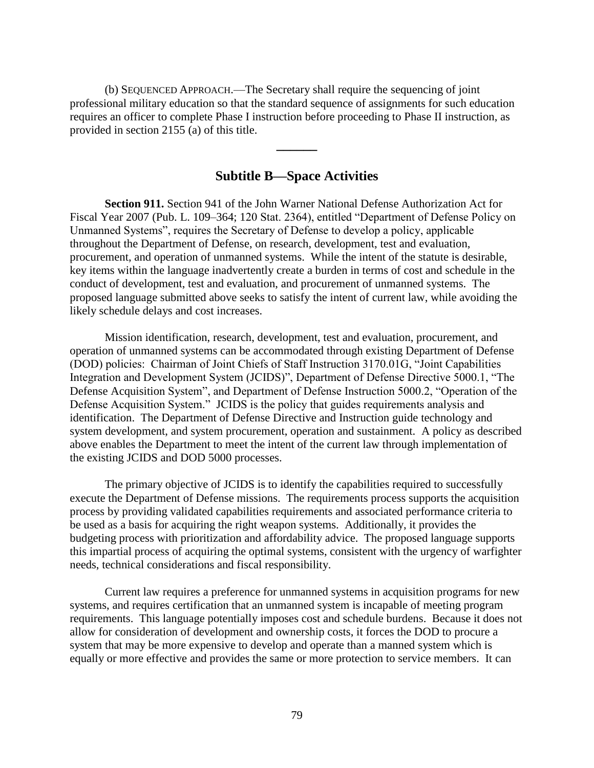(b) SEQUENCED APPROACH.—The Secretary shall require the sequencing of joint professional military education so that the standard sequence of assignments for such education requires an officer to complete Phase I instruction before proceeding to Phase II instruction, as provided in section [2155](http://www.law.cornell.edu/uscode/html/uscode10/usc_sec_10_00002155----000-.html) [\(a\)](http://www.law.cornell.edu/uscode/html/uscode10/usc_sec_10_00002155----000-.html#a) of this title.

## **Subtitle B—Space Activities**

**\_\_\_\_\_\_**

**Section 911.** Section 941 of the John Warner National Defense Authorization Act for Fiscal Year 2007 (Pub. L. 109–364; 120 Stat. 2364), entitled "Department of Defense Policy on Unmanned Systems", requires the Secretary of Defense to develop a policy, applicable throughout the Department of Defense, on research, development, test and evaluation, procurement, and operation of unmanned systems. While the intent of the statute is desirable, key items within the language inadvertently create a burden in terms of cost and schedule in the conduct of development, test and evaluation, and procurement of unmanned systems. The proposed language submitted above seeks to satisfy the intent of current law, while avoiding the likely schedule delays and cost increases.

Mission identification, research, development, test and evaluation, procurement, and operation of unmanned systems can be accommodated through existing Department of Defense (DOD) policies: Chairman of Joint Chiefs of Staff Instruction 3170.01G, "Joint Capabilities Integration and Development System (JCIDS)", Department of Defense Directive 5000.1, "The Defense Acquisition System", and Department of Defense Instruction 5000.2, "Operation of the Defense Acquisition System." JCIDS is the policy that guides requirements analysis and identification. The Department of Defense Directive and Instruction guide technology and system development, and system procurement, operation and sustainment. A policy as described above enables the Department to meet the intent of the current law through implementation of the existing JCIDS and DOD 5000 processes.

The primary objective of JCIDS is to identify the capabilities required to successfully execute the Department of Defense missions. The requirements process supports the acquisition process by providing validated capabilities requirements and associated performance criteria to be used as a basis for acquiring the right weapon systems. Additionally, it provides the budgeting process with prioritization and affordability advice. The proposed language supports this impartial process of acquiring the optimal systems, consistent with the urgency of warfighter needs, technical considerations and fiscal responsibility.

Current law requires a preference for unmanned systems in acquisition programs for new systems, and requires certification that an unmanned system is incapable of meeting program requirements. This language potentially imposes cost and schedule burdens. Because it does not allow for consideration of development and ownership costs, it forces the DOD to procure a system that may be more expensive to develop and operate than a manned system which is equally or more effective and provides the same or more protection to service members. It can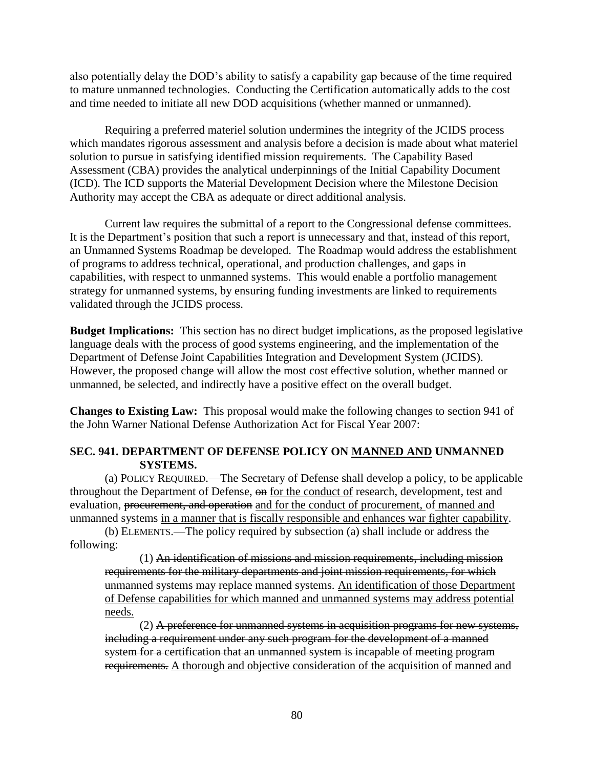also potentially delay the DOD's ability to satisfy a capability gap because of the time required to mature unmanned technologies. Conducting the Certification automatically adds to the cost and time needed to initiate all new DOD acquisitions (whether manned or unmanned).

Requiring a preferred materiel solution undermines the integrity of the JCIDS process which mandates rigorous assessment and analysis before a decision is made about what materiel solution to pursue in satisfying identified mission requirements. The Capability Based Assessment (CBA) provides the analytical underpinnings of the Initial Capability Document (ICD). The ICD supports the Material Development Decision where the Milestone Decision Authority may accept the CBA as adequate or direct additional analysis.

Current law requires the submittal of a report to the Congressional defense committees. It is the Department's position that such a report is unnecessary and that, instead of this report, an Unmanned Systems Roadmap be developed. The Roadmap would address the establishment of programs to address technical, operational, and production challenges, and gaps in capabilities, with respect to unmanned systems. This would enable a portfolio management strategy for unmanned systems, by ensuring funding investments are linked to requirements validated through the JCIDS process.

**Budget Implications:** This section has no direct budget implications, as the proposed legislative language deals with the process of good systems engineering, and the implementation of the Department of Defense Joint Capabilities Integration and Development System (JCIDS). However, the proposed change will allow the most cost effective solution, whether manned or unmanned, be selected, and indirectly have a positive effect on the overall budget.

**Changes to Existing Law:** This proposal would make the following changes to section 941 of the John Warner National Defense Authorization Act for Fiscal Year 2007:

## **SEC. 941. DEPARTMENT OF DEFENSE POLICY ON MANNED AND UNMANNED SYSTEMS.**

(a) POLICY REQUIRED.—The Secretary of Defense shall develop a policy, to be applicable throughout the Department of Defense, on for the conduct of research, development, test and evaluation, procurement, and operation and for the conduct of procurement, of manned and unmanned systems in a manner that is fiscally responsible and enhances war fighter capability.

(b) ELEMENTS.—The policy required by subsection (a) shall include or address the following:

(1) An identification of missions and mission requirements, including mission requirements for the military departments and joint mission requirements, for which unmanned systems may replace manned systems. An identification of those Department of Defense capabilities for which manned and unmanned systems may address potential needs.

(2) A preference for unmanned systems in acquisition programs for new systems, including a requirement under any such program for the development of a manned system for a certification that an unmanned system is incapable of meeting program requirements. A thorough and objective consideration of the acquisition of manned and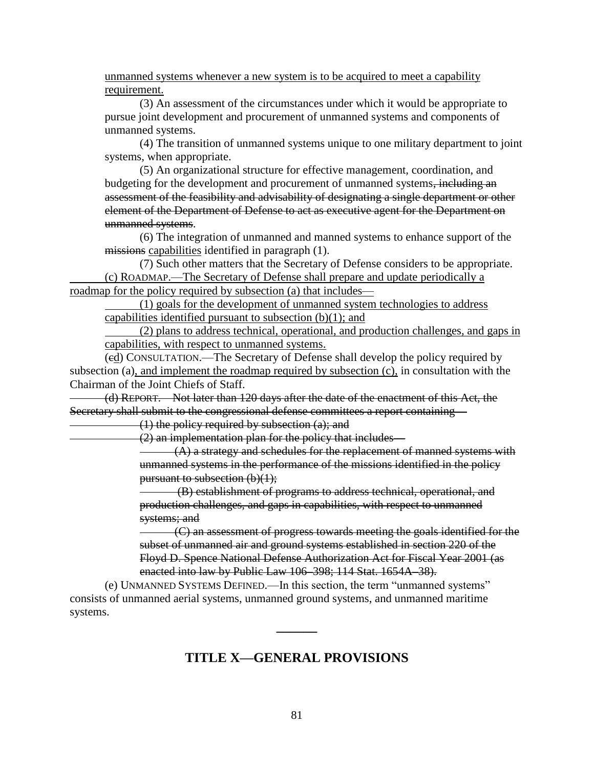unmanned systems whenever a new system is to be acquired to meet a capability requirement.

(3) An assessment of the circumstances under which it would be appropriate to pursue joint development and procurement of unmanned systems and components of unmanned systems.

(4) The transition of unmanned systems unique to one military department to joint systems, when appropriate.

(5) An organizational structure for effective management, coordination, and budgeting for the development and procurement of unmanned systems, including an assessment of the feasibility and advisability of designating a single department or other element of the Department of Defense to act as executive agent for the Department on unmanned systems.

(6) The integration of unmanned and manned systems to enhance support of the missions capabilities identified in paragraph (1).

(7) Such other matters that the Secretary of Defense considers to be appropriate. (c) ROADMAP.—The Secretary of Defense shall prepare and update periodically a roadmap for the policy required by subsection (a) that includes—

(1) goals for the development of unmanned system technologies to address capabilities identified pursuant to subsection  $(b)(1)$ ; and

(2) plans to address technical, operational, and production challenges, and gaps in capabilities, with respect to unmanned systems.

(cd) CONSULTATION.—The Secretary of Defense shall develop the policy required by subsection (a), and implement the roadmap required by subsection (c), in consultation with the Chairman of the Joint Chiefs of Staff.

(d) REPORT.—Not later than 120 days after the date of the enactment of this Act, the Secretary shall submit to the congressional defense committees a report containing—

(1) the policy required by subsection (a); and

(2) an implementation plan for the policy that includes—

(A) a strategy and schedules for the replacement of manned systems with unmanned systems in the performance of the missions identified in the policy pursuant to subsection (b)(1);

(B) establishment of programs to address technical, operational, and production challenges, and gaps in capabilities, with respect to unmanned systems; and

(C) an assessment of progress towards meeting the goals identified for the subset of unmanned air and ground systems established in section 220 of the Floyd D. Spence National Defense Authorization Act for Fiscal Year 2001 (as enacted into law by Public Law 106–398; 114 Stat. 1654A–38).

(e) UNMANNED SYSTEMS DEFINED.—In this section, the term "unmanned systems" consists of unmanned aerial systems, unmanned ground systems, and unmanned maritime systems.

# **TITLE X—GENERAL PROVISIONS**

**\_\_\_\_\_\_**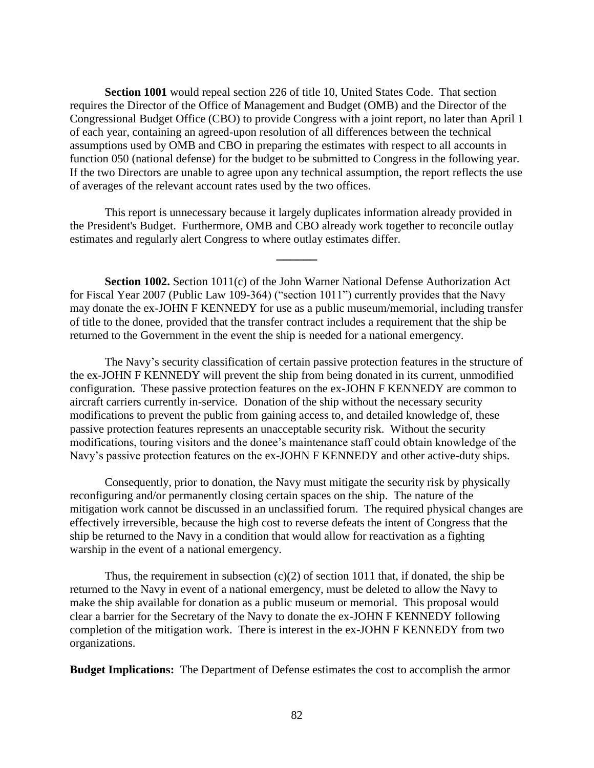**Section 1001** would repeal section 226 of title 10, United States Code. That section requires the Director of the Office of Management and Budget (OMB) and the Director of the Congressional Budget Office (CBO) to provide Congress with a joint report, no later than April 1 of each year, containing an agreed-upon resolution of all differences between the technical assumptions used by OMB and CBO in preparing the estimates with respect to all accounts in function 050 (national defense) for the budget to be submitted to Congress in the following year. If the two Directors are unable to agree upon any technical assumption, the report reflects the use of averages of the relevant account rates used by the two offices.

This report is unnecessary because it largely duplicates information already provided in the President's Budget. Furthermore, OMB and CBO already work together to reconcile outlay estimates and regularly alert Congress to where outlay estimates differ.

**\_\_\_\_\_\_**

**Section 1002.** Section 1011(c) of the John Warner National Defense Authorization Act for Fiscal Year 2007 (Public Law 109-364) ("section 1011") currently provides that the Navy may donate the ex-JOHN F KENNEDY for use as a public museum/memorial, including transfer of title to the donee, provided that the transfer contract includes a requirement that the ship be returned to the Government in the event the ship is needed for a national emergency.

The Navy's security classification of certain passive protection features in the structure of the ex-JOHN F KENNEDY will prevent the ship from being donated in its current, unmodified configuration. These passive protection features on the ex-JOHN F KENNEDY are common to aircraft carriers currently in-service. Donation of the ship without the necessary security modifications to prevent the public from gaining access to, and detailed knowledge of, these passive protection features represents an unacceptable security risk. Without the security modifications, touring visitors and the donee's maintenance staff could obtain knowledge of the Navy's passive protection features on the ex-JOHN F KENNEDY and other active-duty ships.

Consequently, prior to donation, the Navy must mitigate the security risk by physically reconfiguring and/or permanently closing certain spaces on the ship. The nature of the mitigation work cannot be discussed in an unclassified forum. The required physical changes are effectively irreversible, because the high cost to reverse defeats the intent of Congress that the ship be returned to the Navy in a condition that would allow for reactivation as a fighting warship in the event of a national emergency.

Thus, the requirement in subsection  $(c)(2)$  of section 1011 that, if donated, the ship be returned to the Navy in event of a national emergency, must be deleted to allow the Navy to make the ship available for donation as a public museum or memorial. This proposal would clear a barrier for the Secretary of the Navy to donate the ex-JOHN F KENNEDY following completion of the mitigation work. There is interest in the ex-JOHN F KENNEDY from two organizations.

**Budget Implications:** The Department of Defense estimates the cost to accomplish the armor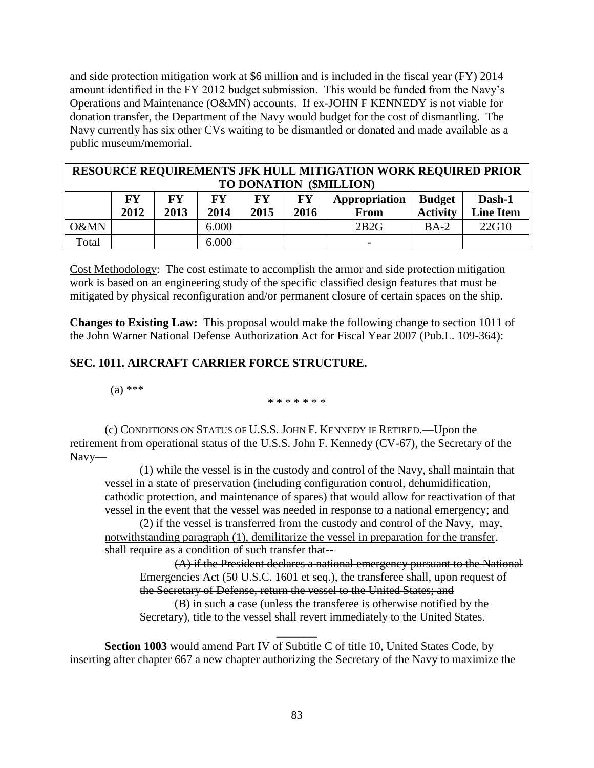and side protection mitigation work at \$6 million and is included in the fiscal year (FY) 2014 amount identified in the FY 2012 budget submission. This would be funded from the Navy's Operations and Maintenance (O&MN) accounts. If ex-JOHN F KENNEDY is not viable for donation transfer, the Department of the Navy would budget for the cost of dismantling. The Navy currently has six other CVs waiting to be dismantled or donated and made available as a public museum/memorial.

|                         |           |           |       |           |      | <b>RESOURCE REQUIREMENTS JFK HULL MITIGATION WORK REQUIRED PRIOR</b> |                 |                  |  |  |  |  |
|-------------------------|-----------|-----------|-------|-----------|------|----------------------------------------------------------------------|-----------------|------------------|--|--|--|--|
| TO DONATION (\$MILLION) |           |           |       |           |      |                                                                      |                 |                  |  |  |  |  |
|                         | <b>FY</b> | <b>FY</b> | FY    | <b>FY</b> | FY   | Appropriation                                                        | <b>Budget</b>   | Dash-1           |  |  |  |  |
|                         | 2012      | 2013      | 2014  | 2015      | 2016 | From                                                                 | <b>Activity</b> | <b>Line Item</b> |  |  |  |  |
| O&MN                    |           |           | 6.000 |           |      | 2B2G                                                                 | $BA-2$          | 22G10            |  |  |  |  |
| Total                   |           |           | 6.000 |           |      |                                                                      |                 |                  |  |  |  |  |

Cost Methodology: The cost estimate to accomplish the armor and side protection mitigation work is based on an engineering study of the specific classified design features that must be mitigated by physical reconfiguration and/or permanent closure of certain spaces on the ship.

**Changes to Existing Law:** This proposal would make the following change to section 1011 of the John Warner National Defense Authorization Act for Fiscal Year 2007 (Pub.L. 109-364):

## **SEC. 1011. AIRCRAFT CARRIER FORCE STRUCTURE.**

 $(a)$  \*\*\*

\* \* \* \* \* \* \*

(c) CONDITIONS ON STATUS OF U.S.S. JOHN F. KENNEDY IF RETIRED.—Upon the retirement from operational status of the U.S.S. John F. Kennedy (CV-67), the Secretary of the Navy—

(1) while the vessel is in the custody and control of the Navy, shall maintain that vessel in a state of preservation (including configuration control, dehumidification, cathodic protection, and maintenance of spares) that would allow for reactivation of that vessel in the event that the vessel was needed in response to a national emergency; and

(2) if the vessel is transferred from the custody and control of the Navy, may, notwithstanding paragraph (1), demilitarize the vessel in preparation for the transfer. shall require as a condition of such transfer that--

(A) if the President declares a national emergency pursuant to the National Emergencies Act (50 U.S.C. 1601 et seq.), the transferee shall, upon request of the Secretary of Defense, return the vessel to the United States; and (B) in such a case (unless the transferee is otherwise notified by the Secretary), title to the vessel shall revert immediately to the United States.

**Section 1003** would amend Part IV of Subtitle C of title 10, United States Code, by inserting after chapter 667 a new chapter authorizing the Secretary of the Navy to maximize the

**\_\_\_\_\_\_**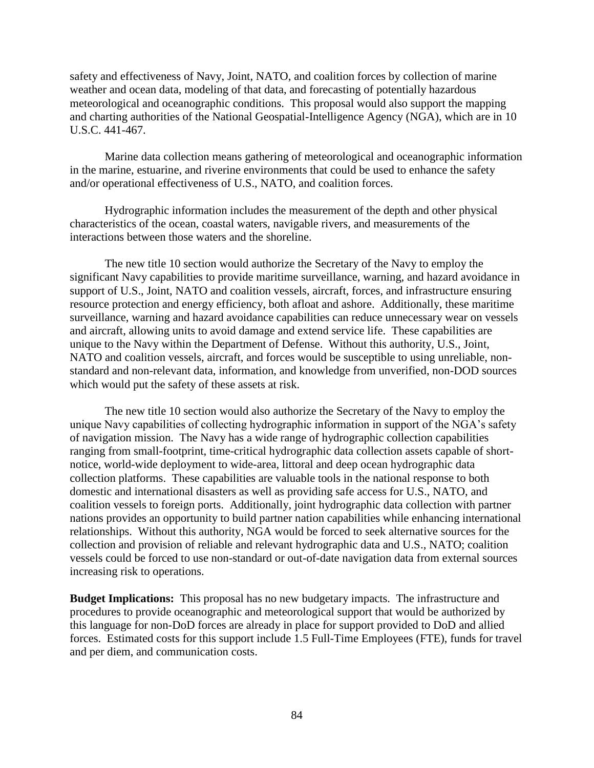safety and effectiveness of Navy, Joint, NATO, and coalition forces by collection of marine weather and ocean data, modeling of that data, and forecasting of potentially hazardous meteorological and oceanographic conditions. This proposal would also support the mapping and charting authorities of the National Geospatial-Intelligence Agency (NGA), which are in 10 U.S.C. 441-467.

Marine data collection means gathering of meteorological and oceanographic information in the marine, estuarine, and riverine environments that could be used to enhance the safety and/or operational effectiveness of U.S., NATO, and coalition forces.

Hydrographic information includes the measurement of the depth and other physical characteristics of the ocean, coastal waters, navigable rivers, and measurements of the interactions between those waters and the shoreline.

The new title 10 section would authorize the Secretary of the Navy to employ the significant Navy capabilities to provide maritime surveillance, warning, and hazard avoidance in support of U.S., Joint, NATO and coalition vessels, aircraft, forces, and infrastructure ensuring resource protection and energy efficiency, both afloat and ashore. Additionally, these maritime surveillance, warning and hazard avoidance capabilities can reduce unnecessary wear on vessels and aircraft, allowing units to avoid damage and extend service life. These capabilities are unique to the Navy within the Department of Defense. Without this authority, U.S., Joint, NATO and coalition vessels, aircraft, and forces would be susceptible to using unreliable, nonstandard and non-relevant data, information, and knowledge from unverified, non-DOD sources which would put the safety of these assets at risk.

The new title 10 section would also authorize the Secretary of the Navy to employ the unique Navy capabilities of collecting hydrographic information in support of the NGA's safety of navigation mission. The Navy has a wide range of hydrographic collection capabilities ranging from small-footprint, time-critical hydrographic data collection assets capable of shortnotice, world-wide deployment to wide-area, littoral and deep ocean hydrographic data collection platforms. These capabilities are valuable tools in the national response to both domestic and international disasters as well as providing safe access for U.S., NATO, and coalition vessels to foreign ports. Additionally, joint hydrographic data collection with partner nations provides an opportunity to build partner nation capabilities while enhancing international relationships. Without this authority, NGA would be forced to seek alternative sources for the collection and provision of reliable and relevant hydrographic data and U.S., NATO; coalition vessels could be forced to use non-standard or out-of-date navigation data from external sources increasing risk to operations.

**Budget Implications:** This proposal has no new budgetary impacts. The infrastructure and procedures to provide oceanographic and meteorological support that would be authorized by this language for non-DoD forces are already in place for support provided to DoD and allied forces. Estimated costs for this support include 1.5 Full-Time Employees (FTE), funds for travel and per diem, and communication costs.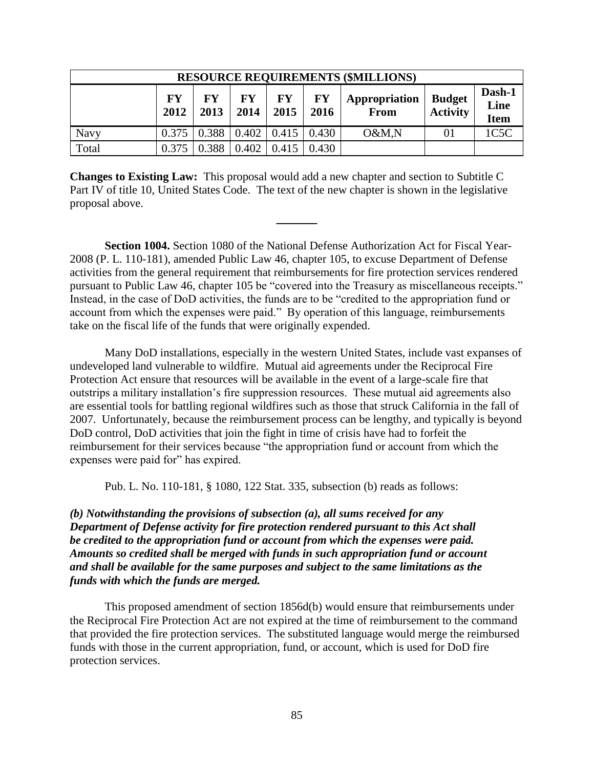| <b>RESOURCE REQUIREMENTS (\$MILLIONS)</b> |            |            |            |                   |                   |                       |                                  |                               |  |  |  |
|-------------------------------------------|------------|------------|------------|-------------------|-------------------|-----------------------|----------------------------------|-------------------------------|--|--|--|
|                                           | FY<br>2012 | FY<br>2013 | FY<br>2014 | <b>FY</b><br>2015 | <b>FY</b><br>2016 | Appropriation<br>From | <b>Budget</b><br><b>Activity</b> | Dash-1<br>Line<br><b>Item</b> |  |  |  |
| Navy                                      | 0.375      | 0.388      | 0.402      | 0.415             | 0.430             | O&M,N                 | 01                               | 1C5C                          |  |  |  |
| Total                                     | 0.375      | 0.388      | 0.402      | 0.415             | 0.430             |                       |                                  |                               |  |  |  |

**Changes to Existing Law:** This proposal would add a new chapter and section to Subtitle C Part IV of title 10, United States Code. The text of the new chapter is shown in the legislative proposal above.

**\_\_\_\_\_\_**

**Section 1004.** Section 1080 of the National Defense Authorization Act for Fiscal Year-2008 (P. L. 110-181), amended Public Law 46, chapter 105, to excuse Department of Defense activities from the general requirement that reimbursements for fire protection services rendered pursuant to Public Law 46, chapter 105 be "covered into the Treasury as miscellaneous receipts." Instead, in the case of DoD activities, the funds are to be "credited to the appropriation fund or account from which the expenses were paid." By operation of this language, reimbursements take on the fiscal life of the funds that were originally expended.

Many DoD installations, especially in the western United States, include vast expanses of undeveloped land vulnerable to wildfire. Mutual aid agreements under the Reciprocal Fire Protection Act ensure that resources will be available in the event of a large-scale fire that outstrips a military installation's fire suppression resources. These mutual aid agreements also are essential tools for battling regional wildfires such as those that struck California in the fall of 2007. Unfortunately, because the reimbursement process can be lengthy, and typically is beyond DoD control, DoD activities that join the fight in time of crisis have had to forfeit the reimbursement for their services because "the appropriation fund or account from which the expenses were paid for" has expired.

Pub. L. No. 110-181, § 1080, 122 Stat. 335, subsection (b) reads as follows:

*(b) Notwithstanding the provisions of subsection (a), all sums received for any Department of Defense activity for fire protection rendered pursuant to this Act shall be credited to the appropriation fund or account from which the expenses were paid. Amounts so credited shall be merged with funds in such appropriation fund or account and shall be available for the same purposes and subject to the same limitations as the funds with which the funds are merged.*

This proposed amendment of section 1856d(b) would ensure that reimbursements under the Reciprocal Fire Protection Act are not expired at the time of reimbursement to the command that provided the fire protection services. The substituted language would merge the reimbursed funds with those in the current appropriation, fund, or account, which is used for DoD fire protection services.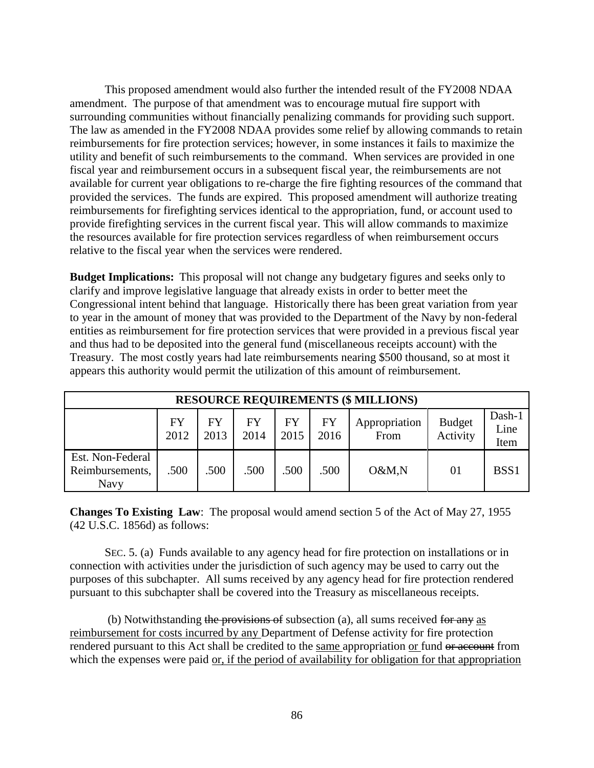This proposed amendment would also further the intended result of the FY2008 NDAA amendment. The purpose of that amendment was to encourage mutual fire support with surrounding communities without financially penalizing commands for providing such support. The law as amended in the FY2008 NDAA provides some relief by allowing commands to retain reimbursements for fire protection services; however, in some instances it fails to maximize the utility and benefit of such reimbursements to the command. When services are provided in one fiscal year and reimbursement occurs in a subsequent fiscal year, the reimbursements are not available for current year obligations to re-charge the fire fighting resources of the command that provided the services. The funds are expired. This proposed amendment will authorize treating reimbursements for firefighting services identical to the appropriation, fund, or account used to provide firefighting services in the current fiscal year. This will allow commands to maximize the resources available for fire protection services regardless of when reimbursement occurs relative to the fiscal year when the services were rendered.

**Budget Implications:** This proposal will not change any budgetary figures and seeks only to clarify and improve legislative language that already exists in order to better meet the Congressional intent behind that language. Historically there has been great variation from year to year in the amount of money that was provided to the Department of the Navy by non-federal entities as reimbursement for fire protection services that were provided in a previous fiscal year and thus had to be deposited into the general fund (miscellaneous receipts account) with the Treasury. The most costly years had late reimbursements nearing \$500 thousand, so at most it appears this authority would permit the utilization of this amount of reimbursement.

| <b>RESOURCE REQUIREMENTS (\$ MILLIONS)</b>  |                   |             |            |                   |                   |                       |                           |                        |  |  |  |
|---------------------------------------------|-------------------|-------------|------------|-------------------|-------------------|-----------------------|---------------------------|------------------------|--|--|--|
|                                             | <b>FY</b><br>2012 | FY.<br>2013 | FY<br>2014 | <b>FY</b><br>2015 | <b>FY</b><br>2016 | Appropriation<br>From | <b>Budget</b><br>Activity | Dash-1<br>Line<br>Item |  |  |  |
| Est. Non-Federal<br>Reimbursements,<br>Navy | .500              | .500        | .500       | .500              | .500              | O&M,N                 | 01                        | BSS <sub>1</sub>       |  |  |  |

**Changes To Existing Law**: The proposal would amend section 5 of the Act of May 27, 1955 (42 U.S.C. 1856d) as follows:

SEC. 5. (a) Funds available to any agency head for fire protection on installations or in connection with activities under the jurisdiction of such agency may be used to carry out the purposes of this subchapter. All sums received by any agency head for fire protection rendered pursuant to this subchapter shall be covered into the Treasury as miscellaneous receipts.

(b) Notwithstanding the provisions of subsection (a), all sums received for any as reimbursement for costs incurred by any Department of Defense activity for fire protection rendered pursuant to this Act shall be credited to the same appropriation or fund or account from which the expenses were paid <u>or, if the period of availability for obligation</u> for that appropriation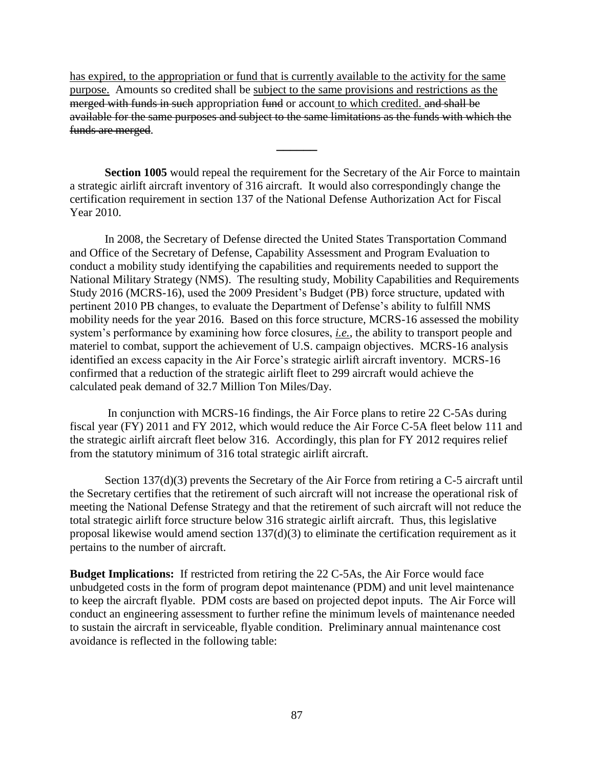has expired, to the appropriation or fund that is currently available to the activity for the same purpose. Amounts so credited shall be subject to the same provisions and restrictions as the merged with funds in such appropriation fund or account to which credited. and shall be available for the same purposes and subject to the same limitations as the funds with which the funds are merged.

**Section 1005** would repeal the requirement for the Secretary of the Air Force to maintain a strategic airlift aircraft inventory of 316 aircraft. It would also correspondingly change the certification requirement in section 137 of the National Defense Authorization Act for Fiscal Year 2010.

**\_\_\_\_\_\_**

In 2008, the Secretary of Defense directed the United States Transportation Command and Office of the Secretary of Defense, Capability Assessment and Program Evaluation to conduct a mobility study identifying the capabilities and requirements needed to support the National Military Strategy (NMS). The resulting study, Mobility Capabilities and Requirements Study 2016 (MCRS-16), used the 2009 President's Budget (PB) force structure, updated with pertinent 2010 PB changes, to evaluate the Department of Defense's ability to fulfill NMS mobility needs for the year 2016. Based on this force structure, MCRS-16 assessed the mobility system's performance by examining how force closures, *i.e.*, the ability to transport people and materiel to combat, support the achievement of U.S. campaign objectives. MCRS-16 analysis identified an excess capacity in the Air Force's strategic airlift aircraft inventory. MCRS-16 confirmed that a reduction of the strategic airlift fleet to 299 aircraft would achieve the calculated peak demand of 32.7 Million Ton Miles/Day.

In conjunction with MCRS-16 findings, the Air Force plans to retire 22 C-5As during fiscal year (FY) 2011 and FY 2012, which would reduce the Air Force C-5A fleet below 111 and the strategic airlift aircraft fleet below 316. Accordingly, this plan for FY 2012 requires relief from the statutory minimum of 316 total strategic airlift aircraft.

Section 137(d)(3) prevents the Secretary of the Air Force from retiring a C-5 aircraft until the Secretary certifies that the retirement of such aircraft will not increase the operational risk of meeting the National Defense Strategy and that the retirement of such aircraft will not reduce the total strategic airlift force structure below 316 strategic airlift aircraft. Thus, this legislative proposal likewise would amend section 137(d)(3) to eliminate the certification requirement as it pertains to the number of aircraft.

**Budget Implications:** If restricted from retiring the 22 C-5As, the Air Force would face unbudgeted costs in the form of program depot maintenance (PDM) and unit level maintenance to keep the aircraft flyable. PDM costs are based on projected depot inputs. The Air Force will conduct an engineering assessment to further refine the minimum levels of maintenance needed to sustain the aircraft in serviceable, flyable condition. Preliminary annual maintenance cost avoidance is reflected in the following table: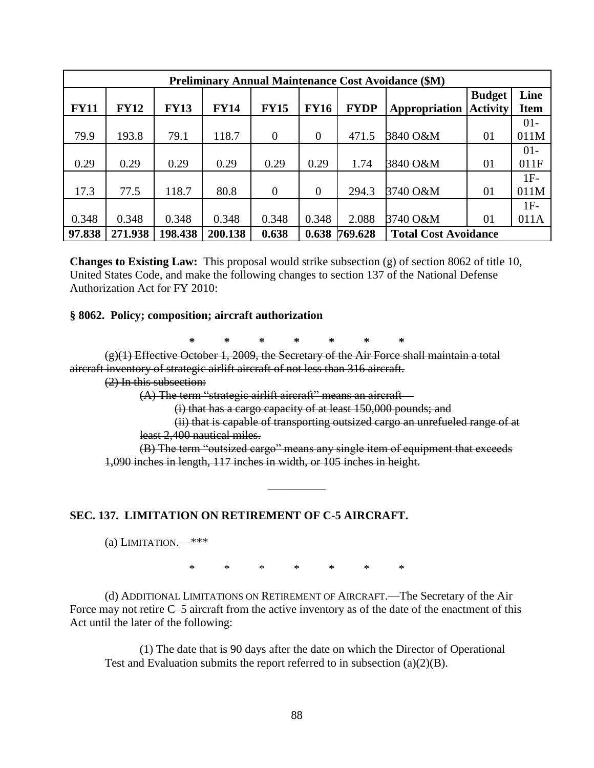|             | <b>Preliminary Annual Maintenance Cost Avoidance (\$M)</b> |             |             |                |                |             |                             |                 |             |  |  |  |  |  |
|-------------|------------------------------------------------------------|-------------|-------------|----------------|----------------|-------------|-----------------------------|-----------------|-------------|--|--|--|--|--|
|             |                                                            |             |             |                |                |             |                             | <b>Budget</b>   | Line        |  |  |  |  |  |
| <b>FY11</b> | <b>FY12</b>                                                | <b>FY13</b> | <b>FY14</b> | <b>FY15</b>    | <b>FY16</b>    | <b>FYDP</b> | Appropriation               | <b>Activity</b> | <b>Item</b> |  |  |  |  |  |
|             |                                                            |             |             |                |                |             |                             |                 | $01 -$      |  |  |  |  |  |
| 79.9        | 193.8                                                      | 79.1        | 118.7       | $\theta$       | $\overline{0}$ | 471.5       | 3840 O&M                    | 01              | 011M        |  |  |  |  |  |
|             |                                                            |             |             |                |                |             |                             |                 | $01-$       |  |  |  |  |  |
| 0.29        | 0.29                                                       | 0.29        | 0.29        | 0.29           | 0.29           | 1.74        | 3840 O&M                    | 01              | 011F        |  |  |  |  |  |
|             |                                                            |             |             |                |                |             |                             |                 | $1F-$       |  |  |  |  |  |
| 17.3        | 77.5                                                       | 118.7       | 80.8        | $\overline{0}$ | $\overline{0}$ | 294.3       | 3740 O&M                    | 01              | 011M        |  |  |  |  |  |
|             |                                                            |             |             |                |                |             |                             |                 | $1F-$       |  |  |  |  |  |
| 0.348       | 0.348                                                      | 0.348       | 0.348       | 0.348          | 0.348          | 2.088       | 3740 O&M                    | 01              | 011A        |  |  |  |  |  |
| 97.838      | 271.938                                                    | 198.438     | 200.138     | 0.638          | 0.638          | 769.628     | <b>Total Cost Avoidance</b> |                 |             |  |  |  |  |  |

**Changes to Existing Law:** This proposal would strike subsection (g) of section 8062 of title 10, United States Code, and make the following changes to section 137 of the National Defense Authorization Act for FY 2010:

#### **§ 8062. Policy; composition; aircraft authorization**

**\* \* \* \* \* \* \***

(g)(1) Effective October 1, 2009, the Secretary of the Air Force shall maintain a total aircraft inventory of strategic airlift aircraft of not less than 316 aircraft.

(2) In this subsection:

 $(A)$  The term "strategic airlift aircraft" means an aircraft—

(i) that has a cargo capacity of at least 150,000 pounds; and

(ii) that is capable of transporting outsized cargo an unrefueled range of at least 2,400 nautical miles.

(B) The term "outsized cargo" means any single item of equipment that exceeds 1,090 inches in length, 117 inches in width, or 105 inches in height.

#### **SEC. 137. LIMITATION ON RETIREMENT OF C-5 AIRCRAFT.**

(a) LIMITATION.— $***$ 

\* \* \* \* \* \* \*

—————

(d) ADDITIONAL LIMITATIONS ON RETIREMENT OF AIRCRAFT.—The Secretary of the Air Force may not retire C–5 aircraft from the active inventory as of the date of the enactment of this Act until the later of the following:

(1) The date that is 90 days after the date on which the Director of Operational Test and Evaluation submits the report referred to in subsection (a)(2)(B).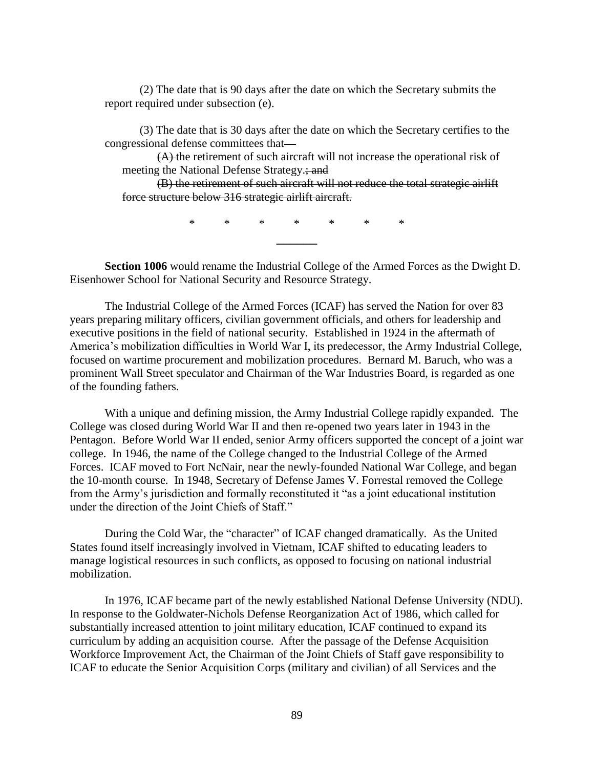(2) The date that is 90 days after the date on which the Secretary submits the report required under subsection (e).

(3) The date that is 30 days after the date on which the Secretary certifies to the congressional defense committees that—

(A) the retirement of such aircraft will not increase the operational risk of meeting the National Defense Strategy.; and

(B) the retirement of such aircraft will not reduce the total strategic airlift force structure below 316 strategic airlift aircraft.

> \* \* \* \* \* \* \* **\_\_\_\_\_\_**

**Section 1006** would rename the Industrial College of the Armed Forces as the Dwight D. Eisenhower School for National Security and Resource Strategy.

The Industrial College of the Armed Forces (ICAF) has served the Nation for over 83 years preparing military officers, civilian government officials, and others for leadership and executive positions in the field of national security. Established in 1924 in the aftermath of America's mobilization difficulties in World War I, its predecessor, the Army Industrial College, focused on wartime procurement and mobilization procedures. Bernard M. Baruch, who was a prominent Wall Street speculator and Chairman of the War Industries Board, is regarded as one of the founding fathers.

With a unique and defining mission, the Army Industrial College rapidly expanded. The College was closed during World War II and then re-opened two years later in 1943 in the Pentagon. Before World War II ended, senior Army officers supported the concept of a joint war college. In 1946, the name of the College changed to the Industrial College of the Armed Forces. ICAF moved to Fort NcNair, near the newly-founded National War College, and began the 10-month course. In 1948, Secretary of Defense James V. Forrestal removed the College from the Army's jurisdiction and formally reconstituted it "as a joint educational institution under the direction of the Joint Chiefs of Staff."

During the Cold War, the "character" of ICAF changed dramatically. As the United States found itself increasingly involved in Vietnam, ICAF shifted to educating leaders to manage logistical resources in such conflicts, as opposed to focusing on national industrial mobilization.

In 1976, ICAF became part of the newly established National Defense University (NDU). In response to the Goldwater-Nichols Defense Reorganization Act of 1986, which called for substantially increased attention to joint military education, ICAF continued to expand its curriculum by adding an acquisition course. After the passage of the Defense Acquisition Workforce Improvement Act, the Chairman of the Joint Chiefs of Staff gave responsibility to ICAF to educate the Senior Acquisition Corps (military and civilian) of all Services and the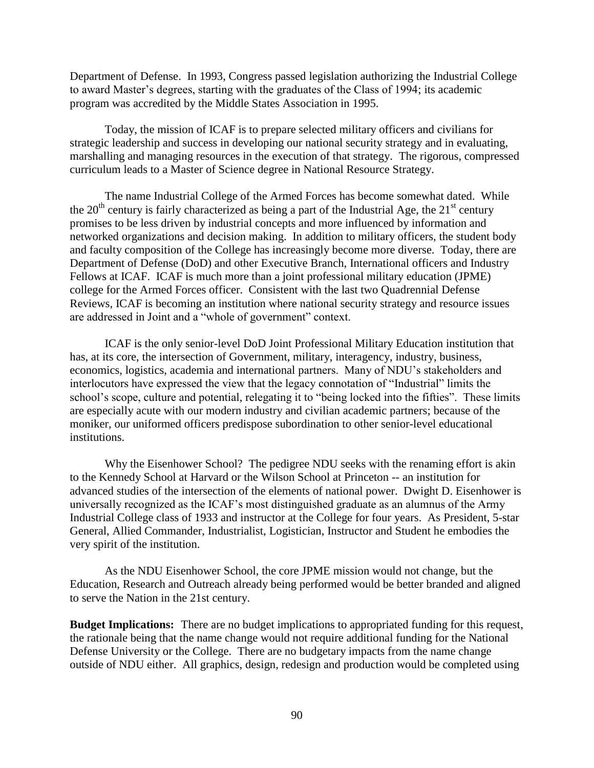Department of Defense. In 1993, Congress passed legislation authorizing the Industrial College to award Master's degrees, starting with the graduates of the Class of 1994; its academic program was accredited by the Middle States Association in 1995.

Today, the mission of ICAF is to prepare selected military officers and civilians for strategic leadership and success in developing our national security strategy and in evaluating, marshalling and managing resources in the execution of that strategy. The rigorous, compressed curriculum leads to a Master of Science degree in National Resource Strategy.

The name Industrial College of the Armed Forces has become somewhat dated. While the  $20<sup>th</sup>$  century is fairly characterized as being a part of the Industrial Age, the  $21<sup>st</sup>$  century promises to be less driven by industrial concepts and more influenced by information and networked organizations and decision making. In addition to military officers, the student body and faculty composition of the College has increasingly become more diverse. Today, there are Department of Defense (DoD) and other Executive Branch, International officers and Industry Fellows at ICAF. ICAF is much more than a joint professional military education (JPME) college for the Armed Forces officer. Consistent with the last two Quadrennial Defense Reviews, ICAF is becoming an institution where national security strategy and resource issues are addressed in Joint and a "whole of government" context.

ICAF is the only senior-level DoD Joint Professional Military Education institution that has, at its core, the intersection of Government, military, interagency, industry, business, economics, logistics, academia and international partners. Many of NDU's stakeholders and interlocutors have expressed the view that the legacy connotation of "Industrial" limits the school's scope, culture and potential, relegating it to "being locked into the fifties". These limits are especially acute with our modern industry and civilian academic partners; because of the moniker, our uniformed officers predispose subordination to other senior-level educational institutions.

Why the Eisenhower School? The pedigree NDU seeks with the renaming effort is akin to the Kennedy School at Harvard or the Wilson School at Princeton -- an institution for advanced studies of the intersection of the elements of national power. Dwight D. Eisenhower is universally recognized as the ICAF's most distinguished graduate as an alumnus of the Army Industrial College class of 1933 and instructor at the College for four years. As President, 5-star General, Allied Commander, Industrialist, Logistician, Instructor and Student he embodies the very spirit of the institution.

As the NDU Eisenhower School, the core JPME mission would not change, but the Education, Research and Outreach already being performed would be better branded and aligned to serve the Nation in the 21st century.

**Budget Implications:** There are no budget implications to appropriated funding for this request, the rationale being that the name change would not require additional funding for the National Defense University or the College. There are no budgetary impacts from the name change outside of NDU either. All graphics, design, redesign and production would be completed using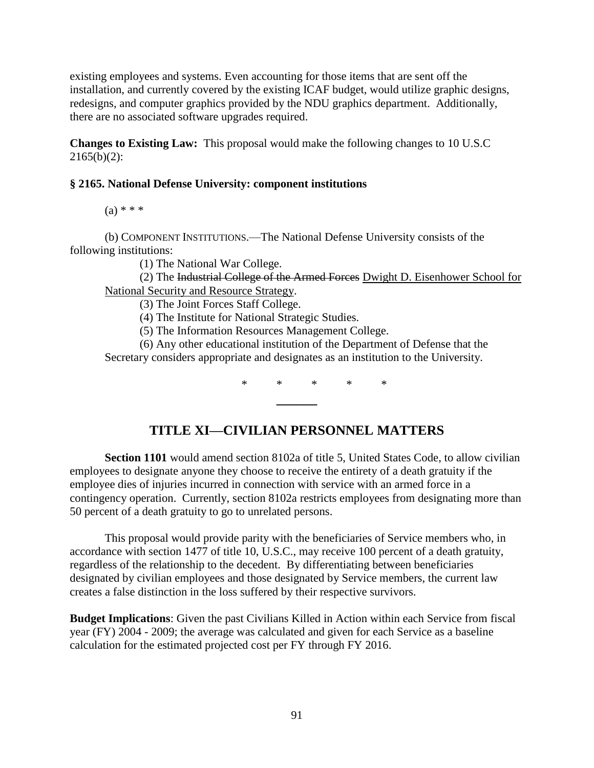existing employees and systems. Even accounting for those items that are sent off the installation, and currently covered by the existing ICAF budget, would utilize graphic designs, redesigns, and computer graphics provided by the NDU graphics department. Additionally, there are no associated software upgrades required.

**Changes to Existing Law:** This proposal would make the following changes to 10 U.S.C  $2165(b)(2)$ :

#### **§ 2165. National Defense University: component institutions**

 $(a) * * *$ 

(b) COMPONENT INSTITUTIONS.—The National Defense University consists of the following institutions:

(1) The National War College.

(2) The Industrial College of the Armed Forces Dwight D. Eisenhower School for National Security and Resource Strategy.

(3) The Joint Forces Staff College.

(4) The Institute for National Strategic Studies.

(5) The Information Resources Management College.

(6) Any other educational institution of the Department of Defense that the Secretary considers appropriate and designates as an institution to the University.

\* \* \* \* \*

# **TITLE XI—CIVILIAN PERSONNEL MATTERS**

**\_\_\_\_\_\_**

**Section 1101** would amend section 8102a of title 5, United States Code, to allow civilian employees to designate anyone they choose to receive the entirety of a death gratuity if the employee dies of injuries incurred in connection with service with an armed force in a contingency operation. Currently, section 8102a restricts employees from designating more than 50 percent of a death gratuity to go to unrelated persons.

This proposal would provide parity with the beneficiaries of Service members who, in accordance with section 1477 of title 10, U.S.C., may receive 100 percent of a death gratuity, regardless of the relationship to the decedent. By differentiating between beneficiaries designated by civilian employees and those designated by Service members, the current law creates a false distinction in the loss suffered by their respective survivors.

**Budget Implications**: Given the past Civilians Killed in Action within each Service from fiscal year (FY) 2004 - 2009; the average was calculated and given for each Service as a baseline calculation for the estimated projected cost per FY through FY 2016.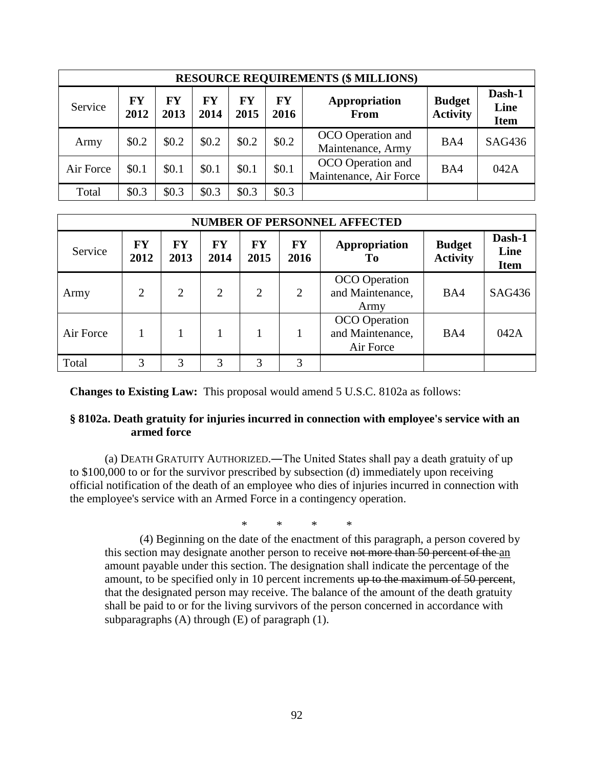|           | <b>RESOURCE REQUIREMENTS (\$ MILLIONS)</b> |            |            |            |                   |                                             |                                  |                               |  |  |  |  |  |  |
|-----------|--------------------------------------------|------------|------------|------------|-------------------|---------------------------------------------|----------------------------------|-------------------------------|--|--|--|--|--|--|
| Service   | <b>FY</b><br>2012                          | FY<br>2013 | FY<br>2014 | FY<br>2015 | <b>FY</b><br>2016 | Appropriation<br>From                       | <b>Budget</b><br><b>Activity</b> | Dash-1<br>Line<br><b>Item</b> |  |  |  |  |  |  |
| Army      | \$0.2\$                                    | \$0.2\$    | \$0.2\$    | \$0.2\$    | \$0.2\$           | OCO Operation and<br>Maintenance, Army      | BA4                              | SAG436                        |  |  |  |  |  |  |
| Air Force | \$0.1                                      | \$0.1      | \$0.1      | \$0.1      | \$0.1             | OCO Operation and<br>Maintenance, Air Force | BA4                              | 042A                          |  |  |  |  |  |  |
| Total     | \$0.3\$                                    | \$0.3      | \$0.3\$    | \$0.3\$    | \$0.3\$           |                                             |                                  |                               |  |  |  |  |  |  |

|           | <b>NUMBER OF PERSONNEL AFFECTED</b> |                   |                   |                   |                   |                                                       |                                  |                               |  |  |  |  |  |  |
|-----------|-------------------------------------|-------------------|-------------------|-------------------|-------------------|-------------------------------------------------------|----------------------------------|-------------------------------|--|--|--|--|--|--|
| Service   | <b>FY</b><br>2012                   | <b>FY</b><br>2013 | <b>FY</b><br>2014 | <b>FY</b><br>2015 | <b>FY</b><br>2016 | Appropriation<br>To                                   | <b>Budget</b><br><b>Activity</b> | Dash-1<br>Line<br><b>Item</b> |  |  |  |  |  |  |
| Army      | $\overline{2}$                      | $\overline{2}$    | $\overline{2}$    | $\overline{2}$    | 2                 | <b>OCO</b> Operation<br>and Maintenance,<br>Army      | BA4                              | SAG436                        |  |  |  |  |  |  |
| Air Force |                                     |                   |                   |                   |                   | <b>OCO</b> Operation<br>and Maintenance,<br>Air Force | BA4                              | 042A                          |  |  |  |  |  |  |
| Total     | 3                                   | 3                 | 3                 | 3                 | 3                 |                                                       |                                  |                               |  |  |  |  |  |  |

**Changes to Existing Law:** This proposal would amend 5 U.S.C. 8102a as follows:

#### **§ 8102a. Death gratuity for injuries incurred in connection with employee's service with an armed force**

(a) DEATH GRATUITY AUTHORIZED.―The United States shall pay a death gratuity of up to \$100,000 to or for the survivor prescribed by subsection (d) immediately upon receiving official notification of the death of an employee who dies of injuries incurred in connection with the employee's service with an Armed Force in a contingency operation.

\* \* \* \*

(4) Beginning on the date of the enactment of this paragraph, a person covered by this section may designate another person to receive not more than 50 percent of the an amount payable under this section. The designation shall indicate the percentage of the amount, to be specified only in 10 percent increments up to the maximum of 50 percent, that the designated person may receive. The balance of the amount of the death gratuity shall be paid to or for the living survivors of the person concerned in accordance with subparagraphs (A) through (E) of paragraph (1).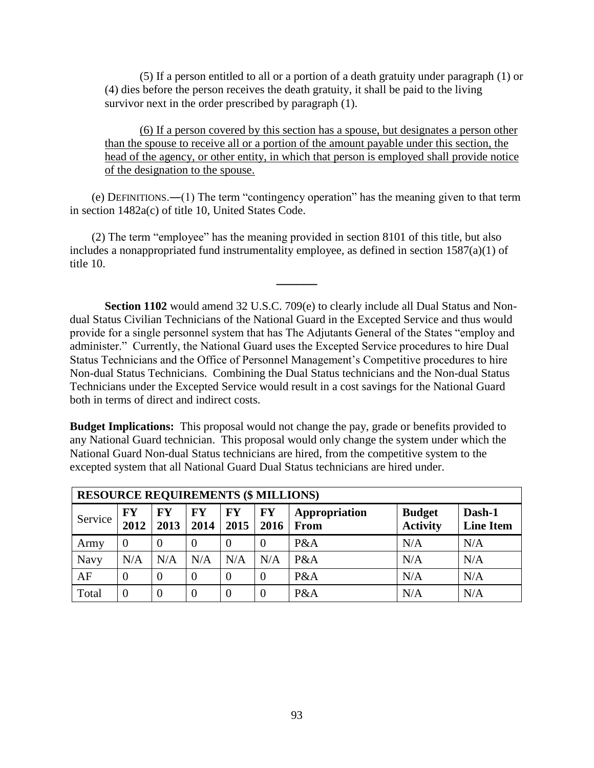(5) If a person entitled to all or a portion of a death gratuity under paragraph (1) or (4) dies before the person receives the death gratuity, it shall be paid to the living survivor next in the order prescribed by paragraph (1).

(6) If a person covered by this section has a spouse, but designates a person other than the spouse to receive all or a portion of the amount payable under this section, the head of the agency, or other entity, in which that person is employed shall provide notice of the designation to the spouse.

 $(e)$  DEFINITIONS.—(1) The term "contingency operation" has the meaning given to that term in [section 1482a\(c\) of title 10, United States Code.](https://web2.westlaw.com/find/default.wl?tf=-1&rs=WLW10.06&referencepositiontype=T&referenceposition=SP%3b4b24000003ba5&fn=_top&sv=Split&docname=10USCAS1482A&tc=-1&pbc=D2A30D3D&ordoc=19347586&findtype=L&db=1000546&vr=2.0&rp=%2ffind%2fdefault.wl&mt=133)

 $(2)$  The term "employee" has the meaning provided in [section 8101](https://web2.westlaw.com/find/default.wl?tf=-1&rs=WLW10.06&fn=_top&sv=Split&docname=5USCAS8101&tc=-1&pbc=D2A30D3D&ordoc=19347586&findtype=L&db=1000546&vr=2.0&rp=%2ffind%2fdefault.wl&mt=133) of this title, but also includes a nonappropriated fund instrumentality employee, as defined in [section 1587\(a\)\(1\) of](https://web2.westlaw.com/find/default.wl?tf=-1&rs=WLW10.06&referencepositiontype=T&referenceposition=SP%3b7b9b000044381&fn=_top&sv=Split&docname=10USCAS1587&tc=-1&pbc=D2A30D3D&ordoc=19347586&findtype=L&db=1000546&vr=2.0&rp=%2ffind%2fdefault.wl&mt=133)  [title 10.](https://web2.westlaw.com/find/default.wl?tf=-1&rs=WLW10.06&referencepositiontype=T&referenceposition=SP%3b7b9b000044381&fn=_top&sv=Split&docname=10USCAS1587&tc=-1&pbc=D2A30D3D&ordoc=19347586&findtype=L&db=1000546&vr=2.0&rp=%2ffind%2fdefault.wl&mt=133)

**\_\_\_\_\_\_**

**Section 1102** would amend 32 U.S.C. 709(e) to clearly include all Dual Status and Nondual Status Civilian Technicians of the National Guard in the Excepted Service and thus would provide for a single personnel system that has The Adjutants General of the States "employ and administer." Currently, the National Guard uses the Excepted Service procedures to hire Dual Status Technicians and the Office of Personnel Management's Competitive procedures to hire Non-dual Status Technicians. Combining the Dual Status technicians and the Non-dual Status Technicians under the Excepted Service would result in a cost savings for the National Guard both in terms of direct and indirect costs.

**Budget Implications:** This proposal would not change the pay, grade or benefits provided to any National Guard technician. This proposal would only change the system under which the National Guard Non-dual Status technicians are hired, from the competitive system to the excepted system that all National Guard Dual Status technicians are hired under.

|         | <b>RESOURCE REQUIREMENTS (\$ MILLIONS)</b> |                |                |                  |                |                       |                                  |                            |  |  |  |  |  |
|---------|--------------------------------------------|----------------|----------------|------------------|----------------|-----------------------|----------------------------------|----------------------------|--|--|--|--|--|
| Service | <b>FY</b><br>2012                          | FY<br>2013     | FY<br>2014     | FY<br>2015       | FY<br>2016     | Appropriation<br>From | <b>Budget</b><br><b>Activity</b> | Dash-1<br><b>Line Item</b> |  |  |  |  |  |
| Army    | $\theta$                                   | $\overline{0}$ | $\overline{0}$ | $\overline{0}$   |                | P&A                   | N/A                              | N/A                        |  |  |  |  |  |
| Navy    | N/A                                        | N/A            | N/A            | N/A              | N/A            | P&A                   | N/A                              | N/A                        |  |  |  |  |  |
| AF      | $\theta$                                   | $\overline{0}$ | $\theta$       | $\theta$         | $\Omega$       | P&A                   | N/A                              | N/A                        |  |  |  |  |  |
| Total   | $\overline{0}$                             | $\overline{0}$ | $\overline{0}$ | $\boldsymbol{0}$ | $\overline{0}$ | P&A                   | N/A                              | N/A                        |  |  |  |  |  |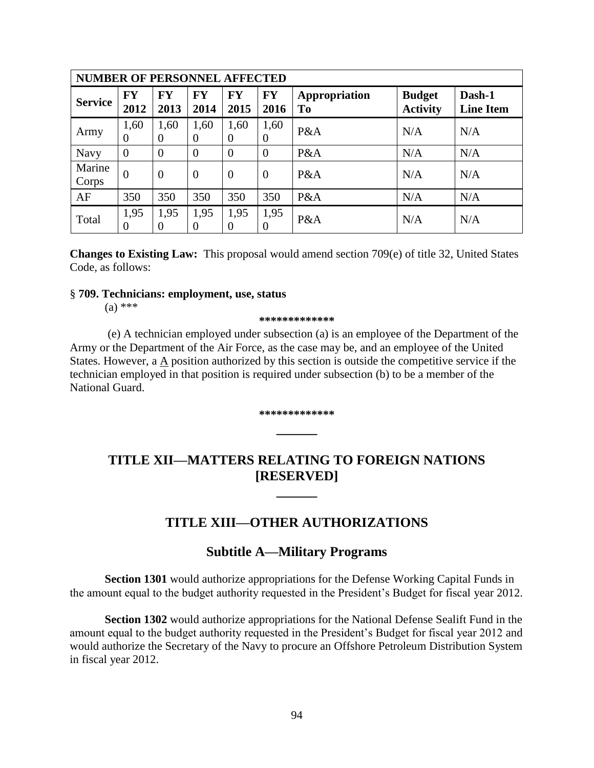| <b>NUMBER OF PERSONNEL AFFECTED</b> |                        |                   |                   |                        |                   |                     |                                  |                            |
|-------------------------------------|------------------------|-------------------|-------------------|------------------------|-------------------|---------------------|----------------------------------|----------------------------|
| <b>Service</b>                      | <b>FY</b><br>2012      | <b>FY</b><br>2013 | <b>FY</b><br>2014 | <b>FY</b><br>2015      | <b>FY</b><br>2016 | Appropriation<br>To | <b>Budget</b><br><b>Activity</b> | Dash-1<br><b>Line Item</b> |
| Army                                | 1,60<br>$\overline{0}$ | 1,60<br>$\Omega$  | 1,60<br>$\theta$  | 1,60<br>$\overline{0}$ | 1,60<br>$\theta$  | P&A                 | N/A                              | N/A                        |
| <b>Navy</b>                         | $\overline{0}$         | $\overline{0}$    | $\overline{0}$    | $\overline{0}$         | $\overline{0}$    | P&A                 | N/A                              | N/A                        |
| Marine<br>Corps                     | $\overline{0}$         | $\theta$          | $\overline{0}$    | $\theta$               | $\overline{0}$    | P&A                 | N/A                              | N/A                        |
| AF                                  | 350                    | 350               | 350               | 350                    | 350               | P&A                 | N/A                              | N/A                        |
| Total                               | 1,95<br>$\theta$       | 1,95<br>$\Omega$  | 1,95<br>$\Omega$  | 1,95<br>$\overline{0}$ | 1,95<br>$\theta$  | P&A                 | N/A                              | N/A                        |

**Changes to Existing Law:** This proposal would amend section 709(e) of title 32, United States Code, as follows:

#### § **709. Technicians: employment, use, status**

 $(a)$  \*\*\*

#### **\*\*\*\*\*\*\*\*\*\*\*\*\***

(e) A technician employed under subsection (a) is an employee of the Department of the Army or the Department of the Air Force, as the case may be, and an employee of the United States. However, a A position authorized by this section is outside the competitive service if the technician employed in that position is required under subsection (b) to be a member of the National Guard.

# **\*\*\*\*\*\*\*\*\*\*\*\*\* \_\_\_\_\_\_**

# **TITLE XII—MATTERS RELATING TO FOREIGN NATIONS [RESERVED]**

**\_\_\_\_\_\_**

## **TITLE XIII—OTHER AUTHORIZATIONS**

#### **Subtitle A—Military Programs**

**Section 1301** would authorize appropriations for the Defense Working Capital Funds in the amount equal to the budget authority requested in the President's Budget for fiscal year 2012.

**Section 1302** would authorize appropriations for the National Defense Sealift Fund in the amount equal to the budget authority requested in the President's Budget for fiscal year 2012 and would authorize the Secretary of the Navy to procure an Offshore Petroleum Distribution System in fiscal year 2012.